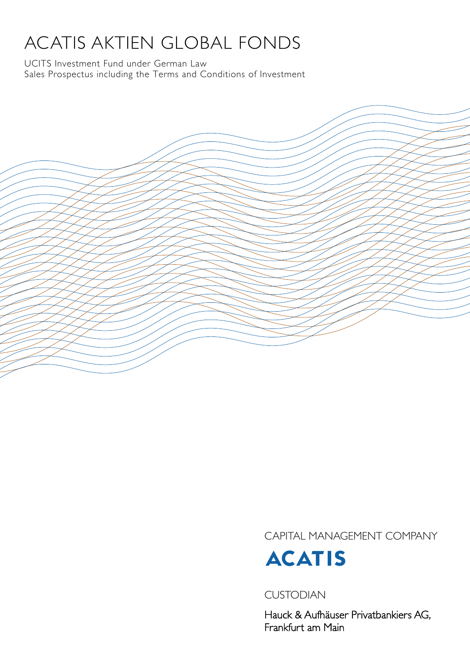# ACATIS AKTIEN GLOBAL FONDS

UCITS Investment Fund under German Law Sales Prospectus including the Terms and Conditions of Investment

CAPITAL MANAGEMENT COMPANY



CUSTODIAN

Hauck & Aufhäuser Privatbankiers AG, Frankfurt am Main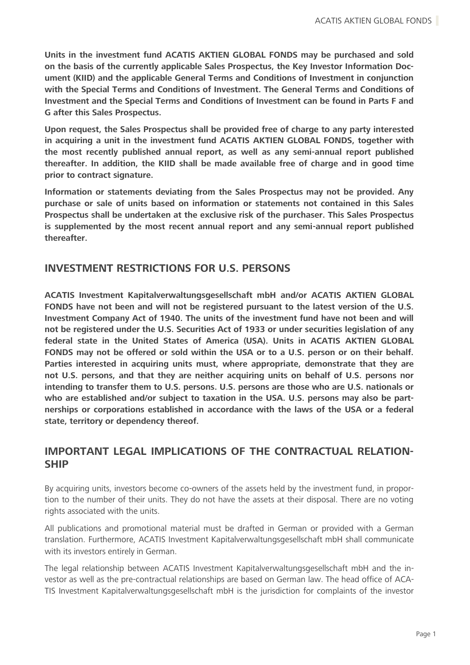**Units in the investment fund ACATIS AKTIEN GLOBAL FONDS may be purchased and sold on the basis of the currently applicable Sales Prospectus, the Key Investor Information Document (KIID) and the applicable General Terms and Conditions of Investment in conjunction with the Special Terms and Conditions of Investment. The General Terms and Conditions of Investment and the Special Terms and Conditions of Investment can be found in Parts F and G after this Sales Prospectus.** 

**Upon request, the Sales Prospectus shall be provided free of charge to any party interested in acquiring a unit in the investment fund ACATIS AKTIEN GLOBAL FONDS, together with the most recently published annual report, as well as any semi-annual report published thereafter. In addition, the KIID shall be made available free of charge and in good time prior to contract signature.**

**Information or statements deviating from the Sales Prospectus may not be provided. Any purchase or sale of units based on information or statements not contained in this Sales Prospectus shall be undertaken at the exclusive risk of the purchaser. This Sales Prospectus is supplemented by the most recent annual report and any semi-annual report published thereafter.** 

### **INVESTMENT RESTRICTIONS FOR U.S. PERSONS**

**ACATIS Investment Kapitalverwaltungsgesellschaft mbH and/or ACATIS AKTIEN GLOBAL FONDS have not been and will not be registered pursuant to the latest version of the U.S. Investment Company Act of 1940. The units of the investment fund have not been and will not be registered under the U.S. Securities Act of 1933 or under securities legislation of any federal state in the United States of America (USA). Units in ACATIS AKTIEN GLOBAL FONDS may not be offered or sold within the USA or to a U.S. person or on their behalf. Parties interested in acquiring units must, where appropriate, demonstrate that they are not U.S. persons, and that they are neither acquiring units on behalf of U.S. persons nor intending to transfer them to U.S. persons. U.S. persons are those who are U.S. nationals or who are established and/or subject to taxation in the USA. U.S. persons may also be partnerships or corporations established in accordance with the laws of the USA or a federal state, territory or dependency thereof.**

### **IMPORTANT LEGAL IMPLICATIONS OF THE CONTRACTUAL RELATION-SHIP**

By acquiring units, investors become co-owners of the assets held by the investment fund, in proportion to the number of their units. They do not have the assets at their disposal. There are no voting rights associated with the units.

All publications and promotional material must be drafted in German or provided with a German translation. Furthermore, ACATIS Investment Kapitalverwaltungsgesellschaft mbH shall communicate with its investors entirely in German.

The legal relationship between ACATIS Investment Kapitalverwaltungsgesellschaft mbH and the investor as well as the pre-contractual relationships are based on German law. The head office of ACA-TIS Investment Kapitalverwaltungsgesellschaft mbH is the jurisdiction for complaints of the investor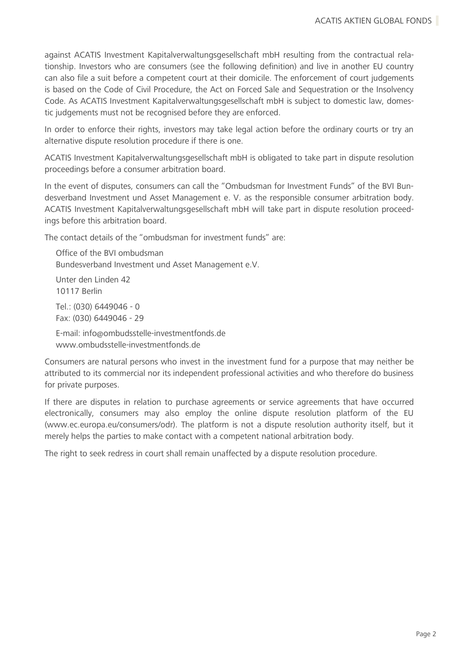against ACATIS Investment Kapitalverwaltungsgesellschaft mbH resulting from the contractual relationship. Investors who are consumers (see the following definition) and live in another EU country can also file a suit before a competent court at their domicile. The enforcement of court judgements is based on the Code of Civil Procedure, the Act on Forced Sale and Sequestration or the Insolvency Code. As ACATIS Investment Kapitalverwaltungsgesellschaft mbH is subject to domestic law, domestic judgements must not be recognised before they are enforced.

In order to enforce their rights, investors may take legal action before the ordinary courts or try an alternative dispute resolution procedure if there is one.

ACATIS Investment Kapitalverwaltungsgesellschaft mbH is obligated to take part in dispute resolution proceedings before a consumer arbitration board.

In the event of disputes, consumers can call the "Ombudsman for Investment Funds" of the BVI Bundesverband Investment und Asset Management e. V. as the responsible consumer arbitration body. ACATIS Investment Kapitalverwaltungsgesellschaft mbH will take part in dispute resolution proceedings before this arbitration board.

The contact details of the "ombudsman for investment funds" are:

Office of the BVI ombudsman Bundesverband Investment und Asset Management e.V. Unter den Linden 42 10117 Berlin Tel.: (030) 6449046 - 0 Fax: (030) 6449046 - 29 E-mail: info@ombudsstelle-investmentfonds.de www.ombudsstelle-investmentfonds.de

Consumers are natural persons who invest in the investment fund for a purpose that may neither be attributed to its commercial nor its independent professional activities and who therefore do business for private purposes.

If there are disputes in relation to purchase agreements or service agreements that have occurred electronically, consumers may also employ the online dispute resolution platform of the EU (www.ec.europa.eu/consumers/odr). The platform is not a dispute resolution authority itself, but it merely helps the parties to make contact with a competent national arbitration body.

The right to seek redress in court shall remain unaffected by a dispute resolution procedure.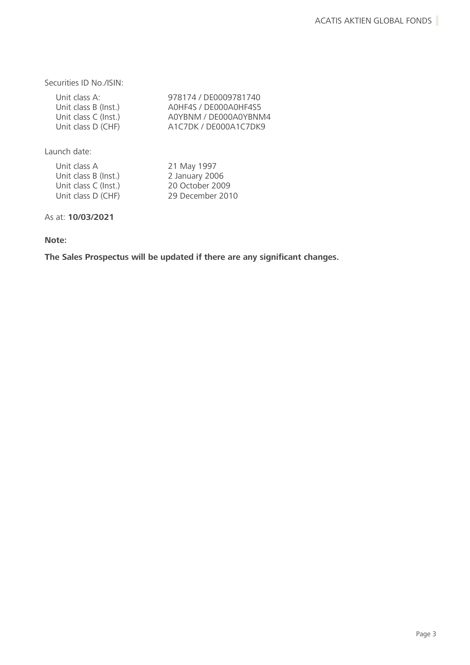Securities ID No./ISIN:

| 978174 / DE0009781740 |
|-----------------------|
| AOHF4S / DE000AOHF4S5 |
| A0YBNM / DE000A0YBNM4 |
| A1C7DK / DE000A1C7DK9 |
|                       |

Launch date:

| Unit class A         | 21 May 1997      |
|----------------------|------------------|
| Unit class B (Inst.) | 2 January 2006   |
| Unit class C (Inst.) | 20 October 2009  |
| Unit class D (CHF)   | 29 December 2010 |
|                      |                  |

As at: **10/03/2021**

### **Note:**

**The Sales Prospectus will be updated if there are any significant changes.**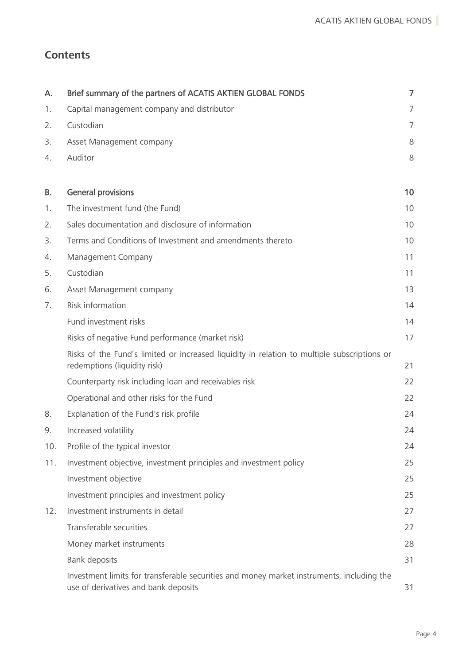# **Contents**

| А.        | Brief summary of the partners of ACATIS AKTIEN GLOBAL FONDS                                                                       | $\overline{7}$ |
|-----------|-----------------------------------------------------------------------------------------------------------------------------------|----------------|
| 1.        | Capital management company and distributor                                                                                        | 7              |
| 2.        | Custodian                                                                                                                         | 7              |
| 3.        | Asset Management company                                                                                                          | 8              |
| 4.        | Auditor                                                                                                                           | 8              |
|           |                                                                                                                                   |                |
| <b>B.</b> | <b>General provisions</b>                                                                                                         | 10             |
| 1.        | The investment fund (the Fund)                                                                                                    | 10             |
| 2.        | Sales documentation and disclosure of information                                                                                 | 10             |
| 3.        | Terms and Conditions of Investment and amendments thereto                                                                         | 10             |
| 4.        | Management Company                                                                                                                | 11             |
| 5.        | Custodian                                                                                                                         | 11             |
| 6.        | Asset Management company                                                                                                          | 13             |
| 7.        | Risk information                                                                                                                  | 14             |
|           | Fund investment risks                                                                                                             | 14             |
|           | Risks of negative Fund performance (market risk)                                                                                  | 17             |
|           | Risks of the Fund's limited or increased liquidity in relation to multiple subscriptions or<br>redemptions (liquidity risk)       | 21             |
|           | Counterparty risk including loan and receivables risk                                                                             | 22             |
|           | Operational and other risks for the Fund                                                                                          | 22             |
| 8.        | Explanation of the Fund's risk profile                                                                                            | 24             |
| 9.        | Increased volatility                                                                                                              | 24             |
| 10.       | Profile of the typical investor                                                                                                   | 24             |
| 11.       | Investment objective, investment principles and investment policy                                                                 | 25             |
|           | Investment objective                                                                                                              | 25             |
|           | Investment principles and investment policy                                                                                       | 25             |
| 12.       | Investment instruments in detail                                                                                                  | 27             |
|           | Transferable securities                                                                                                           | 27             |
|           | Money market instruments                                                                                                          | 28             |
|           | Bank deposits                                                                                                                     | 31             |
|           | Investment limits for transferable securities and money market instruments, including the<br>use of derivatives and bank deposits | 31             |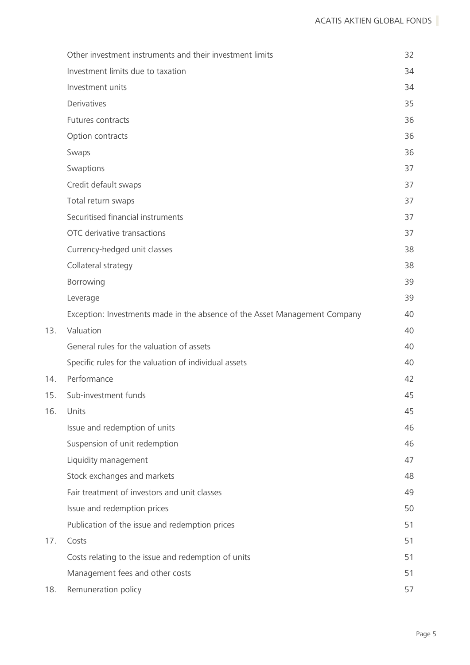|     | Other investment instruments and their investment limits                   | 32 |
|-----|----------------------------------------------------------------------------|----|
|     | Investment limits due to taxation                                          | 34 |
|     | Investment units                                                           | 34 |
|     | Derivatives                                                                | 35 |
|     | Futures contracts                                                          | 36 |
|     | Option contracts                                                           | 36 |
|     | Swaps                                                                      | 36 |
|     | Swaptions                                                                  | 37 |
|     | Credit default swaps                                                       | 37 |
|     | Total return swaps                                                         | 37 |
|     | Securitised financial instruments                                          | 37 |
|     | OTC derivative transactions                                                | 37 |
|     | Currency-hedged unit classes                                               | 38 |
|     | Collateral strategy                                                        | 38 |
|     | Borrowing                                                                  | 39 |
|     | Leverage                                                                   | 39 |
|     | Exception: Investments made in the absence of the Asset Management Company | 40 |
| 13. | Valuation                                                                  | 40 |
|     | General rules for the valuation of assets                                  | 40 |
|     | Specific rules for the valuation of individual assets                      | 40 |
| 14. | Performance                                                                | 42 |
| 15. | Sub-investment funds                                                       | 45 |
| 16. | Units                                                                      | 45 |
|     | Issue and redemption of units                                              | 46 |
|     | Suspension of unit redemption                                              | 46 |
|     | Liquidity management                                                       | 47 |
|     | Stock exchanges and markets                                                | 48 |
|     | Fair treatment of investors and unit classes                               | 49 |
|     | Issue and redemption prices                                                | 50 |
|     | Publication of the issue and redemption prices                             | 51 |
| 17. | Costs                                                                      | 51 |
|     | Costs relating to the issue and redemption of units                        | 51 |
|     | Management fees and other costs                                            | 51 |
| 18. | Remuneration policy                                                        | 57 |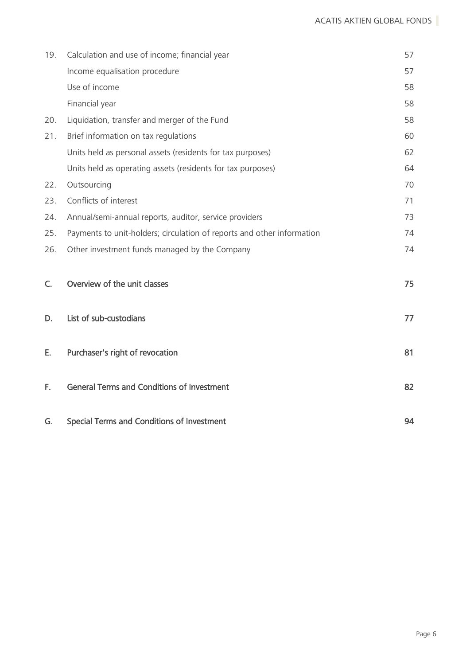| 19. | Calculation and use of income; financial year                          | 57 |
|-----|------------------------------------------------------------------------|----|
|     | Income equalisation procedure                                          | 57 |
|     | Use of income                                                          | 58 |
|     | Financial year                                                         | 58 |
| 20. | Liquidation, transfer and merger of the Fund                           | 58 |
| 21. | Brief information on tax regulations                                   | 60 |
|     | Units held as personal assets (residents for tax purposes)             | 62 |
|     | Units held as operating assets (residents for tax purposes)            | 64 |
| 22. | Outsourcing                                                            | 70 |
| 23. | Conflicts of interest                                                  | 71 |
| 24. | Annual/semi-annual reports, auditor, service providers                 | 73 |
| 25. | Payments to unit-holders; circulation of reports and other information | 74 |
| 26. | Other investment funds managed by the Company                          | 74 |
|     |                                                                        |    |
| C.  | Overview of the unit classes                                           | 75 |
|     |                                                                        |    |
| D.  | List of sub-custodians                                                 | 77 |
|     |                                                                        |    |
| Е.  | Purchaser's right of revocation                                        | 81 |
|     |                                                                        |    |
| F.  | <b>General Terms and Conditions of Investment</b>                      | 82 |
|     |                                                                        |    |
| G.  | <b>Special Terms and Conditions of Investment</b>                      | 94 |
|     |                                                                        |    |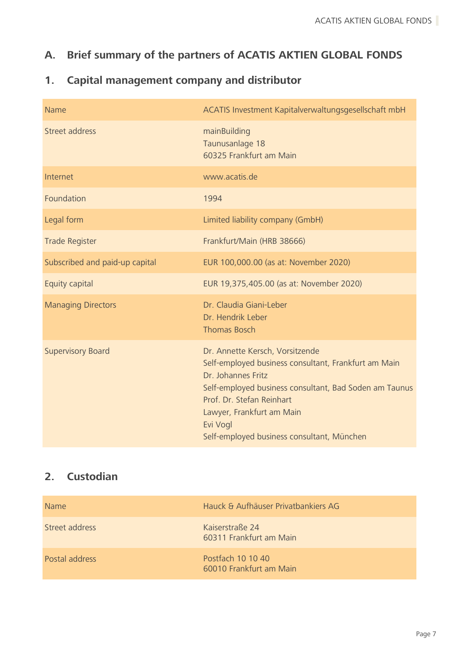# <span id="page-7-0"></span>**A. Brief summary of the partners of ACATIS AKTIEN GLOBAL FONDS**

# <span id="page-7-1"></span>**1. Capital management company and distributor**

| <b>Name</b>                    | ACATIS Investment Kapitalverwaltungsgesellschaft mbH                                                                                                                                                                                                                                        |
|--------------------------------|---------------------------------------------------------------------------------------------------------------------------------------------------------------------------------------------------------------------------------------------------------------------------------------------|
| Street address                 | mainBuilding<br>Taunusanlage 18<br>60325 Frankfurt am Main                                                                                                                                                                                                                                  |
| Internet                       | www.acatis.de                                                                                                                                                                                                                                                                               |
| Foundation                     | 1994                                                                                                                                                                                                                                                                                        |
| Legal form                     | Limited liability company (GmbH)                                                                                                                                                                                                                                                            |
| <b>Trade Register</b>          | Frankfurt/Main (HRB 38666)                                                                                                                                                                                                                                                                  |
| Subscribed and paid-up capital | EUR 100,000.00 (as at: November 2020)                                                                                                                                                                                                                                                       |
| Equity capital                 | EUR 19,375,405.00 (as at: November 2020)                                                                                                                                                                                                                                                    |
| <b>Managing Directors</b>      | Dr. Claudia Giani-Leber<br>Dr. Hendrik Leber<br><b>Thomas Bosch</b>                                                                                                                                                                                                                         |
| <b>Supervisory Board</b>       | Dr. Annette Kersch, Vorsitzende<br>Self-employed business consultant, Frankfurt am Main<br>Dr. Johannes Fritz<br>Self-employed business consultant, Bad Soden am Taunus<br>Prof. Dr. Stefan Reinhart<br>Lawyer, Frankfurt am Main<br>Evi Vogl<br>Self-employed business consultant, München |

# <span id="page-7-2"></span>**2. Custodian**

| <b>Name</b>    | Hauck & Aufhäuser Privatbankiers AG          |
|----------------|----------------------------------------------|
| Street address | Kaiserstraße 24<br>60311 Frankfurt am Main   |
| Postal address | Postfach 10 10 40<br>60010 Frankfurt am Main |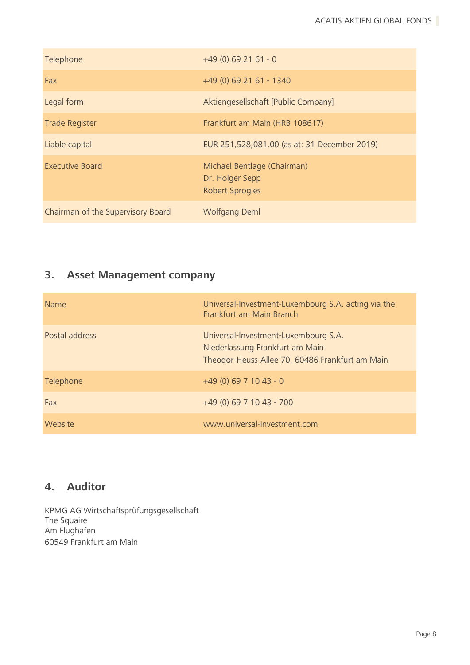| Telephone                         | $+49(0)692161 - 0$                                                       |
|-----------------------------------|--------------------------------------------------------------------------|
| Fax                               | +49 (0) 69 21 61 - 1340                                                  |
| Legal form                        | Aktiengesellschaft [Public Company]                                      |
| <b>Trade Register</b>             | Frankfurt am Main (HRB 108617)                                           |
| Liable capital                    | EUR 251,528,081.00 (as at: 31 December 2019)                             |
| <b>Executive Board</b>            | Michael Bentlage (Chairman)<br>Dr. Holger Sepp<br><b>Robert Sprogies</b> |
| Chairman of the Supervisory Board | <b>Wolfgang Deml</b>                                                     |

# <span id="page-8-0"></span>**3. Asset Management company**

| <b>Name</b>    | Universal-Investment-Luxembourg S.A. acting via the<br>Frankfurt am Main Branch                                            |
|----------------|----------------------------------------------------------------------------------------------------------------------------|
| Postal address | Universal-Investment-Luxembourg S.A.<br>Niederlassung Frankfurt am Main<br>Theodor-Heuss-Allee 70, 60486 Frankfurt am Main |
| Telephone      | $+49(0)6971043 - 0$                                                                                                        |
| Fax            | $+49(0)$ 69 7 10 43 - 700                                                                                                  |
| Website        | www.universal-investment.com                                                                                               |

## <span id="page-8-1"></span>**4. Auditor**

KPMG AG Wirtschaftsprüfungsgesellschaft The Squaire Am Flughafen 60549 Frankfurt am Main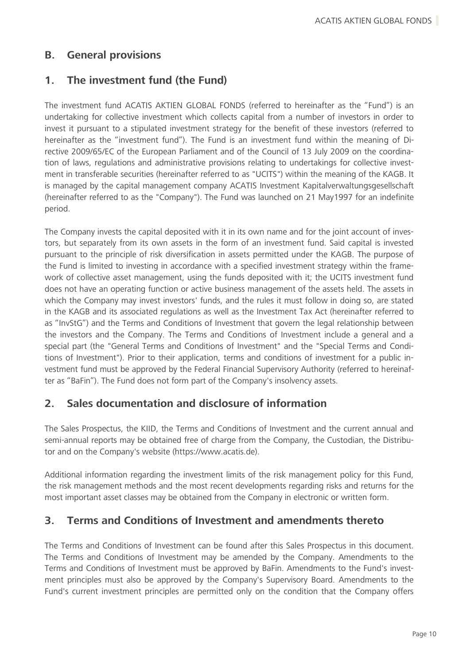### <span id="page-10-0"></span>**B. General provisions**

### <span id="page-10-1"></span>**1. The investment fund (the Fund)**

The investment fund ACATIS AKTIEN GLOBAL FONDS (referred to hereinafter as the "Fund") is an undertaking for collective investment which collects capital from a number of investors in order to invest it pursuant to a stipulated investment strategy for the benefit of these investors (referred to hereinafter as the "investment fund"). The Fund is an investment fund within the meaning of Directive 2009/65/EC of the European Parliament and of the Council of 13 July 2009 on the coordination of laws, regulations and administrative provisions relating to undertakings for collective investment in transferable securities (hereinafter referred to as "UCITS") within the meaning of the KAGB. It is managed by the capital management company ACATIS Investment Kapitalverwaltungsgesellschaft (hereinafter referred to as the "Company"). The Fund was launched on 21 May1997 for an indefinite period.

The Company invests the capital deposited with it in its own name and for the joint account of investors, but separately from its own assets in the form of an investment fund. Said capital is invested pursuant to the principle of risk diversification in assets permitted under the KAGB. The purpose of the Fund is limited to investing in accordance with a specified investment strategy within the framework of collective asset management, using the funds deposited with it; the UCITS investment fund does not have an operating function or active business management of the assets held. The assets in which the Company may invest investors' funds, and the rules it must follow in doing so, are stated in the KAGB and its associated regulations as well as the Investment Tax Act (hereinafter referred to as "InvStG") and the Terms and Conditions of Investment that govern the legal relationship between the investors and the Company. The Terms and Conditions of Investment include a general and a special part (the "General Terms and Conditions of Investment" and the "Special Terms and Conditions of Investment"). Prior to their application, terms and conditions of investment for a public investment fund must be approved by the Federal Financial Supervisory Authority (referred to hereinafter as "BaFin"). The Fund does not form part of the Company's insolvency assets.

### <span id="page-10-2"></span>**2. Sales documentation and disclosure of information**

The Sales Prospectus, the KIID, the Terms and Conditions of Investment and the current annual and semi-annual reports may be obtained free of charge from the Company, the Custodian, the Distributor and on the Company's website (https://www.acatis.de).

Additional information regarding the investment limits of the risk management policy for this Fund, the risk management methods and the most recent developments regarding risks and returns for the most important asset classes may be obtained from the Company in electronic or written form.

### <span id="page-10-3"></span>**3. Terms and Conditions of Investment and amendments thereto**

The Terms and Conditions of Investment can be found after this Sales Prospectus in this document. The Terms and Conditions of Investment may be amended by the Company. Amendments to the Terms and Conditions of Investment must be approved by BaFin. Amendments to the Fund's investment principles must also be approved by the Company's Supervisory Board. Amendments to the Fund's current investment principles are permitted only on the condition that the Company offers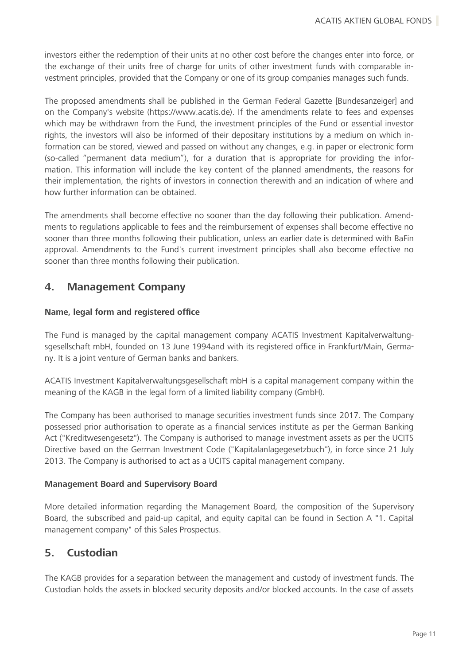investors either the redemption of their units at no other cost before the changes enter into force, or the exchange of their units free of charge for units of other investment funds with comparable investment principles, provided that the Company or one of its group companies manages such funds.

The proposed amendments shall be published in the German Federal Gazette [Bundesanzeiger] and on the Company's website (https://www.acatis.de). If the amendments relate to fees and expenses which may be withdrawn from the Fund, the investment principles of the Fund or essential investor rights, the investors will also be informed of their depositary institutions by a medium on which information can be stored, viewed and passed on without any changes, e.g. in paper or electronic form (so-called "permanent data medium"), for a duration that is appropriate for providing the information. This information will include the key content of the planned amendments, the reasons for their implementation, the rights of investors in connection therewith and an indication of where and how further information can be obtained.

The amendments shall become effective no sooner than the day following their publication. Amendments to regulations applicable to fees and the reimbursement of expenses shall become effective no sooner than three months following their publication, unless an earlier date is determined with BaFin approval. Amendments to the Fund's current investment principles shall also become effective no sooner than three months following their publication.

### <span id="page-11-0"></span>**4. Management Company**

#### **Name, legal form and registered office**

The Fund is managed by the capital management company ACATIS Investment Kapitalverwaltungsgesellschaft mbH, founded on 13 June 1994and with its registered office in Frankfurt/Main, Germany. It is a joint venture of German banks and bankers.

ACATIS Investment Kapitalverwaltungsgesellschaft mbH is a capital management company within the meaning of the KAGB in the legal form of a limited liability company (GmbH).

The Company has been authorised to manage securities investment funds since 2017. The Company possessed prior authorisation to operate as a financial services institute as per the German Banking Act ("Kreditwesengesetz"). The Company is authorised to manage investment assets as per the UCITS Directive based on the German Investment Code ("Kapitalanlagegesetzbuch"), in force since 21 July 2013. The Company is authorised to act as a UCITS capital management company.

#### **Management Board and Supervisory Board**

More detailed information regarding the Management Board, the composition of the Supervisory Board, the subscribed and paid-up capital, and equity capital can be found in Section A "1. Capital management company" of this Sales Prospectus.

### <span id="page-11-1"></span>**5. Custodian**

The KAGB provides for a separation between the management and custody of investment funds. The Custodian holds the assets in blocked security deposits and/or blocked accounts. In the case of assets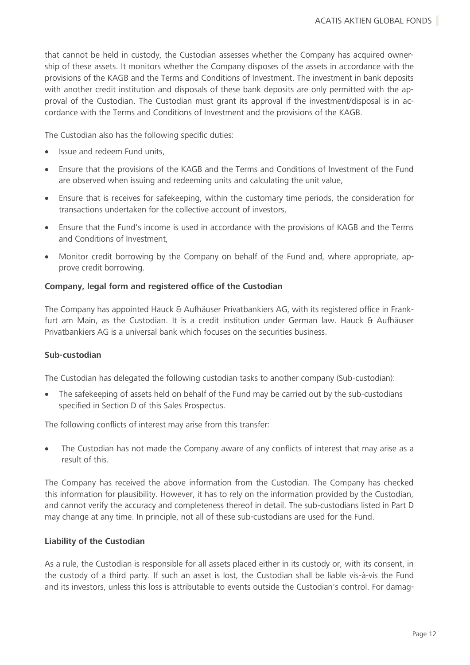that cannot be held in custody, the Custodian assesses whether the Company has acquired ownership of these assets. It monitors whether the Company disposes of the assets in accordance with the provisions of the KAGB and the Terms and Conditions of Investment. The investment in bank deposits with another credit institution and disposals of these bank deposits are only permitted with the approval of the Custodian. The Custodian must grant its approval if the investment/disposal is in accordance with the Terms and Conditions of Investment and the provisions of the KAGB.

The Custodian also has the following specific duties:

- Issue and redeem Fund units,
- Ensure that the provisions of the KAGB and the Terms and Conditions of Investment of the Fund are observed when issuing and redeeming units and calculating the unit value,
- Ensure that is receives for safekeeping, within the customary time periods, the consideration for transactions undertaken for the collective account of investors,
- Ensure that the Fund's income is used in accordance with the provisions of KAGB and the Terms and Conditions of Investment,
- Monitor credit borrowing by the Company on behalf of the Fund and, where appropriate, approve credit borrowing.

#### **Company, legal form and registered office of the Custodian**

The Company has appointed Hauck & Aufhäuser Privatbankiers AG, with its registered office in Frankfurt am Main, as the Custodian. It is a credit institution under German law. Hauck & Aufhäuser Privatbankiers AG is a universal bank which focuses on the securities business.

#### **Sub-custodian**

The Custodian has delegated the following custodian tasks to another company (Sub-custodian):

• The safekeeping of assets held on behalf of the Fund may be carried out by the sub-custodians specified in Section D of this Sales Prospectus.

The following conflicts of interest may arise from this transfer:

• The Custodian has not made the Company aware of any conflicts of interest that may arise as a result of this.

The Company has received the above information from the Custodian. The Company has checked this information for plausibility. However, it has to rely on the information provided by the Custodian, and cannot verify the accuracy and completeness thereof in detail. The sub-custodians listed in Part D may change at any time. In principle, not all of these sub-custodians are used for the Fund.

#### **Liability of the Custodian**

As a rule, the Custodian is responsible for all assets placed either in its custody or, with its consent, in the custody of a third party. If such an asset is lost, the Custodian shall be liable vis-à-vis the Fund and its investors, unless this loss is attributable to events outside the Custodian's control. For damag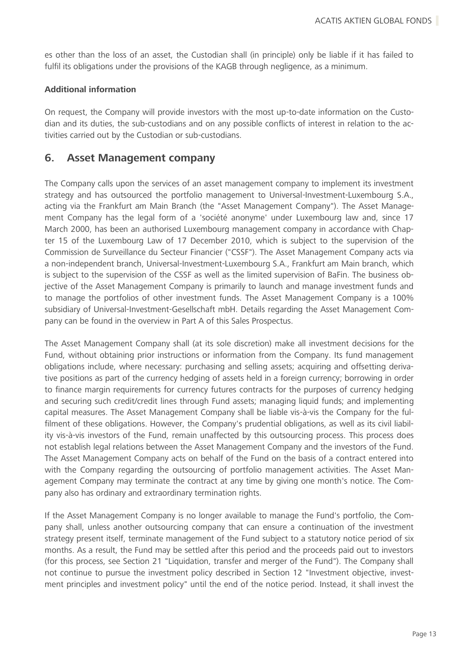es other than the loss of an asset, the Custodian shall (in principle) only be liable if it has failed to fulfil its obligations under the provisions of the KAGB through negligence, as a minimum.

#### **Additional information**

On request, the Company will provide investors with the most up-to-date information on the Custodian and its duties, the sub-custodians and on any possible conflicts of interest in relation to the activities carried out by the Custodian or sub-custodians.

### <span id="page-13-0"></span>**6. Asset Management company**

The Company calls upon the services of an asset management company to implement its investment strategy and has outsourced the portfolio management to Universal-Investment-Luxembourg S.A., acting via the Frankfurt am Main Branch (the "Asset Management Company"). The Asset Management Company has the legal form of a 'société anonyme' under Luxembourg law and, since 17 March 2000, has been an authorised Luxembourg management company in accordance with Chapter 15 of the Luxembourg Law of 17 December 2010, which is subject to the supervision of the Commission de Surveillance du Secteur Financier ("CSSF"). The Asset Management Company acts via a non-independent branch, Universal-Investment-Luxembourg S.A., Frankfurt am Main branch, which is subject to the supervision of the CSSF as well as the limited supervision of BaFin. The business objective of the Asset Management Company is primarily to launch and manage investment funds and to manage the portfolios of other investment funds. The Asset Management Company is a 100% subsidiary of Universal-Investment-Gesellschaft mbH. Details regarding the Asset Management Company can be found in the overview in Part A of this Sales Prospectus.

The Asset Management Company shall (at its sole discretion) make all investment decisions for the Fund, without obtaining prior instructions or information from the Company. Its fund management obligations include, where necessary: purchasing and selling assets; acquiring and offsetting derivative positions as part of the currency hedging of assets held in a foreign currency; borrowing in order to finance margin requirements for currency futures contracts for the purposes of currency hedging and securing such credit/credit lines through Fund assets; managing liquid funds; and implementing capital measures. The Asset Management Company shall be liable vis-à-vis the Company for the fulfilment of these obligations. However, the Company's prudential obligations, as well as its civil liability vis-à-vis investors of the Fund, remain unaffected by this outsourcing process. This process does not establish legal relations between the Asset Management Company and the investors of the Fund. The Asset Management Company acts on behalf of the Fund on the basis of a contract entered into with the Company regarding the outsourcing of portfolio management activities. The Asset Management Company may terminate the contract at any time by giving one month's notice. The Company also has ordinary and extraordinary termination rights.

If the Asset Management Company is no longer available to manage the Fund's portfolio, the Company shall, unless another outsourcing company that can ensure a continuation of the investment strategy present itself, terminate management of the Fund subject to a statutory notice period of six months. As a result, the Fund may be settled after this period and the proceeds paid out to investors (for this process, see Section 21 "Liquidation, transfer and merger of the Fund"). The Company shall not continue to pursue the investment policy described in Section 12 "Investment objective, investment principles and investment policy" until the end of the notice period. Instead, it shall invest the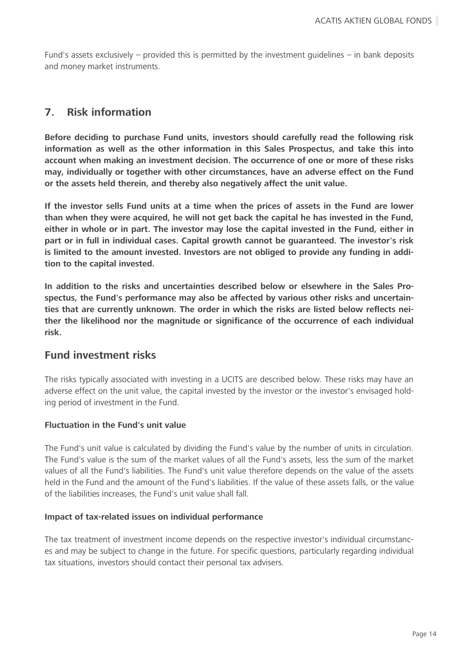Fund's assets exclusively – provided this is permitted by the investment guidelines – in bank deposits and money market instruments.

### <span id="page-14-0"></span>**7. Risk information**

**Before deciding to purchase Fund units, investors should carefully read the following risk information as well as the other information in this Sales Prospectus, and take this into account when making an investment decision. The occurrence of one or more of these risks may, individually or together with other circumstances, have an adverse effect on the Fund or the assets held therein, and thereby also negatively affect the unit value.**

**If the investor sells Fund units at a time when the prices of assets in the Fund are lower than when they were acquired, he will not get back the capital he has invested in the Fund, either in whole or in part. The investor may lose the capital invested in the Fund, either in part or in full in individual cases. Capital growth cannot be guaranteed. The investor's risk is limited to the amount invested. Investors are not obliged to provide any funding in addition to the capital invested.**

**In addition to the risks and uncertainties described below or elsewhere in the Sales Prospectus, the Fund's performance may also be affected by various other risks and uncertainties that are currently unknown. The order in which the risks are listed below reflects neither the likelihood nor the magnitude or significance of the occurrence of each individual risk.**

### <span id="page-14-1"></span>**Fund investment risks**

The risks typically associated with investing in a UCITS are described below. These risks may have an adverse effect on the unit value, the capital invested by the investor or the investor's envisaged holding period of investment in the Fund.

#### **Fluctuation in the Fund's unit value**

The Fund's unit value is calculated by dividing the Fund's value by the number of units in circulation. The Fund's value is the sum of the market values of all the Fund's assets, less the sum of the market values of all the Fund's liabilities. The Fund's unit value therefore depends on the value of the assets held in the Fund and the amount of the Fund's liabilities. If the value of these assets falls, or the value of the liabilities increases, the Fund's unit value shall fall.

#### **Impact of tax-related issues on individual performance**

The tax treatment of investment income depends on the respective investor's individual circumstances and may be subject to change in the future. For specific questions, particularly regarding individual tax situations, investors should contact their personal tax advisers.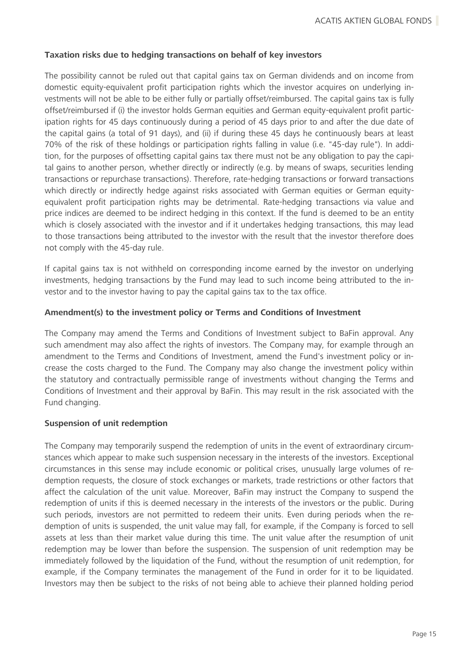#### **Taxation risks due to hedging transactions on behalf of key investors**

The possibility cannot be ruled out that capital gains tax on German dividends and on income from domestic equity-equivalent profit participation rights which the investor acquires on underlying investments will not be able to be either fully or partially offset/reimbursed. The capital gains tax is fully offset/reimbursed if (i) the investor holds German equities and German equity-equivalent profit participation rights for 45 days continuously during a period of 45 days prior to and after the due date of the capital gains (a total of 91 days), and (ii) if during these 45 days he continuously bears at least 70% of the risk of these holdings or participation rights falling in value (i.e. "45-day rule"). In addition, for the purposes of offsetting capital gains tax there must not be any obligation to pay the capital gains to another person, whether directly or indirectly (e.g. by means of swaps, securities lending transactions or repurchase transactions). Therefore, rate-hedging transactions or forward transactions which directly or indirectly hedge against risks associated with German equities or German equityequivalent profit participation rights may be detrimental. Rate-hedging transactions via value and price indices are deemed to be indirect hedging in this context. If the fund is deemed to be an entity which is closely associated with the investor and if it undertakes hedging transactions, this may lead to those transactions being attributed to the investor with the result that the investor therefore does not comply with the 45-day rule.

If capital gains tax is not withheld on corresponding income earned by the investor on underlying investments, hedging transactions by the Fund may lead to such income being attributed to the investor and to the investor having to pay the capital gains tax to the tax office.

#### **Amendment(s) to the investment policy or Terms and Conditions of Investment**

The Company may amend the Terms and Conditions of Investment subject to BaFin approval. Any such amendment may also affect the rights of investors. The Company may, for example through an amendment to the Terms and Conditions of Investment, amend the Fund's investment policy or increase the costs charged to the Fund. The Company may also change the investment policy within the statutory and contractually permissible range of investments without changing the Terms and Conditions of Investment and their approval by BaFin. This may result in the risk associated with the Fund changing.

#### **Suspension of unit redemption**

The Company may temporarily suspend the redemption of units in the event of extraordinary circumstances which appear to make such suspension necessary in the interests of the investors. Exceptional circumstances in this sense may include economic or political crises, unusually large volumes of redemption requests, the closure of stock exchanges or markets, trade restrictions or other factors that affect the calculation of the unit value. Moreover, BaFin may instruct the Company to suspend the redemption of units if this is deemed necessary in the interests of the investors or the public. During such periods, investors are not permitted to redeem their units. Even during periods when the redemption of units is suspended, the unit value may fall, for example, if the Company is forced to sell assets at less than their market value during this time. The unit value after the resumption of unit redemption may be lower than before the suspension. The suspension of unit redemption may be immediately followed by the liquidation of the Fund, without the resumption of unit redemption, for example, if the Company terminates the management of the Fund in order for it to be liquidated. Investors may then be subject to the risks of not being able to achieve their planned holding period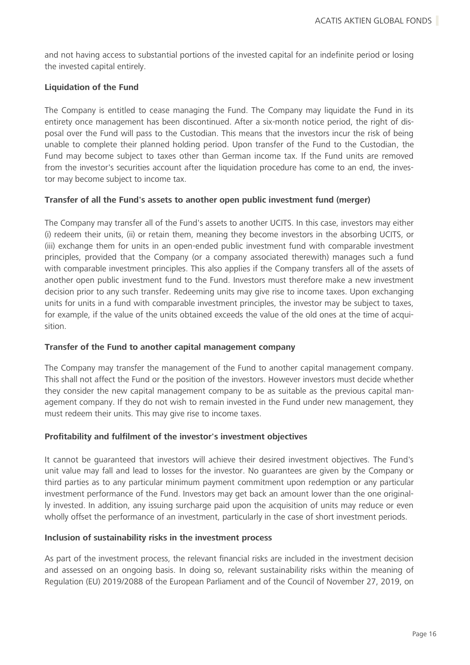and not having access to substantial portions of the invested capital for an indefinite period or losing the invested capital entirely.

#### **Liquidation of the Fund**

The Company is entitled to cease managing the Fund. The Company may liquidate the Fund in its entirety once management has been discontinued. After a six-month notice period, the right of disposal over the Fund will pass to the Custodian. This means that the investors incur the risk of being unable to complete their planned holding period. Upon transfer of the Fund to the Custodian, the Fund may become subject to taxes other than German income tax. If the Fund units are removed from the investor's securities account after the liquidation procedure has come to an end, the investor may become subject to income tax.

#### **Transfer of all the Fund's assets to another open public investment fund (merger)**

The Company may transfer all of the Fund's assets to another UCITS. In this case, investors may either (i) redeem their units, (ii) or retain them, meaning they become investors in the absorbing UCITS, or (iii) exchange them for units in an open-ended public investment fund with comparable investment principles, provided that the Company (or a company associated therewith) manages such a fund with comparable investment principles. This also applies if the Company transfers all of the assets of another open public investment fund to the Fund. Investors must therefore make a new investment decision prior to any such transfer. Redeeming units may give rise to income taxes. Upon exchanging units for units in a fund with comparable investment principles, the investor may be subject to taxes, for example, if the value of the units obtained exceeds the value of the old ones at the time of acquisition.

#### **Transfer of the Fund to another capital management company**

The Company may transfer the management of the Fund to another capital management company. This shall not affect the Fund or the position of the investors. However investors must decide whether they consider the new capital management company to be as suitable as the previous capital management company. If they do not wish to remain invested in the Fund under new management, they must redeem their units. This may give rise to income taxes.

#### **Profitability and fulfilment of the investor's investment objectives**

It cannot be guaranteed that investors will achieve their desired investment objectives. The Fund's unit value may fall and lead to losses for the investor. No guarantees are given by the Company or third parties as to any particular minimum payment commitment upon redemption or any particular investment performance of the Fund. Investors may get back an amount lower than the one originally invested. In addition, any issuing surcharge paid upon the acquisition of units may reduce or even wholly offset the performance of an investment, particularly in the case of short investment periods.

#### **Inclusion of sustainability risks in the investment process**

As part of the investment process, the relevant financial risks are included in the investment decision and assessed on an ongoing basis. In doing so, relevant sustainability risks within the meaning of Regulation (EU) 2019/2088 of the European Parliament and of the Council of November 27, 2019, on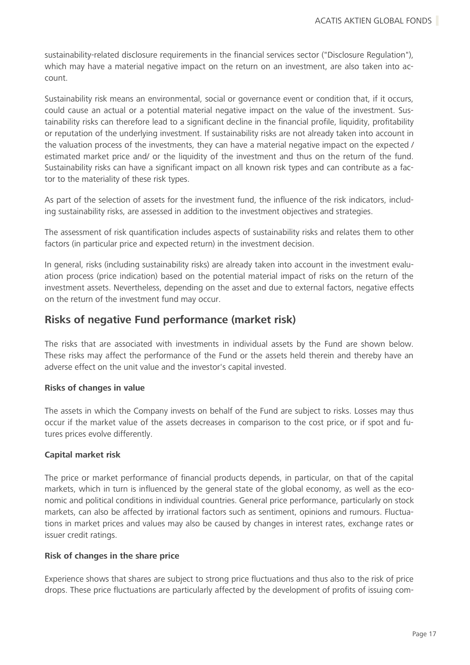sustainability-related disclosure requirements in the financial services sector ("Disclosure Regulation"), which may have a material negative impact on the return on an investment, are also taken into account.

Sustainability risk means an environmental, social or governance event or condition that, if it occurs, could cause an actual or a potential material negative impact on the value of the investment. Sustainability risks can therefore lead to a significant decline in the financial profile, liquidity, profitability or reputation of the underlying investment. If sustainability risks are not already taken into account in the valuation process of the investments, they can have a material negative impact on the expected / estimated market price and/ or the liquidity of the investment and thus on the return of the fund. Sustainability risks can have a significant impact on all known risk types and can contribute as a factor to the materiality of these risk types.

As part of the selection of assets for the investment fund, the influence of the risk indicators, including sustainability risks, are assessed in addition to the investment objectives and strategies.

The assessment of risk quantification includes aspects of sustainability risks and relates them to other factors (in particular price and expected return) in the investment decision.

In general, risks (including sustainability risks) are already taken into account in the investment evaluation process (price indication) based on the potential material impact of risks on the return of the investment assets. Nevertheless, depending on the asset and due to external factors, negative effects on the return of the investment fund may occur.

### <span id="page-17-0"></span>**Risks of negative Fund performance (market risk)**

The risks that are associated with investments in individual assets by the Fund are shown below. These risks may affect the performance of the Fund or the assets held therein and thereby have an adverse effect on the unit value and the investor's capital invested.

#### **Risks of changes in value**

The assets in which the Company invests on behalf of the Fund are subject to risks. Losses may thus occur if the market value of the assets decreases in comparison to the cost price, or if spot and futures prices evolve differently.

#### **Capital market risk**

The price or market performance of financial products depends, in particular, on that of the capital markets, which in turn is influenced by the general state of the global economy, as well as the economic and political conditions in individual countries. General price performance, particularly on stock markets, can also be affected by irrational factors such as sentiment, opinions and rumours. Fluctuations in market prices and values may also be caused by changes in interest rates, exchange rates or issuer credit ratings.

#### **Risk of changes in the share price**

Experience shows that shares are subject to strong price fluctuations and thus also to the risk of price drops. These price fluctuations are particularly affected by the development of profits of issuing com-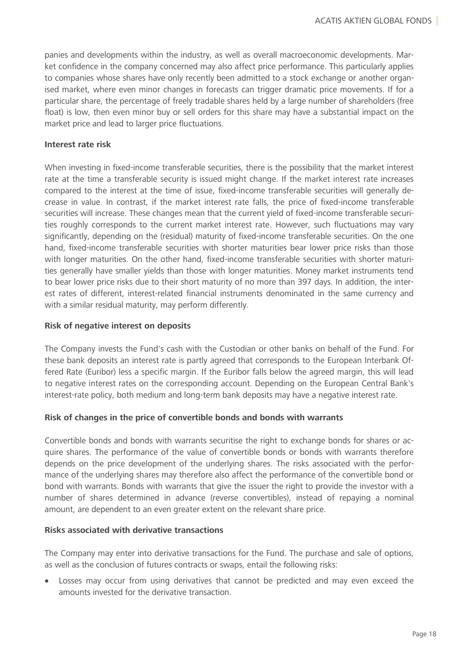panies and developments within the industry, as well as overall macroeconomic developments. Market confidence in the company concerned may also affect price performance. This particularly applies to companies whose shares have only recently been admitted to a stock exchange or another organised market, where even minor changes in forecasts can trigger dramatic price movements. If for a particular share, the percentage of freely tradable shares held by a large number of shareholders (free float) is low, then even minor buy or sell orders for this share may have a substantial impact on the market price and lead to larger price fluctuations.

#### **Interest rate risk**

When investing in fixed-income transferable securities, there is the possibility that the market interest rate at the time a transferable security is issued might change. If the market interest rate increases compared to the interest at the time of issue, fixed-income transferable securities will generally decrease in value. In contrast, if the market interest rate falls, the price of fixed-income transferable securities will increase. These changes mean that the current yield of fixed-income transferable securities roughly corresponds to the current market interest rate. However, such fluctuations may vary significantly, depending on the (residual) maturity of fixed-income transferable securities. On the one hand, fixed-income transferable securities with shorter maturities bear lower price risks than those with longer maturities. On the other hand, fixed-income transferable securities with shorter maturities generally have smaller yields than those with longer maturities. Money market instruments tend to bear lower price risks due to their short maturity of no more than 397 days. In addition, the interest rates of different, interest-related financial instruments denominated in the same currency and with a similar residual maturity, may perform differently.

#### **Risk of negative interest on deposits**

The Company invests the Fund's cash with the Custodian or other banks on behalf of the Fund. For these bank deposits an interest rate is partly agreed that corresponds to the European Interbank Offered Rate (Euribor) less a specific margin. If the Euribor falls below the agreed margin, this will lead to negative interest rates on the corresponding account. Depending on the European Central Bank's interest-rate policy, both medium and long-term bank deposits may have a negative interest rate.

#### **Risk of changes in the price of convertible bonds and bonds with warrants**

Convertible bonds and bonds with warrants securitise the right to exchange bonds for shares or acquire shares. The performance of the value of convertible bonds or bonds with warrants therefore depends on the price development of the underlying shares. The risks associated with the performance of the underlying shares may therefore also affect the performance of the convertible bond or bond with warrants. Bonds with warrants that give the issuer the right to provide the investor with a number of shares determined in advance (reverse convertibles), instead of repaying a nominal amount, are dependent to an even greater extent on the relevant share price.

#### **Risks associated with derivative transactions**

The Company may enter into derivative transactions for the Fund. The purchase and sale of options, as well as the conclusion of futures contracts or swaps, entail the following risks:

• Losses may occur from using derivatives that cannot be predicted and may even exceed the amounts invested for the derivative transaction.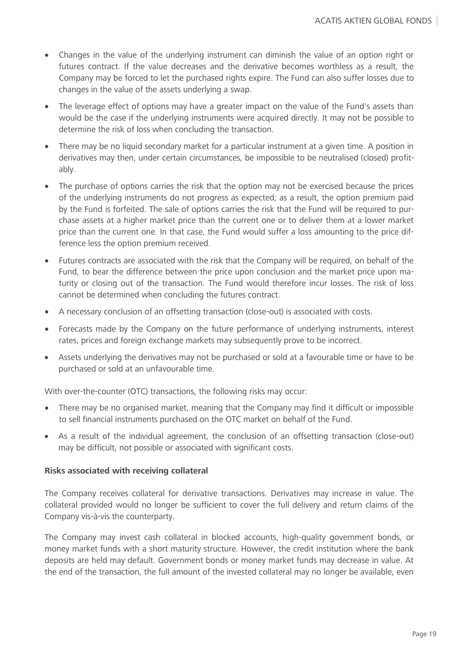- Changes in the value of the underlying instrument can diminish the value of an option right or futures contract. If the value decreases and the derivative becomes worthless as a result, the Company may be forced to let the purchased rights expire. The Fund can also suffer losses due to changes in the value of the assets underlying a swap.
- The leverage effect of options may have a greater impact on the value of the Fund's assets than would be the case if the underlying instruments were acquired directly. It may not be possible to determine the risk of loss when concluding the transaction.
- There may be no liquid secondary market for a particular instrument at a given time. A position in derivatives may then, under certain circumstances, be impossible to be neutralised (closed) profitably.
- The purchase of options carries the risk that the option may not be exercised because the prices of the underlying instruments do not progress as expected; as a result, the option premium paid by the Fund is forfeited. The sale of options carries the risk that the Fund will be required to purchase assets at a higher market price than the current one or to deliver them at a lower market price than the current one. In that case, the Fund would suffer a loss amounting to the price difference less the option premium received.
- Futures contracts are associated with the risk that the Company will be required, on behalf of the Fund, to bear the difference between the price upon conclusion and the market price upon maturity or closing out of the transaction. The Fund would therefore incur losses. The risk of loss cannot be determined when concluding the futures contract.
- A necessary conclusion of an offsetting transaction (close-out) is associated with costs.
- Forecasts made by the Company on the future performance of underlying instruments, interest rates, prices and foreign exchange markets may subsequently prove to be incorrect.
- Assets underlying the derivatives may not be purchased or sold at a favourable time or have to be purchased or sold at an unfavourable time.

With over-the-counter (OTC) transactions, the following risks may occur:

- There may be no organised market, meaning that the Company may find it difficult or impossible to sell financial instruments purchased on the OTC market on behalf of the Fund.
- As a result of the individual agreement, the conclusion of an offsetting transaction (close-out) may be difficult, not possible or associated with significant costs.

#### **Risks associated with receiving collateral**

The Company receives collateral for derivative transactions. Derivatives may increase in value. The collateral provided would no longer be sufficient to cover the full delivery and return claims of the Company vis-à-vis the counterparty.

The Company may invest cash collateral in blocked accounts, high-quality government bonds, or money market funds with a short maturity structure. However, the credit institution where the bank deposits are held may default. Government bonds or money market funds may decrease in value. At the end of the transaction, the full amount of the invested collateral may no longer be available, even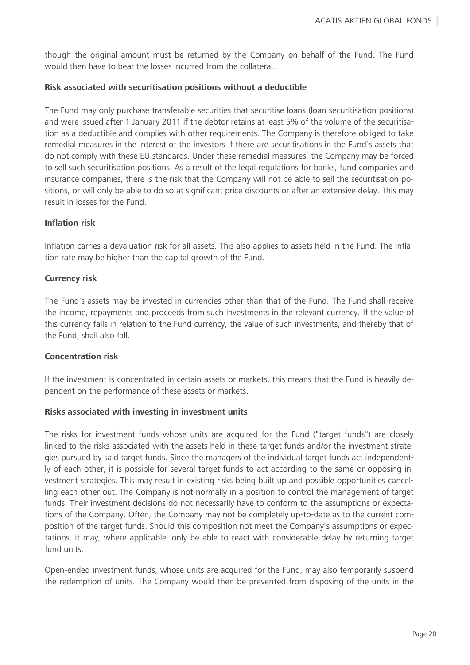though the original amount must be returned by the Company on behalf of the Fund. The Fund would then have to bear the losses incurred from the collateral.

#### **Risk associated with securitisation positions without a deductible**

The Fund may only purchase transferable securities that securitise loans (loan securitisation positions) and were issued after 1 January 2011 if the debtor retains at least 5% of the volume of the securitisation as a deductible and complies with other requirements. The Company is therefore obliged to take remedial measures in the interest of the investors if there are securitisations in the Fund's assets that do not comply with these EU standards. Under these remedial measures, the Company may be forced to sell such securitisation positions. As a result of the legal regulations for banks, fund companies and insurance companies, there is the risk that the Company will not be able to sell the securitisation positions, or will only be able to do so at significant price discounts or after an extensive delay. This may result in losses for the Fund.

#### **Inflation risk**

Inflation carries a devaluation risk for all assets. This also applies to assets held in the Fund. The inflation rate may be higher than the capital growth of the Fund.

#### **Currency risk**

The Fund's assets may be invested in currencies other than that of the Fund. The Fund shall receive the income, repayments and proceeds from such investments in the relevant currency. If the value of this currency falls in relation to the Fund currency, the value of such investments, and thereby that of the Fund, shall also fall.

#### **Concentration risk**

If the investment is concentrated in certain assets or markets, this means that the Fund is heavily dependent on the performance of these assets or markets.

#### **Risks associated with investing in investment units**

The risks for investment funds whose units are acquired for the Fund ("target funds") are closely linked to the risks associated with the assets held in these target funds and/or the investment strategies pursued by said target funds. Since the managers of the individual target funds act independently of each other, it is possible for several target funds to act according to the same or opposing investment strategies. This may result in existing risks being built up and possible opportunities cancelling each other out. The Company is not normally in a position to control the management of target funds. Their investment decisions do not necessarily have to conform to the assumptions or expectations of the Company. Often, the Company may not be completely up-to-date as to the current composition of the target funds. Should this composition not meet the Company's assumptions or expectations, it may, where applicable, only be able to react with considerable delay by returning target fund units.

Open-ended investment funds, whose units are acquired for the Fund, may also temporarily suspend the redemption of units. The Company would then be prevented from disposing of the units in the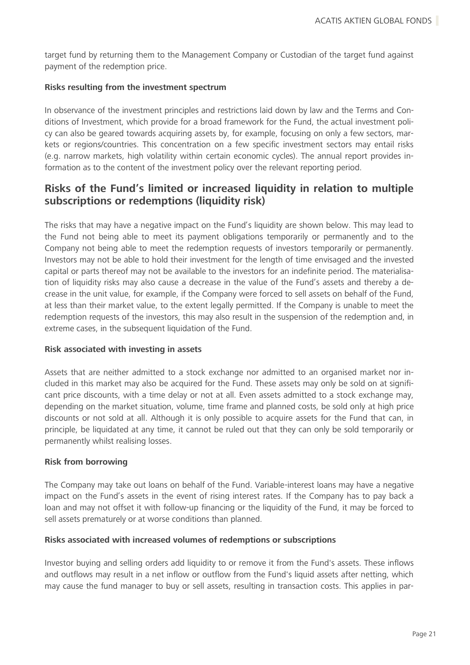target fund by returning them to the Management Company or Custodian of the target fund against payment of the redemption price.

#### **Risks resulting from the investment spectrum**

In observance of the investment principles and restrictions laid down by law and the Terms and Conditions of Investment, which provide for a broad framework for the Fund, the actual investment policy can also be geared towards acquiring assets by, for example, focusing on only a few sectors, markets or regions/countries. This concentration on a few specific investment sectors may entail risks (e.g. narrow markets, high volatility within certain economic cycles). The annual report provides information as to the content of the investment policy over the relevant reporting period.

### <span id="page-21-0"></span>**Risks of the Fund's limited or increased liquidity in relation to multiple subscriptions or redemptions (liquidity risk)**

The risks that may have a negative impact on the Fund's liquidity are shown below. This may lead to the Fund not being able to meet its payment obligations temporarily or permanently and to the Company not being able to meet the redemption requests of investors temporarily or permanently. Investors may not be able to hold their investment for the length of time envisaged and the invested capital or parts thereof may not be available to the investors for an indefinite period. The materialisation of liquidity risks may also cause a decrease in the value of the Fund's assets and thereby a decrease in the unit value, for example, if the Company were forced to sell assets on behalf of the Fund, at less than their market value, to the extent legally permitted. If the Company is unable to meet the redemption requests of the investors, this may also result in the suspension of the redemption and, in extreme cases, in the subsequent liquidation of the Fund.

#### **Risk associated with investing in assets**

Assets that are neither admitted to a stock exchange nor admitted to an organised market nor included in this market may also be acquired for the Fund. These assets may only be sold on at significant price discounts, with a time delay or not at all. Even assets admitted to a stock exchange may, depending on the market situation, volume, time frame and planned costs, be sold only at high price discounts or not sold at all. Although it is only possible to acquire assets for the Fund that can, in principle, be liquidated at any time, it cannot be ruled out that they can only be sold temporarily or permanently whilst realising losses.

#### **Risk from borrowing**

The Company may take out loans on behalf of the Fund. Variable-interest loans may have a negative impact on the Fund's assets in the event of rising interest rates. If the Company has to pay back a loan and may not offset it with follow-up financing or the liquidity of the Fund, it may be forced to sell assets prematurely or at worse conditions than planned.

#### **Risks associated with increased volumes of redemptions or subscriptions**

Investor buying and selling orders add liquidity to or remove it from the Fund's assets. These inflows and outflows may result in a net inflow or outflow from the Fund's liquid assets after netting, which may cause the fund manager to buy or sell assets, resulting in transaction costs. This applies in par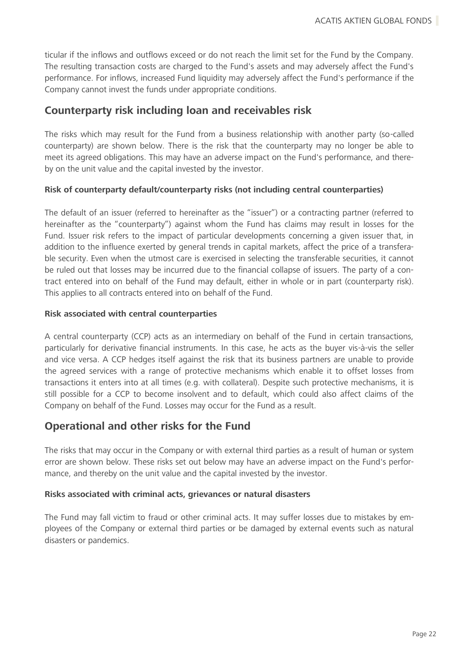ticular if the inflows and outflows exceed or do not reach the limit set for the Fund by the Company. The resulting transaction costs are charged to the Fund's assets and may adversely affect the Fund's performance. For inflows, increased Fund liquidity may adversely affect the Fund's performance if the Company cannot invest the funds under appropriate conditions.

### <span id="page-22-0"></span>**Counterparty risk including loan and receivables risk**

The risks which may result for the Fund from a business relationship with another party (so-called counterparty) are shown below. There is the risk that the counterparty may no longer be able to meet its agreed obligations. This may have an adverse impact on the Fund's performance, and thereby on the unit value and the capital invested by the investor.

#### **Risk of counterparty default/counterparty risks (not including central counterparties)**

The default of an issuer (referred to hereinafter as the "issuer") or a contracting partner (referred to hereinafter as the "counterparty") against whom the Fund has claims may result in losses for the Fund. Issuer risk refers to the impact of particular developments concerning a given issuer that, in addition to the influence exerted by general trends in capital markets, affect the price of a transferable security. Even when the utmost care is exercised in selecting the transferable securities, it cannot be ruled out that losses may be incurred due to the financial collapse of issuers. The party of a contract entered into on behalf of the Fund may default, either in whole or in part (counterparty risk). This applies to all contracts entered into on behalf of the Fund.

#### **Risk associated with central counterparties**

A central counterparty (CCP) acts as an intermediary on behalf of the Fund in certain transactions, particularly for derivative financial instruments. In this case, he acts as the buyer vis-à-vis the seller and vice versa. A CCP hedges itself against the risk that its business partners are unable to provide the agreed services with a range of protective mechanisms which enable it to offset losses from transactions it enters into at all times (e.g. with collateral). Despite such protective mechanisms, it is still possible for a CCP to become insolvent and to default, which could also affect claims of the Company on behalf of the Fund. Losses may occur for the Fund as a result.

### <span id="page-22-1"></span>**Operational and other risks for the Fund**

The risks that may occur in the Company or with external third parties as a result of human or system error are shown below. These risks set out below may have an adverse impact on the Fund's performance, and thereby on the unit value and the capital invested by the investor.

#### **Risks associated with criminal acts, grievances or natural disasters**

The Fund may fall victim to fraud or other criminal acts. It may suffer losses due to mistakes by employees of the Company or external third parties or be damaged by external events such as natural disasters or pandemics.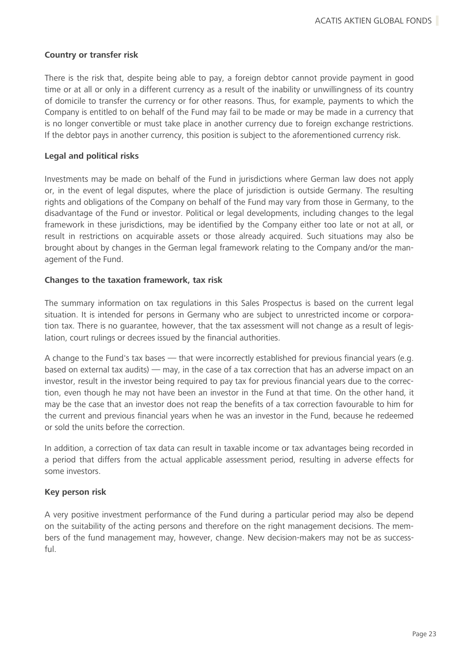#### **Country or transfer risk**

There is the risk that, despite being able to pay, a foreign debtor cannot provide payment in good time or at all or only in a different currency as a result of the inability or unwillingness of its country of domicile to transfer the currency or for other reasons. Thus, for example, payments to which the Company is entitled to on behalf of the Fund may fail to be made or may be made in a currency that is no longer convertible or must take place in another currency due to foreign exchange restrictions. If the debtor pays in another currency, this position is subject to the aforementioned currency risk.

#### **Legal and political risks**

Investments may be made on behalf of the Fund in jurisdictions where German law does not apply or, in the event of legal disputes, where the place of jurisdiction is outside Germany. The resulting rights and obligations of the Company on behalf of the Fund may vary from those in Germany, to the disadvantage of the Fund or investor. Political or legal developments, including changes to the legal framework in these jurisdictions, may be identified by the Company either too late or not at all, or result in restrictions on acquirable assets or those already acquired. Such situations may also be brought about by changes in the German legal framework relating to the Company and/or the management of the Fund.

#### **Changes to the taxation framework, tax risk**

The summary information on tax regulations in this Sales Prospectus is based on the current legal situation. It is intended for persons in Germany who are subject to unrestricted income or corporation tax. There is no guarantee, however, that the tax assessment will not change as a result of legislation, court rulings or decrees issued by the financial authorities.

A change to the Fund's tax bases — that were incorrectly established for previous financial years (e.g. based on external tax audits) — may, in the case of a tax correction that has an adverse impact on an investor, result in the investor being required to pay tax for previous financial years due to the correction, even though he may not have been an investor in the Fund at that time. On the other hand, it may be the case that an investor does not reap the benefits of a tax correction favourable to him for the current and previous financial years when he was an investor in the Fund, because he redeemed or sold the units before the correction.

In addition, a correction of tax data can result in taxable income or tax advantages being recorded in a period that differs from the actual applicable assessment period, resulting in adverse effects for some investors.

#### **Key person risk**

A very positive investment performance of the Fund during a particular period may also be depend on the suitability of the acting persons and therefore on the right management decisions. The members of the fund management may, however, change. New decision-makers may not be as successful.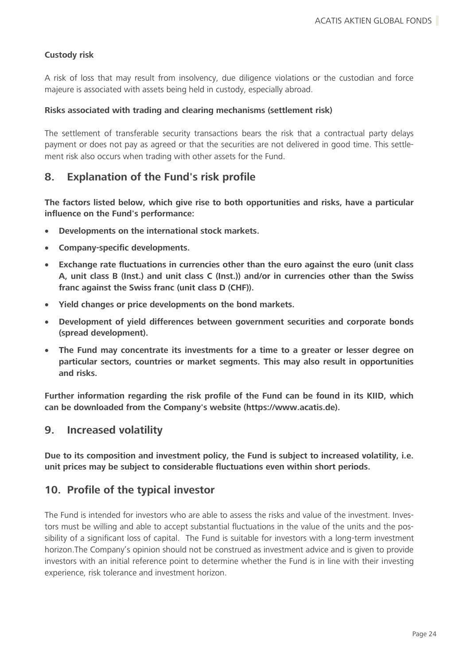#### **Custody risk**

A risk of loss that may result from insolvency, due diligence violations or the custodian and force majeure is associated with assets being held in custody, especially abroad.

#### **Risks associated with trading and clearing mechanisms (settlement risk)**

The settlement of transferable security transactions bears the risk that a contractual party delays payment or does not pay as agreed or that the securities are not delivered in good time. This settlement risk also occurs when trading with other assets for the Fund.

### <span id="page-24-0"></span>**8. Explanation of the Fund's risk profile**

**The factors listed below, which give rise to both opportunities and risks, have a particular influence on the Fund's performance:**

- **Developments on the international stock markets.**
- **Company-specific developments.**
- **Exchange rate fluctuations in currencies other than the euro against the euro (unit class A, unit class B (Inst.) and unit class C (Inst.)) and/or in currencies other than the Swiss franc against the Swiss franc (unit class D (CHF)).**
- **Yield changes or price developments on the bond markets.**
- **Development of yield differences between government securities and corporate bonds (spread development).**
- **The Fund may concentrate its investments for a time to a greater or lesser degree on particular sectors, countries or market segments. This may also result in opportunities and risks.**

**Further information regarding the risk profile of the Fund can be found in its KIID, which can be downloaded from the Company's website (https://www.acatis.de).**

#### <span id="page-24-1"></span>**9. Increased volatility**

**Due to its composition and investment policy, the Fund is subject to increased volatility, i.e. unit prices may be subject to considerable fluctuations even within short periods.**

### <span id="page-24-2"></span>**10. Profile of the typical investor**

The Fund is intended for investors who are able to assess the risks and value of the investment. Investors must be willing and able to accept substantial fluctuations in the value of the units and the possibility of a significant loss of capital. The Fund is suitable for investors with a long-term investment horizon.The Company's opinion should not be construed as investment advice and is given to provide investors with an initial reference point to determine whether the Fund is in line with their investing experience, risk tolerance and investment horizon.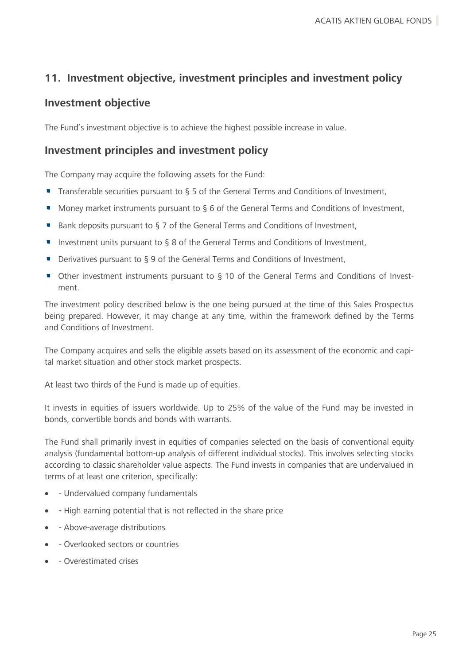### <span id="page-25-0"></span>**11. Investment objective, investment principles and investment policy**

### <span id="page-25-1"></span>**Investment objective**

The Fund's investment objective is to achieve the highest possible increase in value.

### <span id="page-25-2"></span>**Investment principles and investment policy**

The Company may acquire the following assets for the Fund:

- Transferable securities pursuant to § 5 of the General Terms and Conditions of Investment,
- Money market instruments pursuant to § 6 of the General Terms and Conditions of Investment,
- Bank deposits pursuant to § 7 of the General Terms and Conditions of Investment,
- Investment units pursuant to  $\S$  8 of the General Terms and Conditions of Investment,
- $\overline{\phantom{a}}$ Derivatives pursuant to § 9 of the General Terms and Conditions of Investment,
- Other investment instruments pursuant to § 10 of the General Terms and Conditions of Investment.

The investment policy described below is the one being pursued at the time of this Sales Prospectus being prepared. However, it may change at any time, within the framework defined by the Terms and Conditions of Investment.

The Company acquires and sells the eligible assets based on its assessment of the economic and capital market situation and other stock market prospects.

At least two thirds of the Fund is made up of equities.

It invests in equities of issuers worldwide. Up to 25% of the value of the Fund may be invested in bonds, convertible bonds and bonds with warrants.

The Fund shall primarily invest in equities of companies selected on the basis of conventional equity analysis (fundamental bottom-up analysis of different individual stocks). This involves selecting stocks according to classic shareholder value aspects. The Fund invests in companies that are undervalued in terms of at least one criterion, specifically:

- - Undervalued company fundamentals
- - High earning potential that is not reflected in the share price
- - Above-average distributions
- - Overlooked sectors or countries
- - Overestimated crises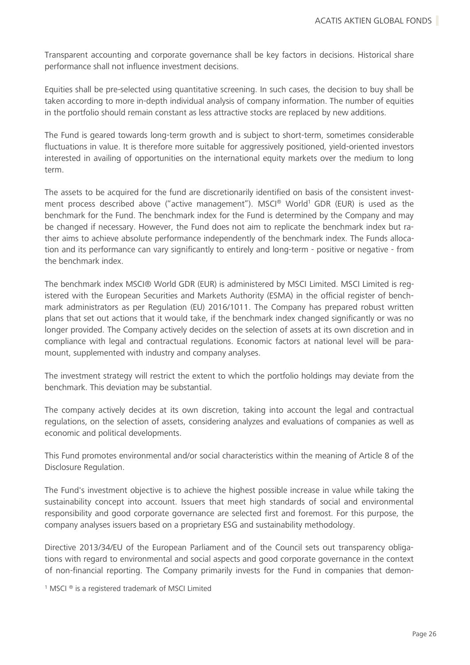Transparent accounting and corporate governance shall be key factors in decisions. Historical share performance shall not influence investment decisions.

Equities shall be pre-selected using quantitative screening. In such cases, the decision to buy shall be taken according to more in-depth individual analysis of company information. The number of equities in the portfolio should remain constant as less attractive stocks are replaced by new additions.

The Fund is geared towards long-term growth and is subject to short-term, sometimes considerable fluctuations in value. It is therefore more suitable for aggressively positioned, yield-oriented investors interested in availing of opportunities on the international equity markets over the medium to long term.

The assets to be acquired for the fund are discretionarily identified on basis of the consistent investment process described above ("active management"). MSCI® World<sup>1</sup> GDR (EUR) is used as the benchmark for the Fund. The benchmark index for the Fund is determined by the Company and may be changed if necessary. However, the Fund does not aim to replicate the benchmark index but rather aims to achieve absolute performance independently of the benchmark index. The Funds allocation and its performance can vary significantly to entirely and long-term - positive or negative - from the benchmark index.

The benchmark index MSCI® World GDR (EUR) is administered by MSCI Limited. MSCI Limited is registered with the European Securities and Markets Authority (ESMA) in the official register of benchmark administrators as per Regulation (EU) 2016/1011. The Company has prepared robust written plans that set out actions that it would take, if the benchmark index changed significantly or was no longer provided. The Company actively decides on the selection of assets at its own discretion and in compliance with legal and contractual regulations. Economic factors at national level will be paramount, supplemented with industry and company analyses.

The investment strategy will restrict the extent to which the portfolio holdings may deviate from the benchmark. This deviation may be substantial.

The company actively decides at its own discretion, taking into account the legal and contractual regulations, on the selection of assets, considering analyzes and evaluations of companies as well as economic and political developments.

This Fund promotes environmental and/or social characteristics within the meaning of Article 8 of the Disclosure Regulation.

The Fund's investment objective is to achieve the highest possible increase in value while taking the sustainability concept into account. Issuers that meet high standards of social and environmental responsibility and good corporate governance are selected first and foremost. For this purpose, the company analyses issuers based on a proprietary ESG and sustainability methodology.

Directive 2013/34/EU of the European Parliament and of the Council sets out transparency obligations with regard to environmental and social aspects and good corporate governance in the context of non-financial reporting. The Company primarily invests for the Fund in companies that demon-

<sup>1</sup> MSCI ® is a registered trademark of MSCI Limited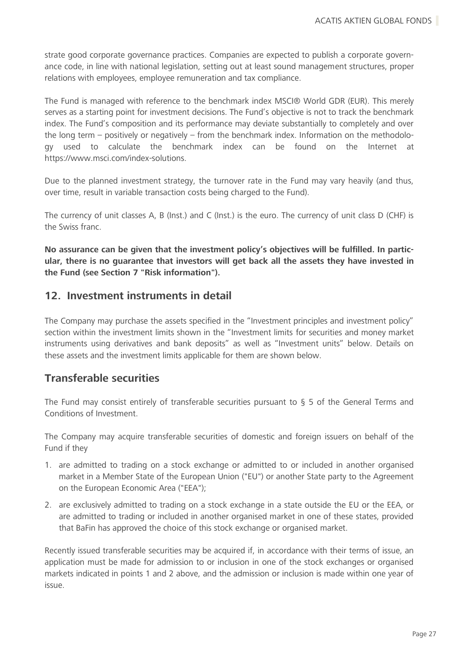strate good corporate governance practices. Companies are expected to publish a corporate governance code, in line with national legislation, setting out at least sound management structures, proper relations with employees, employee remuneration and tax compliance.

The Fund is managed with reference to the benchmark index MSCI® World GDR (EUR). This merely serves as a starting point for investment decisions. The Fund's objective is not to track the benchmark index. The Fund's composition and its performance may deviate substantially to completely and over the long term – positively or negatively – from the benchmark index. Information on the methodology used to calculate the benchmark index can be found on the Internet at [https://www.msci.com/index-solutions.](https://www.msci.com/index-solutions)

Due to the planned investment strategy, the turnover rate in the Fund may vary heavily (and thus, over time, result in variable transaction costs being charged to the Fund).

The currency of unit classes A, B (Inst.) and C (Inst.) is the euro. The currency of unit class D (CHF) is the Swiss franc.

**No assurance can be given that the investment policy's objectives will be fulfilled. In particular, there is no guarantee that investors will get back all the assets they have invested in the Fund (see Section 7 "Risk information").**

### <span id="page-27-0"></span>**12. Investment instruments in detail**

The Company may purchase the assets specified in the "Investment principles and investment policy" section within the investment limits shown in the "Investment limits for securities and money market instruments using derivatives and bank deposits" as well as "Investment units" below. Details on these assets and the investment limits applicable for them are shown below.

### <span id="page-27-1"></span>**Transferable securities**

The Fund may consist entirely of transferable securities pursuant to § 5 of the General Terms and Conditions of Investment.

The Company may acquire transferable securities of domestic and foreign issuers on behalf of the Fund if they

- 1. are admitted to trading on a stock exchange or admitted to or included in another organised market in a Member State of the European Union ("EU") or another State party to the Agreement on the European Economic Area ("EEA");
- 2. are exclusively admitted to trading on a stock exchange in a state outside the EU or the EEA, or are admitted to trading or included in another organised market in one of these states, provided that BaFin has approved the choice of this stock exchange or organised market.

Recently issued transferable securities may be acquired if, in accordance with their terms of issue, an application must be made for admission to or inclusion in one of the stock exchanges or organised markets indicated in points 1 and 2 above, and the admission or inclusion is made within one year of issue.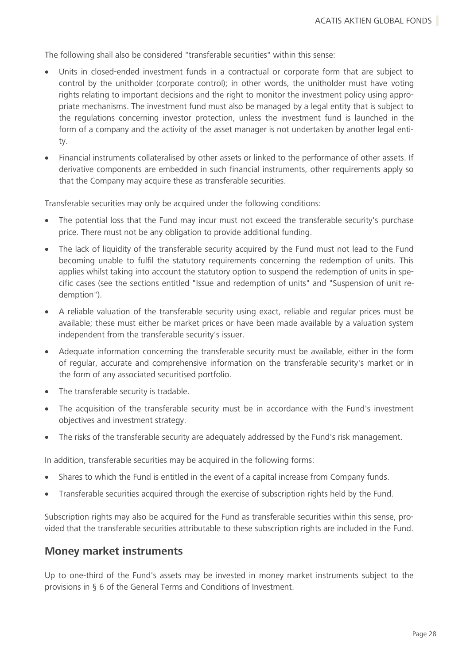The following shall also be considered "transferable securities" within this sense:

- Units in closed-ended investment funds in a contractual or corporate form that are subject to control by the unitholder (corporate control); in other words, the unitholder must have voting rights relating to important decisions and the right to monitor the investment policy using appropriate mechanisms. The investment fund must also be managed by a legal entity that is subject to the regulations concerning investor protection, unless the investment fund is launched in the form of a company and the activity of the asset manager is not undertaken by another legal entity.
- Financial instruments collateralised by other assets or linked to the performance of other assets. If derivative components are embedded in such financial instruments, other requirements apply so that the Company may acquire these as transferable securities.

Transferable securities may only be acquired under the following conditions:

- The potential loss that the Fund may incur must not exceed the transferable security's purchase price. There must not be any obligation to provide additional funding.
- The lack of liquidity of the transferable security acquired by the Fund must not lead to the Fund becoming unable to fulfil the statutory requirements concerning the redemption of units. This applies whilst taking into account the statutory option to suspend the redemption of units in specific cases (see the sections entitled "Issue and redemption of units" and "Suspension of unit redemption").
- A reliable valuation of the transferable security using exact, reliable and regular prices must be available; these must either be market prices or have been made available by a valuation system independent from the transferable security's issuer.
- Adequate information concerning the transferable security must be available, either in the form of regular, accurate and comprehensive information on the transferable security's market or in the form of any associated securitised portfolio.
- The transferable security is tradable.
- The acquisition of the transferable security must be in accordance with the Fund's investment objectives and investment strategy.
- The risks of the transferable security are adequately addressed by the Fund's risk management.

In addition, transferable securities may be acquired in the following forms:

- Shares to which the Fund is entitled in the event of a capital increase from Company funds.
- Transferable securities acquired through the exercise of subscription rights held by the Fund.

Subscription rights may also be acquired for the Fund as transferable securities within this sense, provided that the transferable securities attributable to these subscription rights are included in the Fund.

### <span id="page-28-0"></span>**Money market instruments**

Up to one-third of the Fund's assets may be invested in money market instruments subject to the provisions in § 6 of the General Terms and Conditions of Investment.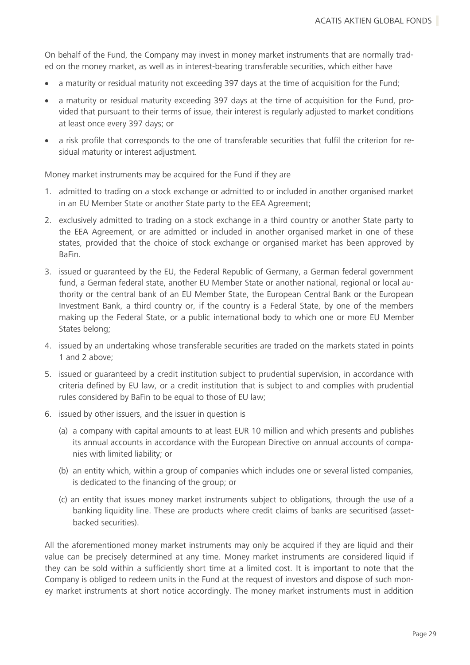On behalf of the Fund, the Company may invest in money market instruments that are normally traded on the money market, as well as in interest-bearing transferable securities, which either have

- a maturity or residual maturity not exceeding 397 days at the time of acquisition for the Fund;
- a maturity or residual maturity exceeding 397 days at the time of acquisition for the Fund, provided that pursuant to their terms of issue, their interest is regularly adjusted to market conditions at least once every 397 days; or
- a risk profile that corresponds to the one of transferable securities that fulfil the criterion for residual maturity or interest adjustment.

Money market instruments may be acquired for the Fund if they are

- 1. admitted to trading on a stock exchange or admitted to or included in another organised market in an EU Member State or another State party to the EEA Agreement;
- 2. exclusively admitted to trading on a stock exchange in a third country or another State party to the EEA Agreement, or are admitted or included in another organised market in one of these states, provided that the choice of stock exchange or organised market has been approved by BaFin.
- 3. issued or guaranteed by the EU, the Federal Republic of Germany, a German federal government fund, a German federal state, another EU Member State or another national, regional or local authority or the central bank of an EU Member State, the European Central Bank or the European Investment Bank, a third country or, if the country is a Federal State, by one of the members making up the Federal State, or a public international body to which one or more EU Member States belong;
- 4. issued by an undertaking whose transferable securities are traded on the markets stated in points 1 and 2 above;
- 5. issued or guaranteed by a credit institution subject to prudential supervision, in accordance with criteria defined by EU law, or a credit institution that is subject to and complies with prudential rules considered by BaFin to be equal to those of EU law;
- 6. issued by other issuers, and the issuer in question is
	- (a) a company with capital amounts to at least EUR 10 million and which presents and publishes its annual accounts in accordance with the European Directive on annual accounts of companies with limited liability; or
	- (b) an entity which, within a group of companies which includes one or several listed companies, is dedicated to the financing of the group; or
	- (c) an entity that issues money market instruments subject to obligations, through the use of a banking liquidity line. These are products where credit claims of banks are securitised (assetbacked securities).

All the aforementioned money market instruments may only be acquired if they are liquid and their value can be precisely determined at any time. Money market instruments are considered liquid if they can be sold within a sufficiently short time at a limited cost. It is important to note that the Company is obliged to redeem units in the Fund at the request of investors and dispose of such money market instruments at short notice accordingly. The money market instruments must in addition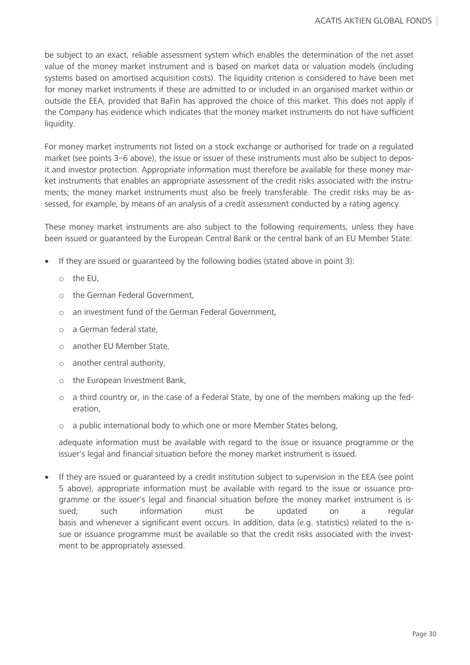be subject to an exact, reliable assessment system which enables the determination of the net asset value of the money market instrument and is based on market data or valuation models (including systems based on amortised acquisition costs). The liquidity criterion is considered to have been met for money market instruments if these are admitted to or included in an organised market within or outside the EEA, provided that BaFin has approved the choice of this market. This does not apply if the Company has evidence which indicates that the money market instruments do not have sufficient liquidity.

For money market instruments not listed on a stock exchange or authorised for trade on a regulated market (see points 3–6 above), the issue or issuer of these instruments must also be subject to deposit and investor protection. Appropriate information must therefore be available for these money market instruments that enables an appropriate assessment of the credit risks associated with the instruments; the money market instruments must also be freely transferable. The credit risks may be assessed, for example, by means of an analysis of a credit assessment conducted by a rating agency.

These money market instruments are also subject to the following requirements, unless they have been issued or guaranteed by the European Central Bank or the central bank of an EU Member State:

- If they are issued or guaranteed by the following bodies (stated above in point 3):
	- o the EU,
	- o the German Federal Government,
	- o an investment fund of the German Federal Government,
	- o a German federal state,
	- o another EU Member State,
	- o another central authority,
	- o the European Investment Bank,
	- o a third country or, in the case of a Federal State, by one of the members making up the federation,
	- o a public international body to which one or more Member States belong,

adequate information must be available with regard to the issue or issuance programme or the issuer's legal and financial situation before the money market instrument is issued.

• If they are issued or guaranteed by a credit institution subject to supervision in the EEA (see point 5 above), appropriate information must be available with regard to the issue or issuance programme or the issuer's legal and financial situation before the money market instrument is issued; such information must be updated on a regular basis and whenever a significant event occurs. In addition, data (e.g. statistics) related to the issue or issuance programme must be available so that the credit risks associated with the investment to be appropriately assessed.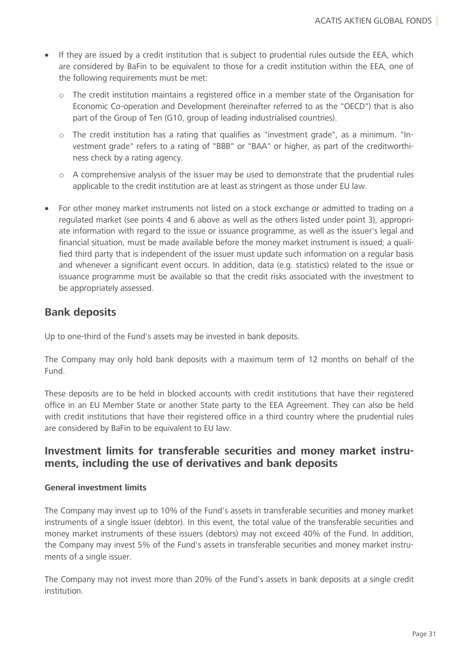- If they are issued by a credit institution that is subject to prudential rules outside the EEA, which are considered by BaFin to be equivalent to those for a credit institution within the EEA, one of the following requirements must be met:
	- o The credit institution maintains a registered office in a member state of the Organisation for Economic Co-operation and Development (hereinafter referred to as the "OECD") that is also part of the Group of Ten (G10, group of leading industrialised countries).
	- $\circ$  The credit institution has a rating that qualifies as "investment grade", as a minimum. "Investment grade" refers to a rating of "BBB" or "BAA" or higher, as part of the creditworthiness check by a rating agency.
	- $\circ$  A comprehensive analysis of the issuer may be used to demonstrate that the prudential rules applicable to the credit institution are at least as stringent as those under EU law.
- For other money market instruments not listed on a stock exchange or admitted to trading on a regulated market (see points 4 and 6 above as well as the others listed under point 3), appropriate information with regard to the issue or issuance programme, as well as the issuer's legal and financial situation, must be made available before the money market instrument is issued; a qualified third party that is independent of the issuer must update such information on a regular basis and whenever a significant event occurs. In addition, data (e.g. statistics) related to the issue or issuance programme must be available so that the credit risks associated with the investment to be appropriately assessed.

### <span id="page-31-0"></span>**Bank deposits**

Up to one-third of the Fund's assets may be invested in bank deposits.

The Company may only hold bank deposits with a maximum term of 12 months on behalf of the Fund.

These deposits are to be held in blocked accounts with credit institutions that have their registered office in an EU Member State or another State party to the EEA Agreement. They can also be held with credit institutions that have their registered office in a third country where the prudential rules are considered by BaFin to be equivalent to EU law.

### <span id="page-31-1"></span>**Investment limits for transferable securities and money market instruments, including the use of derivatives and bank deposits**

#### **General investment limits**

The Company may invest up to 10% of the Fund's assets in transferable securities and money market instruments of a single issuer (debtor). In this event, the total value of the transferable securities and money market instruments of these issuers (debtors) may not exceed 40% of the Fund. In addition, the Company may invest 5% of the Fund's assets in transferable securities and money market instruments of a single issuer.

The Company may not invest more than 20% of the Fund's assets in bank deposits at a single credit institution.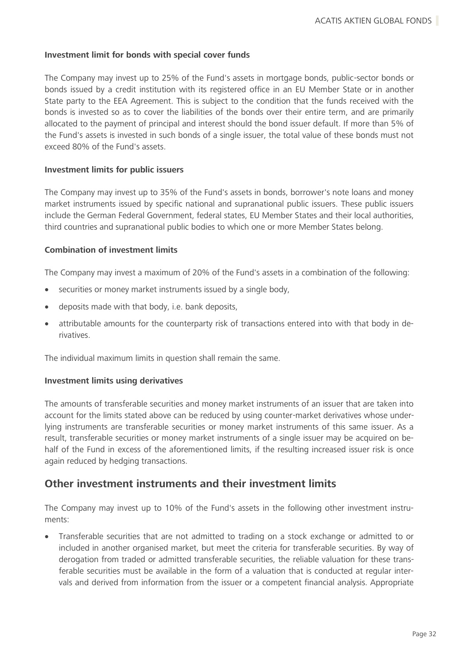#### **Investment limit for bonds with special cover funds**

The Company may invest up to 25% of the Fund's assets in mortgage bonds, public-sector bonds or bonds issued by a credit institution with its registered office in an EU Member State or in another State party to the EEA Agreement. This is subject to the condition that the funds received with the bonds is invested so as to cover the liabilities of the bonds over their entire term, and are primarily allocated to the payment of principal and interest should the bond issuer default. If more than 5% of the Fund's assets is invested in such bonds of a single issuer, the total value of these bonds must not exceed 80% of the Fund's assets.

#### **Investment limits for public issuers**

The Company may invest up to 35% of the Fund's assets in bonds, borrower's note loans and money market instruments issued by specific national and supranational public issuers. These public issuers include the German Federal Government, federal states, EU Member States and their local authorities, third countries and supranational public bodies to which one or more Member States belong.

#### **Combination of investment limits**

The Company may invest a maximum of 20% of the Fund's assets in a combination of the following:

- securities or money market instruments issued by a single body,
- deposits made with that body, i.e. bank deposits,
- attributable amounts for the counterparty risk of transactions entered into with that body in derivatives.

The individual maximum limits in question shall remain the same.

#### **Investment limits using derivatives**

The amounts of transferable securities and money market instruments of an issuer that are taken into account for the limits stated above can be reduced by using counter-market derivatives whose underlying instruments are transferable securities or money market instruments of this same issuer. As a result, transferable securities or money market instruments of a single issuer may be acquired on behalf of the Fund in excess of the aforementioned limits, if the resulting increased issuer risk is once again reduced by hedging transactions.

### <span id="page-32-0"></span>**Other investment instruments and their investment limits**

The Company may invest up to 10% of the Fund's assets in the following other investment instruments:

• Transferable securities that are not admitted to trading on a stock exchange or admitted to or included in another organised market, but meet the criteria for transferable securities. By way of derogation from traded or admitted transferable securities, the reliable valuation for these transferable securities must be available in the form of a valuation that is conducted at regular intervals and derived from information from the issuer or a competent financial analysis. Appropriate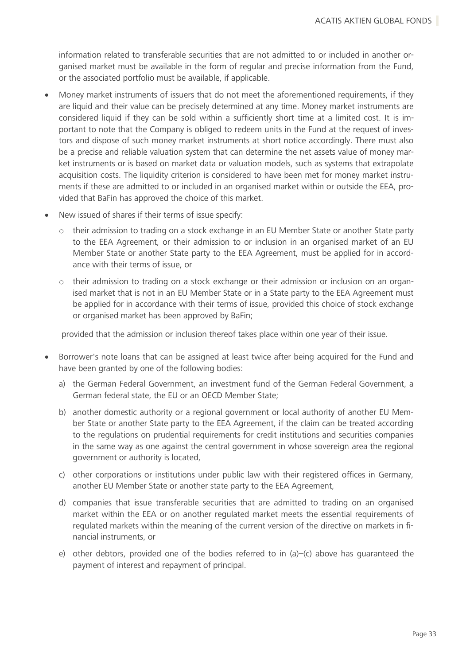information related to transferable securities that are not admitted to or included in another organised market must be available in the form of regular and precise information from the Fund, or the associated portfolio must be available, if applicable.

- Money market instruments of issuers that do not meet the aforementioned requirements, if they are liquid and their value can be precisely determined at any time. Money market instruments are considered liquid if they can be sold within a sufficiently short time at a limited cost. It is important to note that the Company is obliged to redeem units in the Fund at the request of investors and dispose of such money market instruments at short notice accordingly. There must also be a precise and reliable valuation system that can determine the net assets value of money market instruments or is based on market data or valuation models, such as systems that extrapolate acquisition costs. The liquidity criterion is considered to have been met for money market instruments if these are admitted to or included in an organised market within or outside the EEA, provided that BaFin has approved the choice of this market.
- New issued of shares if their terms of issue specify:
	- $\circ$  their admission to trading on a stock exchange in an EU Member State or another State party to the EEA Agreement, or their admission to or inclusion in an organised market of an EU Member State or another State party to the EEA Agreement, must be applied for in accordance with their terms of issue, or
	- $\circ$  their admission to trading on a stock exchange or their admission or inclusion on an organised market that is not in an EU Member State or in a State party to the EEA Agreement must be applied for in accordance with their terms of issue, provided this choice of stock exchange or organised market has been approved by BaFin;

provided that the admission or inclusion thereof takes place within one year of their issue.

- Borrower's note loans that can be assigned at least twice after being acquired for the Fund and have been granted by one of the following bodies:
	- a) the German Federal Government, an investment fund of the German Federal Government, a German federal state, the EU or an OECD Member State;
	- b) another domestic authority or a regional government or local authority of another EU Member State or another State party to the EEA Agreement, if the claim can be treated according to the regulations on prudential requirements for credit institutions and securities companies in the same way as one against the central government in whose sovereign area the regional government or authority is located,
	- c) other corporations or institutions under public law with their registered offices in Germany, another EU Member State or another state party to the EEA Agreement,
	- d) companies that issue transferable securities that are admitted to trading on an organised market within the EEA or on another regulated market meets the essential requirements of regulated markets within the meaning of the current version of the directive on markets in financial instruments, or
	- e) other debtors, provided one of the bodies referred to in  $(a)$ – $(c)$  above has quaranteed the payment of interest and repayment of principal.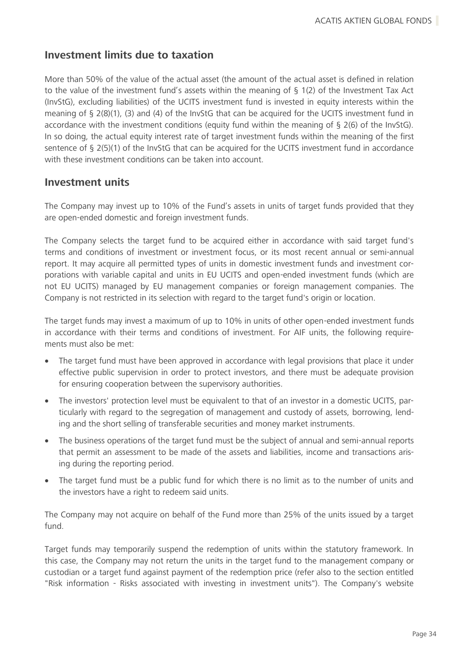### <span id="page-34-0"></span>**Investment limits due to taxation**

More than 50% of the value of the actual asset (the amount of the actual asset is defined in relation to the value of the investment fund's assets within the meaning of § 1(2) of the Investment Tax Act (InvStG), excluding liabilities) of the UCITS investment fund is invested in equity interests within the meaning of § 2(8)(1), (3) and (4) of the InvStG that can be acquired for the UCITS investment fund in accordance with the investment conditions (equity fund within the meaning of § 2(6) of the InvStG). In so doing, the actual equity interest rate of target investment funds within the meaning of the first sentence of § 2(5)(1) of the InvStG that can be acquired for the UCITS investment fund in accordance with these investment conditions can be taken into account.

### <span id="page-34-1"></span>**Investment units**

The Company may invest up to 10% of the Fund's assets in units of target funds provided that they are open-ended domestic and foreign investment funds.

The Company selects the target fund to be acquired either in accordance with said target fund's terms and conditions of investment or investment focus, or its most recent annual or semi-annual report. It may acquire all permitted types of units in domestic investment funds and investment corporations with variable capital and units in EU UCITS and open-ended investment funds (which are not EU UCITS) managed by EU management companies or foreign management companies. The Company is not restricted in its selection with regard to the target fund's origin or location.

The target funds may invest a maximum of up to 10% in units of other open-ended investment funds in accordance with their terms and conditions of investment. For AIF units, the following requirements must also be met:

- The target fund must have been approved in accordance with legal provisions that place it under effective public supervision in order to protect investors, and there must be adequate provision for ensuring cooperation between the supervisory authorities.
- The investors' protection level must be equivalent to that of an investor in a domestic UCITS, particularly with regard to the segregation of management and custody of assets, borrowing, lending and the short selling of transferable securities and money market instruments.
- The business operations of the target fund must be the subject of annual and semi-annual reports that permit an assessment to be made of the assets and liabilities, income and transactions arising during the reporting period.
- The target fund must be a public fund for which there is no limit as to the number of units and the investors have a right to redeem said units.

The Company may not acquire on behalf of the Fund more than 25% of the units issued by a target fund.

Target funds may temporarily suspend the redemption of units within the statutory framework. In this case, the Company may not return the units in the target fund to the management company or custodian or a target fund against payment of the redemption price (refer also to the section entitled "Risk information - Risks associated with investing in investment units"). The Company's website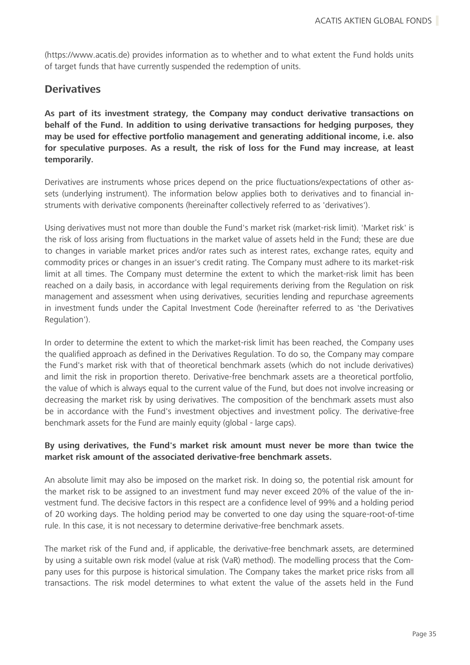(https://www.acatis.de) provides information as to whether and to what extent the Fund holds units of target funds that have currently suspended the redemption of units.

### <span id="page-35-0"></span>**Derivatives**

**As part of its investment strategy, the Company may conduct derivative transactions on behalf of the Fund. In addition to using derivative transactions for hedging purposes, they may be used for effective portfolio management and generating additional income, i.e. also for speculative purposes. As a result, the risk of loss for the Fund may increase, at least temporarily.**

Derivatives are instruments whose prices depend on the price fluctuations/expectations of other assets (underlying instrument). The information below applies both to derivatives and to financial instruments with derivative components (hereinafter collectively referred to as 'derivatives').

Using derivatives must not more than double the Fund's market risk (market-risk limit). 'Market risk' is the risk of loss arising from fluctuations in the market value of assets held in the Fund; these are due to changes in variable market prices and/or rates such as interest rates, exchange rates, equity and commodity prices or changes in an issuer's credit rating. The Company must adhere to its market-risk limit at all times. The Company must determine the extent to which the market-risk limit has been reached on a daily basis, in accordance with legal requirements deriving from the Regulation on risk management and assessment when using derivatives, securities lending and repurchase agreements in investment funds under the Capital Investment Code (hereinafter referred to as 'the Derivatives Regulation').

In order to determine the extent to which the market-risk limit has been reached, the Company uses the qualified approach as defined in the Derivatives Regulation. To do so, the Company may compare the Fund's market risk with that of theoretical benchmark assets (which do not include derivatives) and limit the risk in proportion thereto. Derivative-free benchmark assets are a theoretical portfolio, the value of which is always equal to the current value of the Fund, but does not involve increasing or decreasing the market risk by using derivatives. The composition of the benchmark assets must also be in accordance with the Fund's investment objectives and investment policy. The derivative-free benchmark assets for the Fund are mainly equity (global - large caps).

#### **By using derivatives, the Fund's market risk amount must never be more than twice the market risk amount of the associated derivative-free benchmark assets.**

An absolute limit may also be imposed on the market risk. In doing so, the potential risk amount for the market risk to be assigned to an investment fund may never exceed 20% of the value of the investment fund. The decisive factors in this respect are a confidence level of 99% and a holding period of 20 working days. The holding period may be converted to one day using the square-root-of-time rule. In this case, it is not necessary to determine derivative-free benchmark assets.

The market risk of the Fund and, if applicable, the derivative-free benchmark assets, are determined by using a suitable own risk model (value at risk (VaR) method). The modelling process that the Company uses for this purpose is historical simulation. The Company takes the market price risks from all transactions. The risk model determines to what extent the value of the assets held in the Fund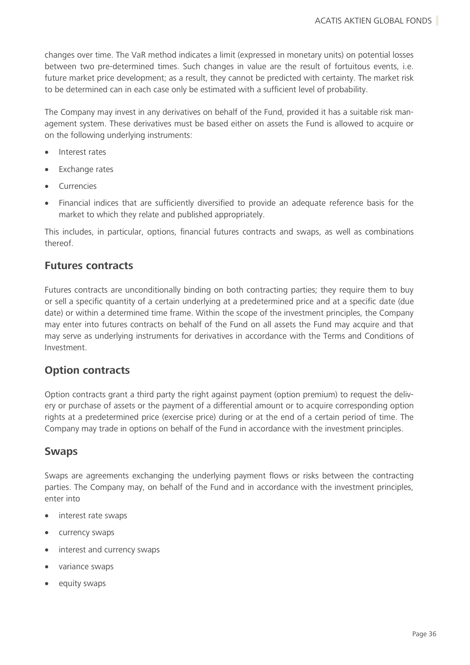changes over time. The VaR method indicates a limit (expressed in monetary units) on potential losses between two pre-determined times. Such changes in value are the result of fortuitous events, i.e. future market price development; as a result, they cannot be predicted with certainty. The market risk to be determined can in each case only be estimated with a sufficient level of probability.

The Company may invest in any derivatives on behalf of the Fund, provided it has a suitable risk management system. These derivatives must be based either on assets the Fund is allowed to acquire or on the following underlying instruments:

- Interest rates
- **Exchange rates**
- **Currencies**
- Financial indices that are sufficiently diversified to provide an adequate reference basis for the market to which they relate and published appropriately.

This includes, in particular, options, financial futures contracts and swaps, as well as combinations thereof.

### **Futures contracts**

Futures contracts are unconditionally binding on both contracting parties; they require them to buy or sell a specific quantity of a certain underlying at a predetermined price and at a specific date (due date) or within a determined time frame. Within the scope of the investment principles, the Company may enter into futures contracts on behalf of the Fund on all assets the Fund may acquire and that may serve as underlying instruments for derivatives in accordance with the Terms and Conditions of Investment.

### **Option contracts**

Option contracts grant a third party the right against payment (option premium) to request the delivery or purchase of assets or the payment of a differential amount or to acquire corresponding option rights at a predetermined price (exercise price) during or at the end of a certain period of time. The Company may trade in options on behalf of the Fund in accordance with the investment principles.

### **Swaps**

Swaps are agreements exchanging the underlying payment flows or risks between the contracting parties. The Company may, on behalf of the Fund and in accordance with the investment principles, enter into

- interest rate swaps
- currency swaps
- interest and currency swaps
- variance swaps
- equity swaps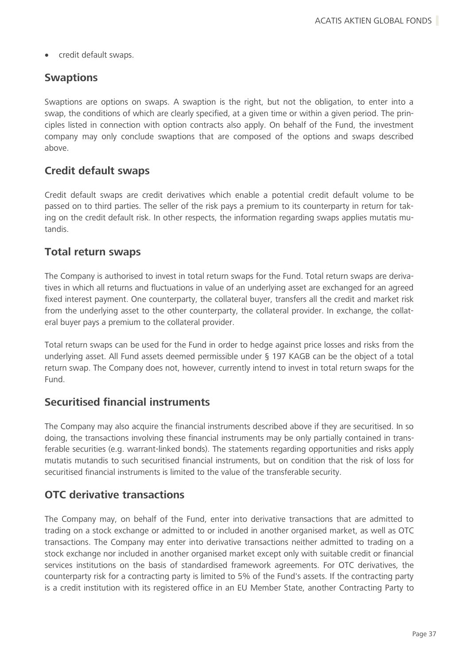• credit default swaps.

# **Swaptions**

Swaptions are options on swaps. A swaption is the right, but not the obligation, to enter into a swap, the conditions of which are clearly specified, at a given time or within a given period. The principles listed in connection with option contracts also apply. On behalf of the Fund, the investment company may only conclude swaptions that are composed of the options and swaps described above.

# **Credit default swaps**

Credit default swaps are credit derivatives which enable a potential credit default volume to be passed on to third parties. The seller of the risk pays a premium to its counterparty in return for taking on the credit default risk. In other respects, the information regarding swaps applies mutatis mutandis.

### **Total return swaps**

The Company is authorised to invest in total return swaps for the Fund. Total return swaps are derivatives in which all returns and fluctuations in value of an underlying asset are exchanged for an agreed fixed interest payment. One counterparty, the collateral buyer, transfers all the credit and market risk from the underlying asset to the other counterparty, the collateral provider. In exchange, the collateral buyer pays a premium to the collateral provider.

Total return swaps can be used for the Fund in order to hedge against price losses and risks from the underlying asset. All Fund assets deemed permissible under § 197 KAGB can be the object of a total return swap. The Company does not, however, currently intend to invest in total return swaps for the Fund.

# **Securitised financial instruments**

The Company may also acquire the financial instruments described above if they are securitised. In so doing, the transactions involving these financial instruments may be only partially contained in transferable securities (e.g. warrant-linked bonds). The statements regarding opportunities and risks apply mutatis mutandis to such securitised financial instruments, but on condition that the risk of loss for securitised financial instruments is limited to the value of the transferable security.

# **OTC derivative transactions**

The Company may, on behalf of the Fund, enter into derivative transactions that are admitted to trading on a stock exchange or admitted to or included in another organised market, as well as OTC transactions. The Company may enter into derivative transactions neither admitted to trading on a stock exchange nor included in another organised market except only with suitable credit or financial services institutions on the basis of standardised framework agreements. For OTC derivatives, the counterparty risk for a contracting party is limited to 5% of the Fund's assets. If the contracting party is a credit institution with its registered office in an EU Member State, another Contracting Party to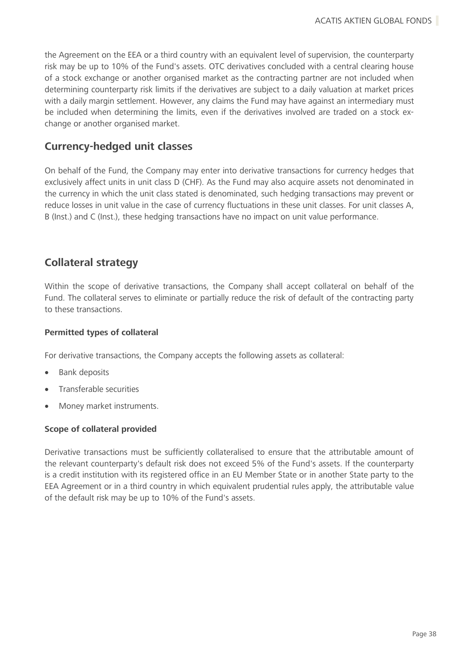the Agreement on the EEA or a third country with an equivalent level of supervision, the counterparty risk may be up to 10% of the Fund's assets. OTC derivatives concluded with a central clearing house of a stock exchange or another organised market as the contracting partner are not included when determining counterparty risk limits if the derivatives are subject to a daily valuation at market prices with a daily margin settlement. However, any claims the Fund may have against an intermediary must be included when determining the limits, even if the derivatives involved are traded on a stock exchange or another organised market.

# **Currency-hedged unit classes**

On behalf of the Fund, the Company may enter into derivative transactions for currency hedges that exclusively affect units in unit class D (CHF). As the Fund may also acquire assets not denominated in the currency in which the unit class stated is denominated, such hedging transactions may prevent or reduce losses in unit value in the case of currency fluctuations in these unit classes. For unit classes A, B (Inst.) and C (Inst.), these hedging transactions have no impact on unit value performance.

# **Collateral strategy**

Within the scope of derivative transactions, the Company shall accept collateral on behalf of the Fund. The collateral serves to eliminate or partially reduce the risk of default of the contracting party to these transactions.

### **Permitted types of collateral**

For derivative transactions, the Company accepts the following assets as collateral:

- Bank deposits
- Transferable securities
- Money market instruments.

### **Scope of collateral provided**

Derivative transactions must be sufficiently collateralised to ensure that the attributable amount of the relevant counterparty's default risk does not exceed 5% of the Fund's assets. If the counterparty is a credit institution with its registered office in an EU Member State or in another State party to the EEA Agreement or in a third country in which equivalent prudential rules apply, the attributable value of the default risk may be up to 10% of the Fund's assets.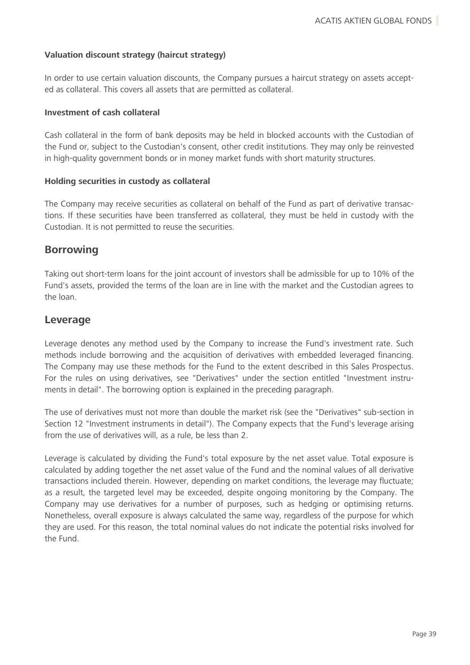### **Valuation discount strategy (haircut strategy)**

In order to use certain valuation discounts, the Company pursues a haircut strategy on assets accepted as collateral. This covers all assets that are permitted as collateral.

### **Investment of cash collateral**

Cash collateral in the form of bank deposits may be held in blocked accounts with the Custodian of the Fund or, subject to the Custodian's consent, other credit institutions. They may only be reinvested in high-quality government bonds or in money market funds with short maturity structures.

### **Holding securities in custody as collateral**

The Company may receive securities as collateral on behalf of the Fund as part of derivative transactions. If these securities have been transferred as collateral, they must be held in custody with the Custodian. It is not permitted to reuse the securities.

### **Borrowing**

Taking out short-term loans for the joint account of investors shall be admissible for up to 10% of the Fund's assets, provided the terms of the loan are in line with the market and the Custodian agrees to the loan.

### **Leverage**

Leverage denotes any method used by the Company to increase the Fund's investment rate. Such methods include borrowing and the acquisition of derivatives with embedded leveraged financing. The Company may use these methods for the Fund to the extent described in this Sales Prospectus. For the rules on using derivatives, see "Derivatives" under the section entitled "Investment instruments in detail". The borrowing option is explained in the preceding paragraph.

The use of derivatives must not more than double the market risk (see the "Derivatives" sub-section in Section 12 "Investment instruments in detail"). The Company expects that the Fund's leverage arising from the use of derivatives will, as a rule, be less than 2.

Leverage is calculated by dividing the Fund's total exposure by the net asset value. Total exposure is calculated by adding together the net asset value of the Fund and the nominal values of all derivative transactions included therein. However, depending on market conditions, the leverage may fluctuate; as a result, the targeted level may be exceeded, despite ongoing monitoring by the Company. The Company may use derivatives for a number of purposes, such as hedging or optimising returns. Nonetheless, overall exposure is always calculated the same way, regardless of the purpose for which they are used. For this reason, the total nominal values do not indicate the potential risks involved for the Fund.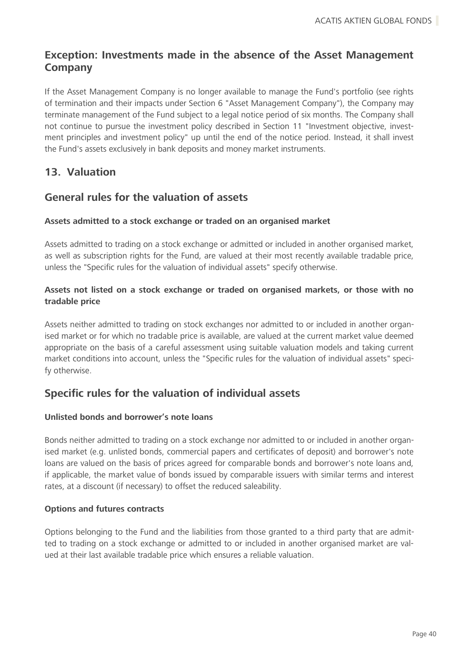# **Exception: Investments made in the absence of the Asset Management Company**

If the Asset Management Company is no longer available to manage the Fund's portfolio (see rights of termination and their impacts under Section 6 "Asset Management Company"), the Company may terminate management of the Fund subject to a legal notice period of six months. The Company shall not continue to pursue the investment policy described in Section 11 "Investment objective, investment principles and investment policy" up until the end of the notice period. Instead, it shall invest the Fund's assets exclusively in bank deposits and money market instruments.

# **13. Valuation**

## **General rules for the valuation of assets**

### **Assets admitted to a stock exchange or traded on an organised market**

Assets admitted to trading on a stock exchange or admitted or included in another organised market, as well as subscription rights for the Fund, are valued at their most recently available tradable price, unless the "Specific rules for the valuation of individual assets" specify otherwise.

### **Assets not listed on a stock exchange or traded on organised markets, or those with no tradable price**

Assets neither admitted to trading on stock exchanges nor admitted to or included in another organised market or for which no tradable price is available, are valued at the current market value deemed appropriate on the basis of a careful assessment using suitable valuation models and taking current market conditions into account, unless the "Specific rules for the valuation of individual assets" specify otherwise.

# **Specific rules for the valuation of individual assets**

### **Unlisted bonds and borrower's note loans**

Bonds neither admitted to trading on a stock exchange nor admitted to or included in another organised market (e.g. unlisted bonds, commercial papers and certificates of deposit) and borrower's note loans are valued on the basis of prices agreed for comparable bonds and borrower's note loans and, if applicable, the market value of bonds issued by comparable issuers with similar terms and interest rates, at a discount (if necessary) to offset the reduced saleability.

### **Options and futures contracts**

Options belonging to the Fund and the liabilities from those granted to a third party that are admitted to trading on a stock exchange or admitted to or included in another organised market are valued at their last available tradable price which ensures a reliable valuation.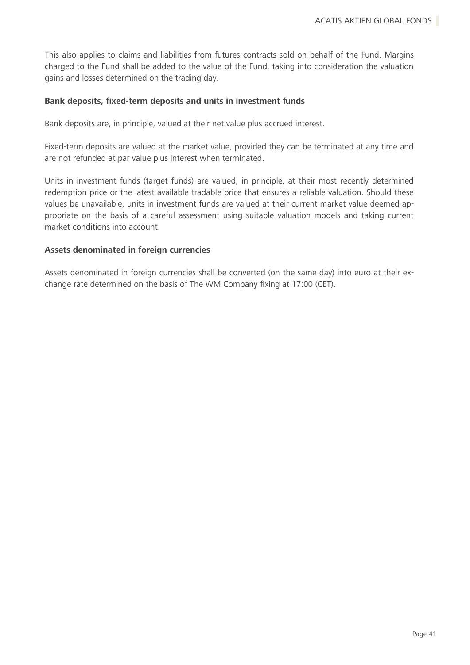This also applies to claims and liabilities from futures contracts sold on behalf of the Fund. Margins charged to the Fund shall be added to the value of the Fund, taking into consideration the valuation gains and losses determined on the trading day.

#### **Bank deposits, fixed-term deposits and units in investment funds**

Bank deposits are, in principle, valued at their net value plus accrued interest.

Fixed-term deposits are valued at the market value, provided they can be terminated at any time and are not refunded at par value plus interest when terminated.

Units in investment funds (target funds) are valued, in principle, at their most recently determined redemption price or the latest available tradable price that ensures a reliable valuation. Should these values be unavailable, units in investment funds are valued at their current market value deemed appropriate on the basis of a careful assessment using suitable valuation models and taking current market conditions into account.

### **Assets denominated in foreign currencies**

Assets denominated in foreign currencies shall be converted (on the same day) into euro at their exchange rate determined on the basis of The WM Company fixing at 17:00 (CET).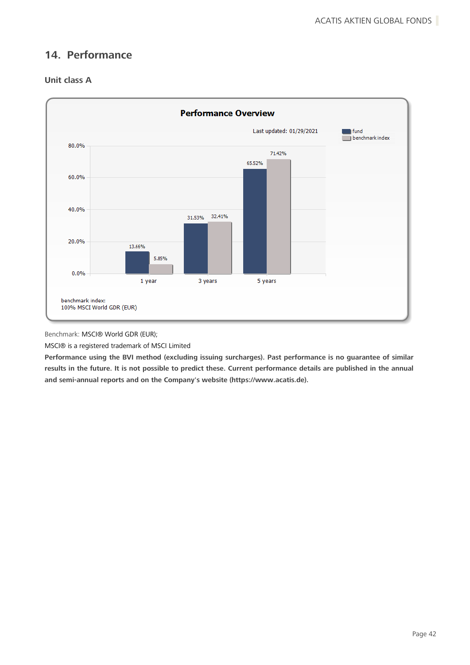# **14. Performance**





Benchmark: MSCI® World GDR (EUR);

MSCI® is a registered trademark of MSCI Limited

**Performance using the BVI method (excluding issuing surcharges). Past performance is no guarantee of similar results in the future. It is not possible to predict these. Current performance details are published in the annual and semi-annual reports and on the Company's website (https://www.acatis.de).**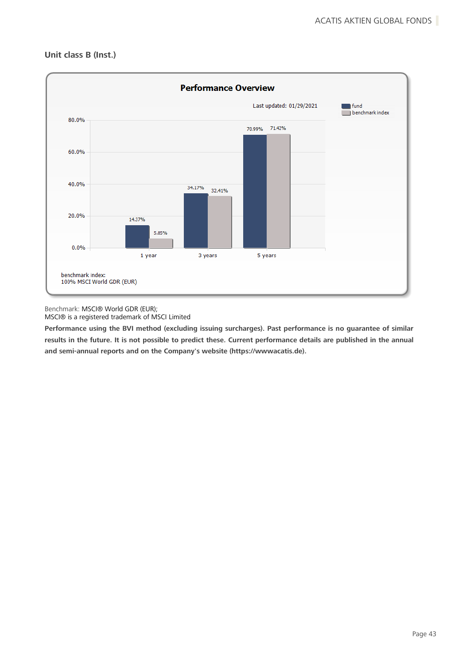

### **Unit class B (Inst.)**

Benchmark: MSCI® World GDR (EUR); MSCI® is a registered trademark of MSCI Limited

**Performance using the BVI method (excluding issuing surcharges). Past performance is no guarantee of similar results in the future. It is not possible to predict these. Current performance details are published in the annual and semi-annual reports and on the Company's website (https://wwwacatis.de).**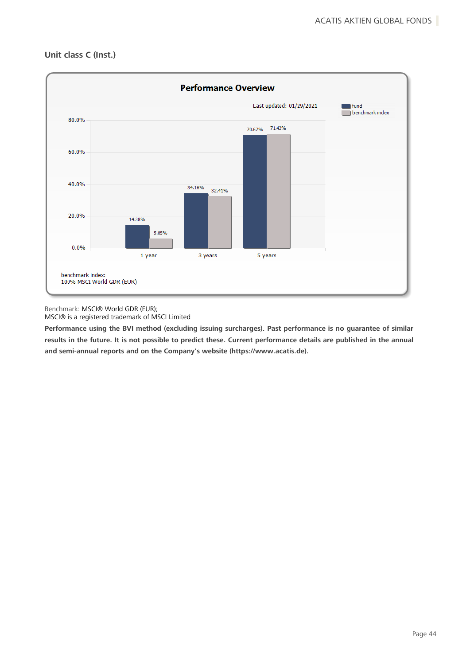



Benchmark: MSCI® World GDR (EUR); MSCI® is a registered trademark of MSCI Limited

**Performance using the BVI method (excluding issuing surcharges). Past performance is no guarantee of similar results in the future. It is not possible to predict these. Current performance details are published in the annual and semi-annual reports and on the Company's website (https://www.acatis.de).**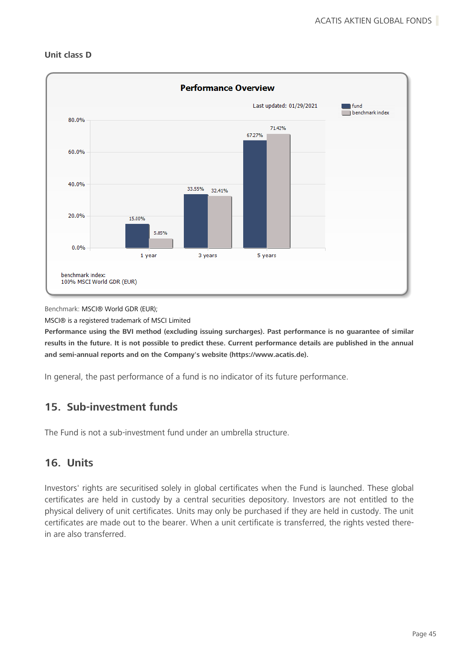

#### **Unit class D**

Benchmark: MSCI® World GDR (EUR);

MSCI® is a registered trademark of MSCI Limited

**Performance using the BVI method (excluding issuing surcharges). Past performance is no guarantee of similar results in the future. It is not possible to predict these. Current performance details are published in the annual and semi-annual reports and on the Company's website (https://www.acatis.de).**

In general, the past performance of a fund is no indicator of its future performance.

# **15. Sub-investment funds**

The Fund is not a sub-investment fund under an umbrella structure.

# **16. Units**

Investors' rights are securitised solely in global certificates when the Fund is launched. These global certificates are held in custody by a central securities depository. Investors are not entitled to the physical delivery of unit certificates. Units may only be purchased if they are held in custody. The unit certificates are made out to the bearer. When a unit certificate is transferred, the rights vested therein are also transferred.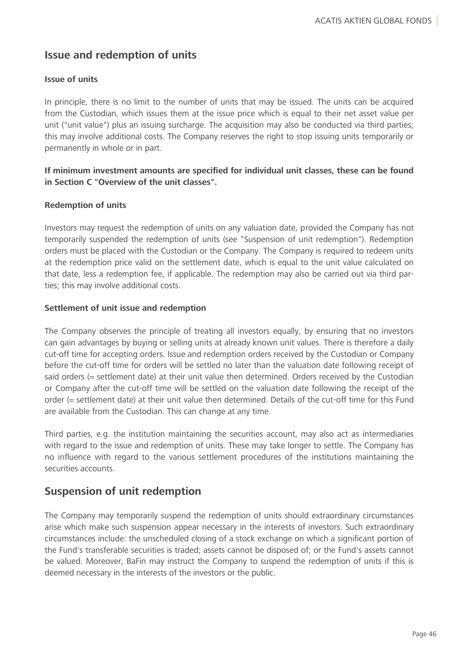# **Issue and redemption of units**

### **Issue of units**

In principle, there is no limit to the number of units that may be issued. The units can be acquired from the Custodian, which issues them at the issue price which is equal to their net asset value per unit ("unit value") plus an issuing surcharge. The acquisition may also be conducted via third parties; this may involve additional costs. The Company reserves the right to stop issuing units temporarily or permanently in whole or in part.

### **If minimum investment amounts are specified for individual unit classes, these can be found in Section C "Overview of the unit classes".**

### **Redemption of units**

Investors may request the redemption of units on any valuation date, provided the Company has not temporarily suspended the redemption of units (see "Suspension of unit redemption"). Redemption orders must be placed with the Custodian or the Company. The Company is required to redeem units at the redemption price valid on the settlement date, which is equal to the unit value calculated on that date, less a redemption fee, if applicable. The redemption may also be carried out via third parties; this may involve additional costs.

### **Settlement of unit issue and redemption**

The Company observes the principle of treating all investors equally, by ensuring that no investors can gain advantages by buying or selling units at already known unit values. There is therefore a daily cut-off time for accepting orders. Issue and redemption orders received by the Custodian or Company before the cut-off time for orders will be settled no later than the valuation date following receipt of said orders (= settlement date) at their unit value then determined. Orders received by the Custodian or Company after the cut-off time will be settled on the valuation date following the receipt of the order (= settlement date) at their unit value then determined. Details of the cut-off time for this Fund are available from the Custodian. This can change at any time.

Third parties, e.g. the institution maintaining the securities account, may also act as intermediaries with regard to the issue and redemption of units. These may take longer to settle. The Company has no influence with regard to the various settlement procedures of the institutions maintaining the securities accounts.

# **Suspension of unit redemption**

The Company may temporarily suspend the redemption of units should extraordinary circumstances arise which make such suspension appear necessary in the interests of investors. Such extraordinary circumstances include: the unscheduled closing of a stock exchange on which a significant portion of the Fund's transferable securities is traded; assets cannot be disposed of; or the Fund's assets cannot be valued. Moreover, BaFin may instruct the Company to suspend the redemption of units if this is deemed necessary in the interests of the investors or the public.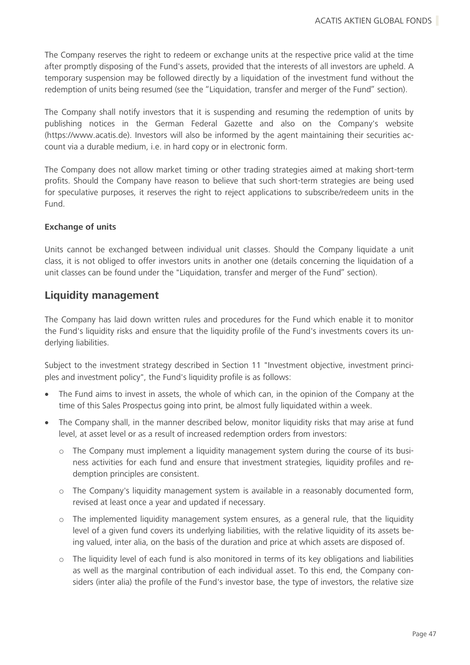The Company reserves the right to redeem or exchange units at the respective price valid at the time after promptly disposing of the Fund's assets, provided that the interests of all investors are upheld. A temporary suspension may be followed directly by a liquidation of the investment fund without the redemption of units being resumed (see the "Liquidation, transfer and merger of the Fund" section).

The Company shall notify investors that it is suspending and resuming the redemption of units by publishing notices in the German Federal Gazette and also on the Company's website (https://www.acatis.de). Investors will also be informed by the agent maintaining their securities account via a durable medium, i.e. in hard copy or in electronic form.

The Company does not allow market timing or other trading strategies aimed at making short-term profits. Should the Company have reason to believe that such short-term strategies are being used for speculative purposes, it reserves the right to reject applications to subscribe/redeem units in the Fund.

### **Exchange of units**

Units cannot be exchanged between individual unit classes. Should the Company liquidate a unit class, it is not obliged to offer investors units in another one (details concerning the liquidation of a unit classes can be found under the "Liquidation, transfer and merger of the Fund" section).

### **Liquidity management**

The Company has laid down written rules and procedures for the Fund which enable it to monitor the Fund's liquidity risks and ensure that the liquidity profile of the Fund's investments covers its underlying liabilities.

Subject to the investment strategy described in Section 11 "Investment objective, investment principles and investment policy", the Fund's liquidity profile is as follows:

- The Fund aims to invest in assets, the whole of which can, in the opinion of the Company at the time of this Sales Prospectus going into print, be almost fully liquidated within a week.
- The Company shall, in the manner described below, monitor liquidity risks that may arise at fund level, at asset level or as a result of increased redemption orders from investors:
	- o The Company must implement a liquidity management system during the course of its business activities for each fund and ensure that investment strategies, liquidity profiles and redemption principles are consistent.
	- o The Company's liquidity management system is available in a reasonably documented form, revised at least once a year and updated if necessary.
	- o The implemented liquidity management system ensures, as a general rule, that the liquidity level of a given fund covers its underlying liabilities, with the relative liquidity of its assets being valued, inter alia, on the basis of the duration and price at which assets are disposed of.
	- o The liquidity level of each fund is also monitored in terms of its key obligations and liabilities as well as the marginal contribution of each individual asset. To this end, the Company considers (inter alia) the profile of the Fund's investor base, the type of investors, the relative size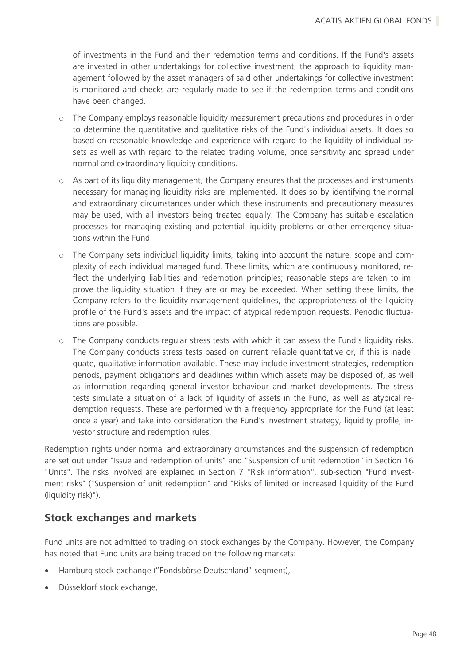of investments in the Fund and their redemption terms and conditions. If the Fund's assets are invested in other undertakings for collective investment, the approach to liquidity management followed by the asset managers of said other undertakings for collective investment is monitored and checks are regularly made to see if the redemption terms and conditions have been changed.

- o The Company employs reasonable liquidity measurement precautions and procedures in order to determine the quantitative and qualitative risks of the Fund's individual assets. It does so based on reasonable knowledge and experience with regard to the liquidity of individual assets as well as with regard to the related trading volume, price sensitivity and spread under normal and extraordinary liquidity conditions.
- o As part of its liquidity management, the Company ensures that the processes and instruments necessary for managing liquidity risks are implemented. It does so by identifying the normal and extraordinary circumstances under which these instruments and precautionary measures may be used, with all investors being treated equally. The Company has suitable escalation processes for managing existing and potential liquidity problems or other emergency situations within the Fund.
- $\circ$  The Company sets individual liquidity limits, taking into account the nature, scope and complexity of each individual managed fund. These limits, which are continuously monitored, reflect the underlying liabilities and redemption principles; reasonable steps are taken to improve the liquidity situation if they are or may be exceeded. When setting these limits, the Company refers to the liquidity management guidelines, the appropriateness of the liquidity profile of the Fund's assets and the impact of atypical redemption requests. Periodic fluctuations are possible.
- o The Company conducts regular stress tests with which it can assess the Fund's liquidity risks. The Company conducts stress tests based on current reliable quantitative or, if this is inadequate, qualitative information available. These may include investment strategies, redemption periods, payment obligations and deadlines within which assets may be disposed of, as well as information regarding general investor behaviour and market developments. The stress tests simulate a situation of a lack of liquidity of assets in the Fund, as well as atypical redemption requests. These are performed with a frequency appropriate for the Fund (at least once a year) and take into consideration the Fund's investment strategy, liquidity profile, investor structure and redemption rules.

Redemption rights under normal and extraordinary circumstances and the suspension of redemption are set out under "Issue and redemption of units" and "Suspension of unit redemption" in Section 16 "Units". The risks involved are explained in Section 7 "Risk information", sub-section "Fund investment risks" ("Suspension of unit redemption" and "Risks of limited or increased liquidity of the Fund (liquidity risk)").

# **Stock exchanges and markets**

Fund units are not admitted to trading on stock exchanges by the Company. However, the Company has noted that Fund units are being traded on the following markets:

- Hamburg stock exchange ("Fondsbörse Deutschland" segment),
- Düsseldorf stock exchange,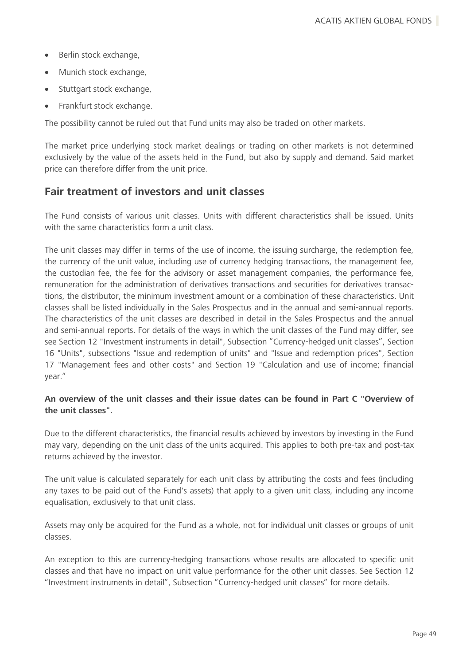- Berlin stock exchange,
- Munich stock exchange,
- Stuttgart stock exchange,
- Frankfurt stock exchange.

The possibility cannot be ruled out that Fund units may also be traded on other markets.

The market price underlying stock market dealings or trading on other markets is not determined exclusively by the value of the assets held in the Fund, but also by supply and demand. Said market price can therefore differ from the unit price.

## **Fair treatment of investors and unit classes**

The Fund consists of various unit classes. Units with different characteristics shall be issued. Units with the same characteristics form a unit class.

The unit classes may differ in terms of the use of income, the issuing surcharge, the redemption fee, the currency of the unit value, including use of currency hedging transactions, the management fee, the custodian fee, the fee for the advisory or asset management companies, the performance fee, remuneration for the administration of derivatives transactions and securities for derivatives transactions, the distributor, the minimum investment amount or a combination of these characteristics. Unit classes shall be listed individually in the Sales Prospectus and in the annual and semi-annual reports. The characteristics of the unit classes are described in detail in the Sales Prospectus and the annual and semi-annual reports. For details of the ways in which the unit classes of the Fund may differ, see see Section 12 "Investment instruments in detail", Subsection "Currency-hedged unit classes", Section 16 "Units", subsections "Issue and redemption of units" and "Issue and redemption prices", Section 17 "Management fees and other costs" and Section 19 "Calculation and use of income; financial year."

### **An overview of the unit classes and their issue dates can be found in Part C "Overview of the unit classes".**

Due to the different characteristics, the financial results achieved by investors by investing in the Fund may vary, depending on the unit class of the units acquired. This applies to both pre-tax and post-tax returns achieved by the investor.

The unit value is calculated separately for each unit class by attributing the costs and fees (including any taxes to be paid out of the Fund's assets) that apply to a given unit class, including any income equalisation, exclusively to that unit class.

Assets may only be acquired for the Fund as a whole, not for individual unit classes or groups of unit classes.

An exception to this are currency-hedging transactions whose results are allocated to specific unit classes and that have no impact on unit value performance for the other unit classes. See Section 12 "Investment instruments in detail", Subsection "Currency-hedged unit classes" for more details.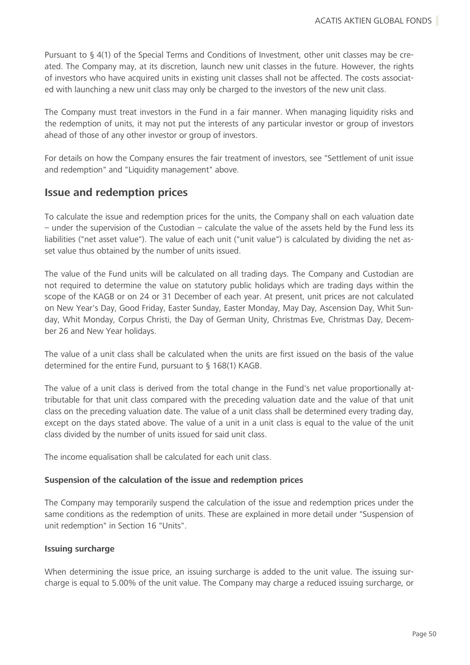Pursuant to § 4(1) of the Special Terms and Conditions of Investment, other unit classes may be created. The Company may, at its discretion, launch new unit classes in the future. However, the rights of investors who have acquired units in existing unit classes shall not be affected. The costs associated with launching a new unit class may only be charged to the investors of the new unit class.

The Company must treat investors in the Fund in a fair manner. When managing liquidity risks and the redemption of units, it may not put the interests of any particular investor or group of investors ahead of those of any other investor or group of investors.

For details on how the Company ensures the fair treatment of investors, see "Settlement of unit issue and redemption" and "Liquidity management" above.

## **Issue and redemption prices**

To calculate the issue and redemption prices for the units, the Company shall on each valuation date  $-$  under the supervision of the Custodian  $-$  calculate the value of the assets held by the Fund less its liabilities ("net asset value"). The value of each unit ("unit value") is calculated by dividing the net asset value thus obtained by the number of units issued.

The value of the Fund units will be calculated on all trading days. The Company and Custodian are not required to determine the value on statutory public holidays which are trading days within the scope of the KAGB or on 24 or 31 December of each year. At present, unit prices are not calculated on New Year's Day, Good Friday, Easter Sunday, Easter Monday, May Day, Ascension Day, Whit Sunday, Whit Monday, Corpus Christi, the Day of German Unity, Christmas Eve, Christmas Day, December 26 and New Year holidays.

The value of a unit class shall be calculated when the units are first issued on the basis of the value determined for the entire Fund, pursuant to § 168(1) KAGB.

The value of a unit class is derived from the total change in the Fund's net value proportionally attributable for that unit class compared with the preceding valuation date and the value of that unit class on the preceding valuation date. The value of a unit class shall be determined every trading day, except on the days stated above. The value of a unit in a unit class is equal to the value of the unit class divided by the number of units issued for said unit class.

The income equalisation shall be calculated for each unit class.

### **Suspension of the calculation of the issue and redemption prices**

The Company may temporarily suspend the calculation of the issue and redemption prices under the same conditions as the redemption of units. These are explained in more detail under "Suspension of unit redemption" in Section 16 "Units".

#### **Issuing surcharge**

When determining the issue price, an issuing surcharge is added to the unit value. The issuing surcharge is equal to 5.00% of the unit value. The Company may charge a reduced issuing surcharge, or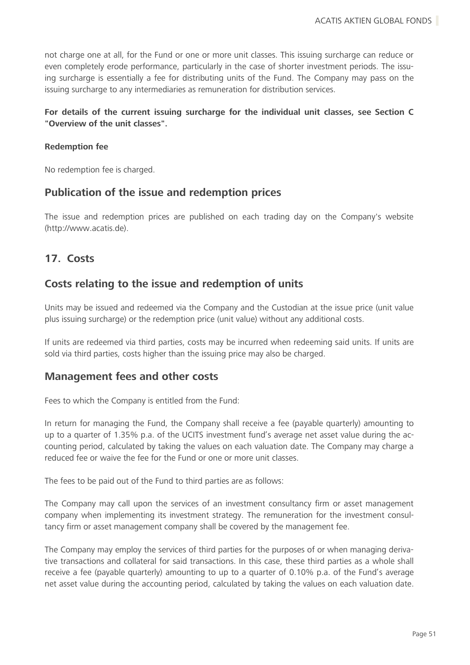not charge one at all, for the Fund or one or more unit classes. This issuing surcharge can reduce or even completely erode performance, particularly in the case of shorter investment periods. The issuing surcharge is essentially a fee for distributing units of the Fund. The Company may pass on the issuing surcharge to any intermediaries as remuneration for distribution services.

### **For details of the current issuing surcharge for the individual unit classes, see Section C "Overview of the unit classes".**

### **Redemption fee**

No redemption fee is charged.

## **Publication of the issue and redemption prices**

The issue and redemption prices are published on each trading day on the Company's website (http://www.acatis.de).

### **17. Costs**

### **Costs relating to the issue and redemption of units**

Units may be issued and redeemed via the Company and the Custodian at the issue price (unit value plus issuing surcharge) or the redemption price (unit value) without any additional costs.

If units are redeemed via third parties, costs may be incurred when redeeming said units. If units are sold via third parties, costs higher than the issuing price may also be charged.

### **Management fees and other costs**

Fees to which the Company is entitled from the Fund:

In return for managing the Fund, the Company shall receive a fee (payable quarterly) amounting to up to a quarter of 1.35% p.a. of the UCITS investment fund's average net asset value during the accounting period, calculated by taking the values on each valuation date. The Company may charge a reduced fee or waive the fee for the Fund or one or more unit classes.

The fees to be paid out of the Fund to third parties are as follows:

The Company may call upon the services of an investment consultancy firm or asset management company when implementing its investment strategy. The remuneration for the investment consultancy firm or asset management company shall be covered by the management fee.

The Company may employ the services of third parties for the purposes of or when managing derivative transactions and collateral for said transactions. In this case, these third parties as a whole shall receive a fee (payable quarterly) amounting to up to a quarter of 0.10% p.a. of the Fund's average net asset value during the accounting period, calculated by taking the values on each valuation date.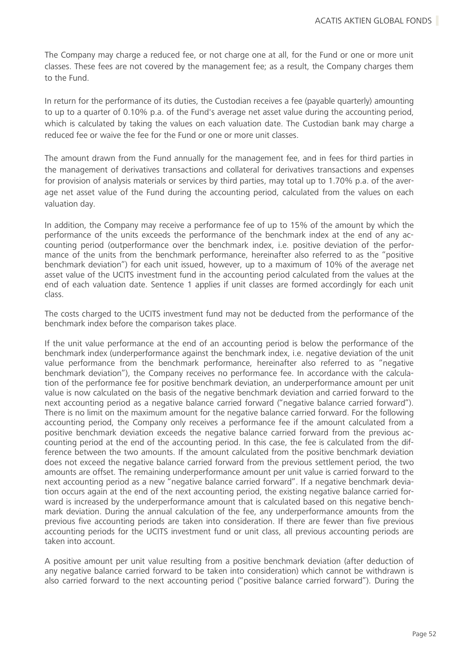The Company may charge a reduced fee, or not charge one at all, for the Fund or one or more unit classes. These fees are not covered by the management fee; as a result, the Company charges them to the Fund.

In return for the performance of its duties, the Custodian receives a fee (payable quarterly) amounting to up to a quarter of 0.10% p.a. of the Fund's average net asset value during the accounting period, which is calculated by taking the values on each valuation date. The Custodian bank may charge a reduced fee or waive the fee for the Fund or one or more unit classes.

The amount drawn from the Fund annually for the management fee, and in fees for third parties in the management of derivatives transactions and collateral for derivatives transactions and expenses for provision of analysis materials or services by third parties, may total up to 1.70% p.a. of the average net asset value of the Fund during the accounting period, calculated from the values on each valuation day.

In addition, the Company may receive a performance fee of up to 15% of the amount by which the performance of the units exceeds the performance of the benchmark index at the end of any accounting period (outperformance over the benchmark index, i.e. positive deviation of the performance of the units from the benchmark performance, hereinafter also referred to as the "positive benchmark deviation") for each unit issued, however, up to a maximum of 10% of the average net asset value of the UCITS investment fund in the accounting period calculated from the values at the end of each valuation date. Sentence 1 applies if unit classes are formed accordingly for each unit class.

The costs charged to the UCITS investment fund may not be deducted from the performance of the benchmark index before the comparison takes place.

If the unit value performance at the end of an accounting period is below the performance of the benchmark index (underperformance against the benchmark index, i.e. negative deviation of the unit value performance from the benchmark performance, hereinafter also referred to as "negative benchmark deviation"), the Company receives no performance fee. In accordance with the calculation of the performance fee for positive benchmark deviation, an underperformance amount per unit value is now calculated on the basis of the negative benchmark deviation and carried forward to the next accounting period as a negative balance carried forward ("negative balance carried forward"). There is no limit on the maximum amount for the negative balance carried forward. For the following accounting period, the Company only receives a performance fee if the amount calculated from a positive benchmark deviation exceeds the negative balance carried forward from the previous accounting period at the end of the accounting period. In this case, the fee is calculated from the difference between the two amounts. If the amount calculated from the positive benchmark deviation does not exceed the negative balance carried forward from the previous settlement period, the two amounts are offset. The remaining underperformance amount per unit value is carried forward to the next accounting period as a new "negative balance carried forward". If a negative benchmark deviation occurs again at the end of the next accounting period, the existing negative balance carried forward is increased by the underperformance amount that is calculated based on this negative benchmark deviation. During the annual calculation of the fee, any underperformance amounts from the previous five accounting periods are taken into consideration. If there are fewer than five previous accounting periods for the UCITS investment fund or unit class, all previous accounting periods are taken into account.

A positive amount per unit value resulting from a positive benchmark deviation (after deduction of any negative balance carried forward to be taken into consideration) which cannot be withdrawn is also carried forward to the next accounting period ("positive balance carried forward"). During the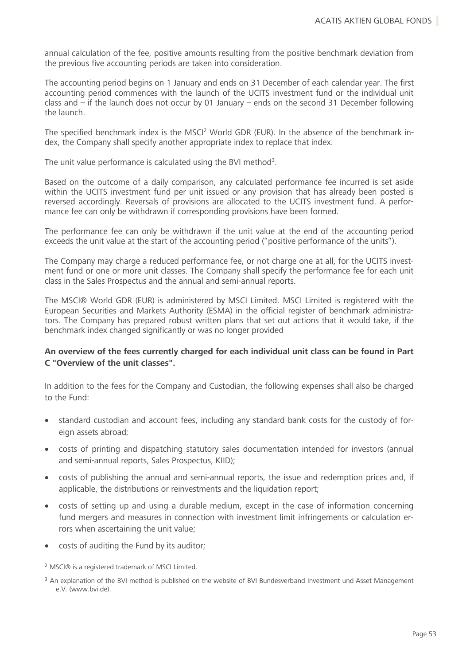annual calculation of the fee, positive amounts resulting from the positive benchmark deviation from the previous five accounting periods are taken into consideration.

The accounting period begins on 1 January and ends on 31 December of each calendar year. The first accounting period commences with the launch of the UCITS investment fund or the individual unit class and – if the launch does not occur by 01 January – ends on the second 31 December following the launch.

The specified benchmark index is the MSCI<sup>2</sup> World GDR (EUR). In the absence of the benchmark index, the Company shall specify another appropriate index to replace that index.

The unit value performance is calculated using the BVI method<sup>3</sup>.

Based on the outcome of a daily comparison, any calculated performance fee incurred is set aside within the UCITS investment fund per unit issued or any provision that has already been posted is reversed accordingly. Reversals of provisions are allocated to the UCITS investment fund. A performance fee can only be withdrawn if corresponding provisions have been formed.

The performance fee can only be withdrawn if the unit value at the end of the accounting period exceeds the unit value at the start of the accounting period ("positive performance of the units").

The Company may charge a reduced performance fee, or not charge one at all, for the UCITS investment fund or one or more unit classes. The Company shall specify the performance fee for each unit class in the Sales Prospectus and the annual and semi-annual reports.

The MSCI® World GDR (EUR) is administered by MSCI Limited. MSCI Limited is registered with the European Securities and Markets Authority (ESMA) in the official register of benchmark administrators. The Company has prepared robust written plans that set out actions that it would take, if the benchmark index changed significantly or was no longer provided

### **An overview of the fees currently charged for each individual unit class can be found in Part C "Overview of the unit classes".**

In addition to the fees for the Company and Custodian, the following expenses shall also be charged to the Fund:

- standard custodian and account fees, including any standard bank costs for the custody of foreign assets abroad:
- costs of printing and dispatching statutory sales documentation intended for investors (annual and semi-annual reports, Sales Prospectus, KIID);
- costs of publishing the annual and semi-annual reports, the issue and redemption prices and, if applicable, the distributions or reinvestments and the liquidation report;
- costs of setting up and using a durable medium, except in the case of information concerning fund mergers and measures in connection with investment limit infringements or calculation errors when ascertaining the unit value;
- costs of auditing the Fund by its auditor;

<sup>2</sup> MSCI® is a registered trademark of MSCI Limited.

<sup>3</sup> An explanation of the BVI method is published on the website of BVI Bundesverband Investment und Asset Management e.V. (www.bvi.de).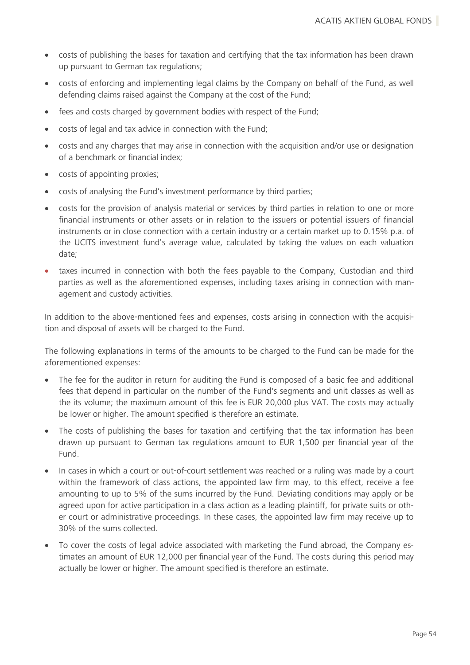- costs of publishing the bases for taxation and certifying that the tax information has been drawn up pursuant to German tax regulations;
- costs of enforcing and implementing legal claims by the Company on behalf of the Fund, as well defending claims raised against the Company at the cost of the Fund;
- fees and costs charged by government bodies with respect of the Fund;
- costs of legal and tax advice in connection with the Fund;
- costs and any charges that may arise in connection with the acquisition and/or use or designation of a benchmark or financial index;
- costs of appointing proxies;
- costs of analysing the Fund's investment performance by third parties;
- costs for the provision of analysis material or services by third parties in relation to one or more financial instruments or other assets or in relation to the issuers or potential issuers of financial instruments or in close connection with a certain industry or a certain market up to 0.15% p.a. of the UCITS investment fund's average value, calculated by taking the values on each valuation date;
- taxes incurred in connection with both the fees payable to the Company, Custodian and third parties as well as the aforementioned expenses, including taxes arising in connection with management and custody activities.

In addition to the above-mentioned fees and expenses, costs arising in connection with the acquisition and disposal of assets will be charged to the Fund.

The following explanations in terms of the amounts to be charged to the Fund can be made for the aforementioned expenses:

- The fee for the auditor in return for auditing the Fund is composed of a basic fee and additional fees that depend in particular on the number of the Fund's segments and unit classes as well as the its volume; the maximum amount of this fee is EUR 20,000 plus VAT. The costs may actually be lower or higher. The amount specified is therefore an estimate.
- The costs of publishing the bases for taxation and certifying that the tax information has been drawn up pursuant to German tax regulations amount to EUR 1,500 per financial year of the Fund.
- In cases in which a court or out-of-court settlement was reached or a ruling was made by a court within the framework of class actions, the appointed law firm may, to this effect, receive a fee amounting to up to 5% of the sums incurred by the Fund. Deviating conditions may apply or be agreed upon for active participation in a class action as a leading plaintiff, for private suits or other court or administrative proceedings. In these cases, the appointed law firm may receive up to 30% of the sums collected.
- To cover the costs of legal advice associated with marketing the Fund abroad, the Company estimates an amount of EUR 12,000 per financial year of the Fund. The costs during this period may actually be lower or higher. The amount specified is therefore an estimate.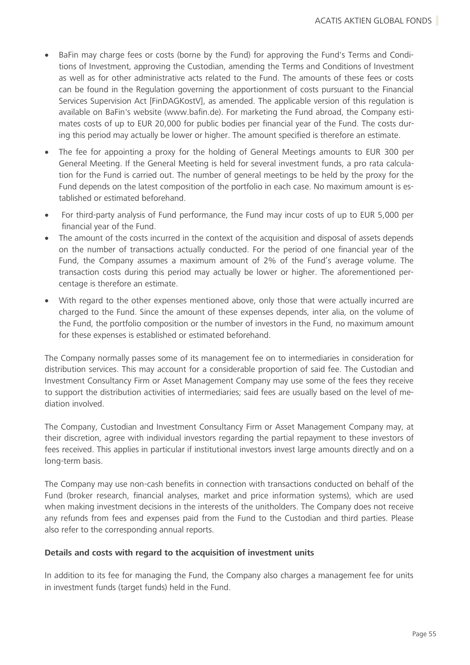- BaFin may charge fees or costs (borne by the Fund) for approving the Fund's Terms and Conditions of Investment, approving the Custodian, amending the Terms and Conditions of Investment as well as for other administrative acts related to the Fund. The amounts of these fees or costs can be found in the Regulation governing the apportionment of costs pursuant to the Financial Services Supervision Act [FinDAGKostV], as amended. The applicable version of this regulation is available on BaFin's website (www.bafin.de). For marketing the Fund abroad, the Company estimates costs of up to EUR 20,000 for public bodies per financial year of the Fund. The costs during this period may actually be lower or higher. The amount specified is therefore an estimate.
- The fee for appointing a proxy for the holding of General Meetings amounts to EUR 300 per General Meeting. If the General Meeting is held for several investment funds, a pro rata calculation for the Fund is carried out. The number of general meetings to be held by the proxy for the Fund depends on the latest composition of the portfolio in each case. No maximum amount is established or estimated beforehand.
- For third-party analysis of Fund performance, the Fund may incur costs of up to EUR 5,000 per financial year of the Fund.
- The amount of the costs incurred in the context of the acquisition and disposal of assets depends on the number of transactions actually conducted. For the period of one financial year of the Fund, the Company assumes a maximum amount of 2% of the Fund's average volume. The transaction costs during this period may actually be lower or higher. The aforementioned percentage is therefore an estimate.
- With regard to the other expenses mentioned above, only those that were actually incurred are charged to the Fund. Since the amount of these expenses depends, inter alia, on the volume of the Fund, the portfolio composition or the number of investors in the Fund, no maximum amount for these expenses is established or estimated beforehand.

The Company normally passes some of its management fee on to intermediaries in consideration for distribution services. This may account for a considerable proportion of said fee. The Custodian and Investment Consultancy Firm or Asset Management Company may use some of the fees they receive to support the distribution activities of intermediaries; said fees are usually based on the level of mediation involved.

The Company, Custodian and Investment Consultancy Firm or Asset Management Company may, at their discretion, agree with individual investors regarding the partial repayment to these investors of fees received. This applies in particular if institutional investors invest large amounts directly and on a long-term basis.

The Company may use non-cash benefits in connection with transactions conducted on behalf of the Fund (broker research, financial analyses, market and price information systems), which are used when making investment decisions in the interests of the unitholders. The Company does not receive any refunds from fees and expenses paid from the Fund to the Custodian and third parties. Please also refer to the corresponding annual reports.

### **Details and costs with regard to the acquisition of investment units**

In addition to its fee for managing the Fund, the Company also charges a management fee for units in investment funds (target funds) held in the Fund.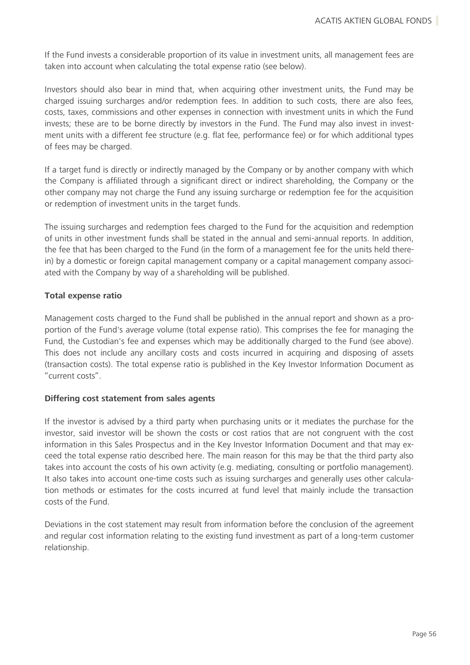If the Fund invests a considerable proportion of its value in investment units, all management fees are taken into account when calculating the total expense ratio (see below).

Investors should also bear in mind that, when acquiring other investment units, the Fund may be charged issuing surcharges and/or redemption fees. In addition to such costs, there are also fees, costs, taxes, commissions and other expenses in connection with investment units in which the Fund invests; these are to be borne directly by investors in the Fund. The Fund may also invest in investment units with a different fee structure (e.g. flat fee, performance fee) or for which additional types of fees may be charged.

If a target fund is directly or indirectly managed by the Company or by another company with which the Company is affiliated through a significant direct or indirect shareholding, the Company or the other company may not charge the Fund any issuing surcharge or redemption fee for the acquisition or redemption of investment units in the target funds.

The issuing surcharges and redemption fees charged to the Fund for the acquisition and redemption of units in other investment funds shall be stated in the annual and semi-annual reports. In addition, the fee that has been charged to the Fund (in the form of a management fee for the units held therein) by a domestic or foreign capital management company or a capital management company associated with the Company by way of a shareholding will be published.

### **Total expense ratio**

Management costs charged to the Fund shall be published in the annual report and shown as a proportion of the Fund's average volume (total expense ratio). This comprises the fee for managing the Fund, the Custodian's fee and expenses which may be additionally charged to the Fund (see above). This does not include any ancillary costs and costs incurred in acquiring and disposing of assets (transaction costs). The total expense ratio is published in the Key Investor Information Document as "current costs".

### **Differing cost statement from sales agents**

If the investor is advised by a third party when purchasing units or it mediates the purchase for the investor, said investor will be shown the costs or cost ratios that are not congruent with the cost information in this Sales Prospectus and in the Key Investor Information Document and that may exceed the total expense ratio described here. The main reason for this may be that the third party also takes into account the costs of his own activity (e.g. mediating, consulting or portfolio management). It also takes into account one-time costs such as issuing surcharges and generally uses other calculation methods or estimates for the costs incurred at fund level that mainly include the transaction costs of the Fund.

Deviations in the cost statement may result from information before the conclusion of the agreement and regular cost information relating to the existing fund investment as part of a long-term customer relationship.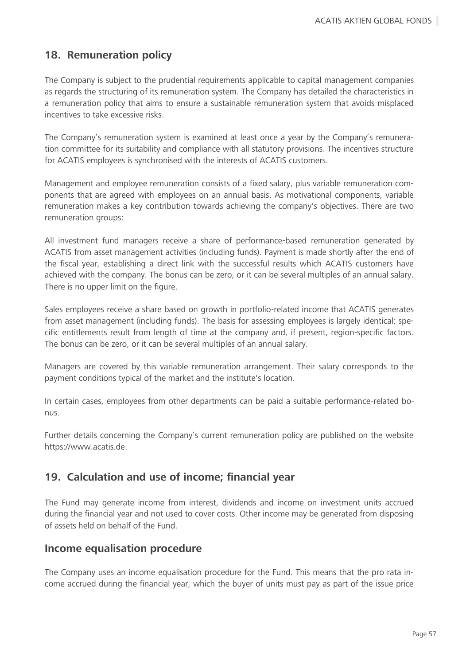# **18. Remuneration policy**

The Company is subject to the prudential requirements applicable to capital management companies as regards the structuring of its remuneration system. The Company has detailed the characteristics in a remuneration policy that aims to ensure a sustainable remuneration system that avoids misplaced incentives to take excessive risks.

The Company's remuneration system is examined at least once a year by the Company's remuneration committee for its suitability and compliance with all statutory provisions. The incentives structure for ACATIS employees is synchronised with the interests of ACATIS customers.

Management and employee remuneration consists of a fixed salary, plus variable remuneration components that are agreed with employees on an annual basis. As motivational components, variable remuneration makes a key contribution towards achieving the company's objectives. There are two remuneration groups:

All investment fund managers receive a share of performance-based remuneration generated by ACATIS from asset management activities (including funds). Payment is made shortly after the end of the fiscal year, establishing a direct link with the successful results which ACATIS customers have achieved with the company. The bonus can be zero, or it can be several multiples of an annual salary. There is no upper limit on the figure.

Sales employees receive a share based on growth in portfolio-related income that ACATIS generates from asset management (including funds). The basis for assessing employees is largely identical; specific entitlements result from length of time at the company and, if present, region-specific factors. The bonus can be zero, or it can be several multiples of an annual salary.

Managers are covered by this variable remuneration arrangement. Their salary corresponds to the payment conditions typical of the market and the institute's location.

In certain cases, employees from other departments can be paid a suitable performance-related bonus.

Further details concerning the Company's current remuneration policy are published on the website https://www.acatis.de.

# **19. Calculation and use of income; financial year**

The Fund may generate income from interest, dividends and income on investment units accrued during the financial year and not used to cover costs. Other income may be generated from disposing of assets held on behalf of the Fund.

### **Income equalisation procedure**

The Company uses an income equalisation procedure for the Fund. This means that the pro rata income accrued during the financial year, which the buyer of units must pay as part of the issue price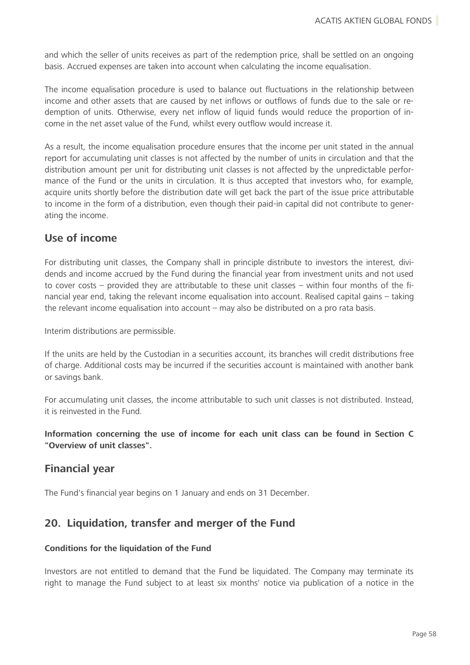and which the seller of units receives as part of the redemption price, shall be settled on an ongoing basis. Accrued expenses are taken into account when calculating the income equalisation.

The income equalisation procedure is used to balance out fluctuations in the relationship between income and other assets that are caused by net inflows or outflows of funds due to the sale or redemption of units. Otherwise, every net inflow of liquid funds would reduce the proportion of income in the net asset value of the Fund, whilst every outflow would increase it.

As a result, the income equalisation procedure ensures that the income per unit stated in the annual report for accumulating unit classes is not affected by the number of units in circulation and that the distribution amount per unit for distributing unit classes is not affected by the unpredictable performance of the Fund or the units in circulation. It is thus accepted that investors who, for example, acquire units shortly before the distribution date will get back the part of the issue price attributable to income in the form of a distribution, even though their paid-in capital did not contribute to generating the income.

### **Use of income**

For distributing unit classes, the Company shall in principle distribute to investors the interest, dividends and income accrued by the Fund during the financial year from investment units and not used to cover costs – provided they are attributable to these unit classes – within four months of the financial year end, taking the relevant income equalisation into account. Realised capital gains – taking the relevant income equalisation into account – may also be distributed on a pro rata basis.

Interim distributions are permissible.

If the units are held by the Custodian in a securities account, its branches will credit distributions free of charge. Additional costs may be incurred if the securities account is maintained with another bank or savings bank.

For accumulating unit classes, the income attributable to such unit classes is not distributed. Instead, it is reinvested in the Fund.

**Information concerning the use of income for each unit class can be found in Section C "Overview of unit classes".**

### **Financial year**

The Fund's financial year begins on 1 January and ends on 31 December.

### **20. Liquidation, transfer and merger of the Fund**

### **Conditions for the liquidation of the Fund**

Investors are not entitled to demand that the Fund be liquidated. The Company may terminate its right to manage the Fund subject to at least six months' notice via publication of a notice in the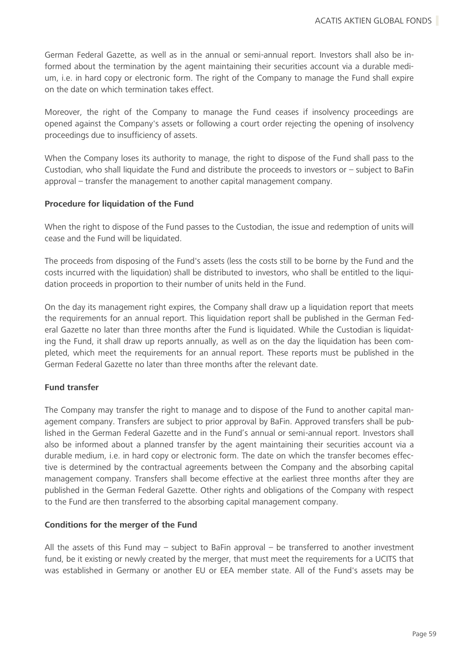German Federal Gazette, as well as in the annual or semi-annual report. Investors shall also be informed about the termination by the agent maintaining their securities account via a durable medium, i.e. in hard copy or electronic form. The right of the Company to manage the Fund shall expire on the date on which termination takes effect.

Moreover, the right of the Company to manage the Fund ceases if insolvency proceedings are opened against the Company's assets or following a court order rejecting the opening of insolvency proceedings due to insufficiency of assets.

When the Company loses its authority to manage, the right to dispose of the Fund shall pass to the Custodian, who shall liquidate the Fund and distribute the proceeds to investors or – subject to BaFin approval – transfer the management to another capital management company.

### **Procedure for liquidation of the Fund**

When the right to dispose of the Fund passes to the Custodian, the issue and redemption of units will cease and the Fund will be liquidated.

The proceeds from disposing of the Fund's assets (less the costs still to be borne by the Fund and the costs incurred with the liquidation) shall be distributed to investors, who shall be entitled to the liquidation proceeds in proportion to their number of units held in the Fund.

On the day its management right expires, the Company shall draw up a liquidation report that meets the requirements for an annual report. This liquidation report shall be published in the German Federal Gazette no later than three months after the Fund is liquidated. While the Custodian is liquidating the Fund, it shall draw up reports annually, as well as on the day the liquidation has been completed, which meet the requirements for an annual report. These reports must be published in the German Federal Gazette no later than three months after the relevant date.

### **Fund transfer**

The Company may transfer the right to manage and to dispose of the Fund to another capital management company. Transfers are subject to prior approval by BaFin. Approved transfers shall be published in the German Federal Gazette and in the Fund's annual or semi-annual report. Investors shall also be informed about a planned transfer by the agent maintaining their securities account via a durable medium, i.e. in hard copy or electronic form. The date on which the transfer becomes effective is determined by the contractual agreements between the Company and the absorbing capital management company. Transfers shall become effective at the earliest three months after they are published in the German Federal Gazette. Other rights and obligations of the Company with respect to the Fund are then transferred to the absorbing capital management company.

#### **Conditions for the merger of the Fund**

All the assets of this Fund may  $-$  subject to BaFin approval  $-$  be transferred to another investment fund, be it existing or newly created by the merger, that must meet the requirements for a UCITS that was established in Germany or another EU or EEA member state. All of the Fund's assets may be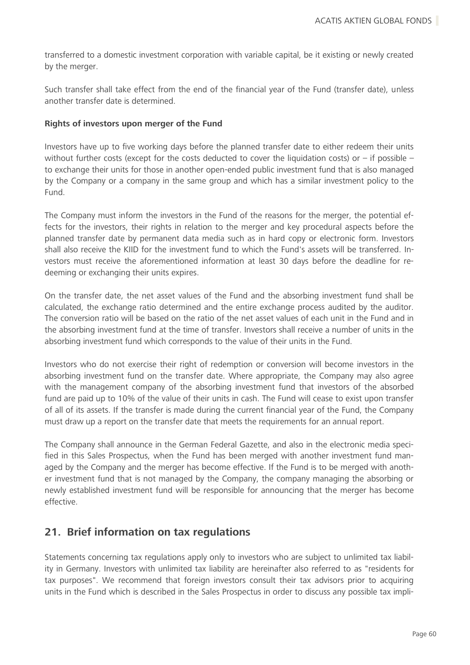transferred to a domestic investment corporation with variable capital, be it existing or newly created by the merger.

Such transfer shall take effect from the end of the financial year of the Fund (transfer date), unless another transfer date is determined.

#### **Rights of investors upon merger of the Fund**

Investors have up to five working days before the planned transfer date to either redeem their units without further costs (except for the costs deducted to cover the liquidation costs) or  $-$  if possible  $$ to exchange their units for those in another open-ended public investment fund that is also managed by the Company or a company in the same group and which has a similar investment policy to the Fund.

The Company must inform the investors in the Fund of the reasons for the merger, the potential effects for the investors, their rights in relation to the merger and key procedural aspects before the planned transfer date by permanent data media such as in hard copy or electronic form. Investors shall also receive the KIID for the investment fund to which the Fund's assets will be transferred. Investors must receive the aforementioned information at least 30 days before the deadline for redeeming or exchanging their units expires.

On the transfer date, the net asset values of the Fund and the absorbing investment fund shall be calculated, the exchange ratio determined and the entire exchange process audited by the auditor. The conversion ratio will be based on the ratio of the net asset values of each unit in the Fund and in the absorbing investment fund at the time of transfer. Investors shall receive a number of units in the absorbing investment fund which corresponds to the value of their units in the Fund.

Investors who do not exercise their right of redemption or conversion will become investors in the absorbing investment fund on the transfer date. Where appropriate, the Company may also agree with the management company of the absorbing investment fund that investors of the absorbed fund are paid up to 10% of the value of their units in cash. The Fund will cease to exist upon transfer of all of its assets. If the transfer is made during the current financial year of the Fund, the Company must draw up a report on the transfer date that meets the requirements for an annual report.

The Company shall announce in the German Federal Gazette, and also in the electronic media specified in this Sales Prospectus, when the Fund has been merged with another investment fund managed by the Company and the merger has become effective. If the Fund is to be merged with another investment fund that is not managed by the Company, the company managing the absorbing or newly established investment fund will be responsible for announcing that the merger has become effective.

### **21. Brief information on tax regulations**

Statements concerning tax regulations apply only to investors who are subject to unlimited tax liability in Germany. Investors with unlimited tax liability are hereinafter also referred to as "residents for tax purposes". We recommend that foreign investors consult their tax advisors prior to acquiring units in the Fund which is described in the Sales Prospectus in order to discuss any possible tax impli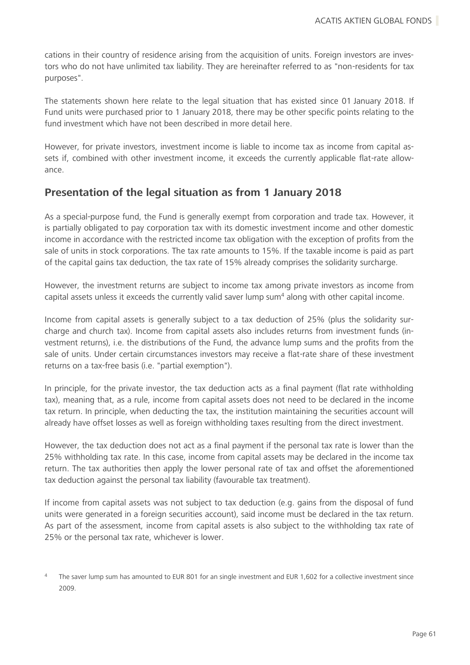cations in their country of residence arising from the acquisition of units. Foreign investors are investors who do not have unlimited tax liability. They are hereinafter referred to as "non-residents for tax purposes".

The statements shown here relate to the legal situation that has existed since 01 January 2018. If Fund units were purchased prior to 1 January 2018, there may be other specific points relating to the fund investment which have not been described in more detail here.

However, for private investors, investment income is liable to income tax as income from capital assets if, combined with other investment income, it exceeds the currently applicable flat-rate allowance.

# **Presentation of the legal situation as from 1 January 2018**

As a special-purpose fund, the Fund is generally exempt from corporation and trade tax. However, it is partially obligated to pay corporation tax with its domestic investment income and other domestic income in accordance with the restricted income tax obligation with the exception of profits from the sale of units in stock corporations. The tax rate amounts to 15%. If the taxable income is paid as part of the capital gains tax deduction, the tax rate of 15% already comprises the solidarity surcharge.

However, the investment returns are subject to income tax among private investors as income from capital assets unless it exceeds the currently valid saver lump sum<sup>4</sup> along with other capital income.

Income from capital assets is generally subject to a tax deduction of 25% (plus the solidarity surcharge and church tax). Income from capital assets also includes returns from investment funds (investment returns), i.e. the distributions of the Fund, the advance lump sums and the profits from the sale of units. Under certain circumstances investors may receive a flat-rate share of these investment returns on a tax-free basis (i.e. "partial exemption").

In principle, for the private investor, the tax deduction acts as a final payment (flat rate withholding tax), meaning that, as a rule, income from capital assets does not need to be declared in the income tax return. In principle, when deducting the tax, the institution maintaining the securities account will already have offset losses as well as foreign withholding taxes resulting from the direct investment.

However, the tax deduction does not act as a final payment if the personal tax rate is lower than the 25% withholding tax rate. In this case, income from capital assets may be declared in the income tax return. The tax authorities then apply the lower personal rate of tax and offset the aforementioned tax deduction against the personal tax liability (favourable tax treatment).

If income from capital assets was not subject to tax deduction (e.g. gains from the disposal of fund units were generated in a foreign securities account), said income must be declared in the tax return. As part of the assessment, income from capital assets is also subject to the withholding tax rate of 25% or the personal tax rate, whichever is lower.

The saver lump sum has amounted to EUR 801 for an single investment and EUR 1,602 for a collective investment since 2009.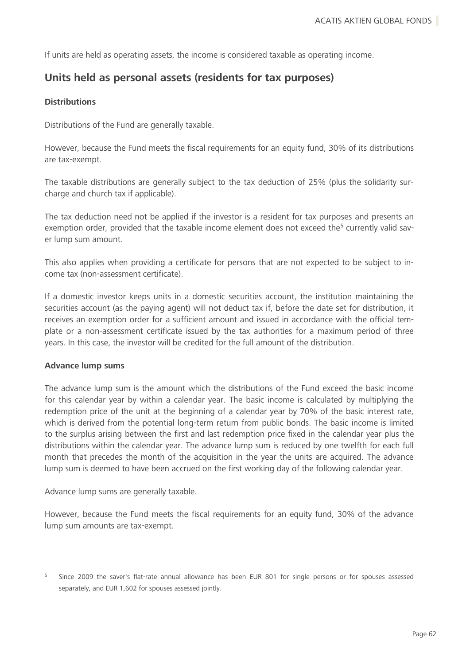If units are held as operating assets, the income is considered taxable as operating income.

## **Units held as personal assets (residents for tax purposes)**

### **Distributions**

Distributions of the Fund are generally taxable.

However, because the Fund meets the fiscal requirements for an equity fund, 30% of its distributions are tax-exempt.

The taxable distributions are generally subject to the tax deduction of 25% (plus the solidarity surcharge and church tax if applicable).

The tax deduction need not be applied if the investor is a resident for tax purposes and presents an exemption order, provided that the taxable income element does not exceed the<sup>5</sup> currently valid saver lump sum amount.

This also applies when providing a certificate for persons that are not expected to be subject to income tax (non-assessment certificate).

If a domestic investor keeps units in a domestic securities account, the institution maintaining the securities account (as the paying agent) will not deduct tax if, before the date set for distribution, it receives an exemption order for a sufficient amount and issued in accordance with the official template or a non-assessment certificate issued by the tax authorities for a maximum period of three years. In this case, the investor will be credited for the full amount of the distribution.

#### **Advance lump sums**

The advance lump sum is the amount which the distributions of the Fund exceed the basic income for this calendar year by within a calendar year. The basic income is calculated by multiplying the redemption price of the unit at the beginning of a calendar year by 70% of the basic interest rate, which is derived from the potential long-term return from public bonds. The basic income is limited to the surplus arising between the first and last redemption price fixed in the calendar year plus the distributions within the calendar year. The advance lump sum is reduced by one twelfth for each full month that precedes the month of the acquisition in the year the units are acquired. The advance lump sum is deemed to have been accrued on the first working day of the following calendar year.

Advance lump sums are generally taxable.

However, because the Fund meets the fiscal requirements for an equity fund, 30% of the advance lump sum amounts are tax-exempt.

<sup>5</sup> Since 2009 the saver's flat-rate annual allowance has been EUR 801 for single persons or for spouses assessed separately, and EUR 1,602 for spouses assessed jointly.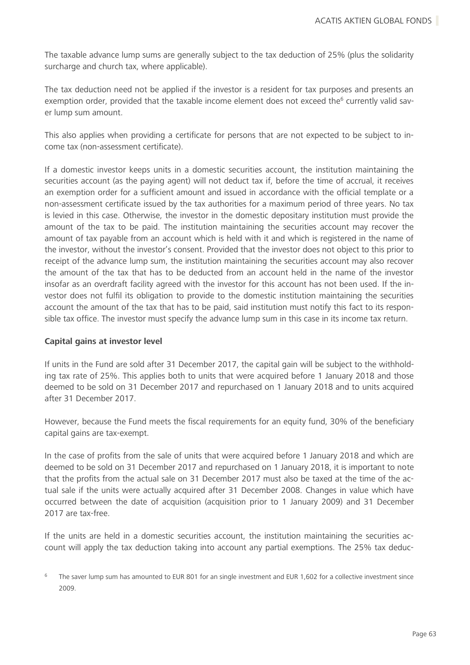The taxable advance lump sums are generally subject to the tax deduction of 25% (plus the solidarity surcharge and church tax, where applicable).

The tax deduction need not be applied if the investor is a resident for tax purposes and presents an exemption order, provided that the taxable income element does not exceed the<sup>6</sup> currently valid saver lump sum amount.

This also applies when providing a certificate for persons that are not expected to be subject to income tax (non-assessment certificate).

If a domestic investor keeps units in a domestic securities account, the institution maintaining the securities account (as the paying agent) will not deduct tax if, before the time of accrual, it receives an exemption order for a sufficient amount and issued in accordance with the official template or a non-assessment certificate issued by the tax authorities for a maximum period of three years. No tax is levied in this case. Otherwise, the investor in the domestic depositary institution must provide the amount of the tax to be paid. The institution maintaining the securities account may recover the amount of tax payable from an account which is held with it and which is registered in the name of the investor, without the investor's consent. Provided that the investor does not object to this prior to receipt of the advance lump sum, the institution maintaining the securities account may also recover the amount of the tax that has to be deducted from an account held in the name of the investor insofar as an overdraft facility agreed with the investor for this account has not been used. If the investor does not fulfil its obligation to provide to the domestic institution maintaining the securities account the amount of the tax that has to be paid, said institution must notify this fact to its responsible tax office. The investor must specify the advance lump sum in this case in its income tax return.

### **Capital gains at investor level**

If units in the Fund are sold after 31 December 2017, the capital gain will be subject to the withholding tax rate of 25%. This applies both to units that were acquired before 1 January 2018 and those deemed to be sold on 31 December 2017 and repurchased on 1 January 2018 and to units acquired after 31 December 2017.

However, because the Fund meets the fiscal requirements for an equity fund, 30% of the beneficiary capital gains are tax-exempt.

In the case of profits from the sale of units that were acquired before 1 January 2018 and which are deemed to be sold on 31 December 2017 and repurchased on 1 January 2018, it is important to note that the profits from the actual sale on 31 December 2017 must also be taxed at the time of the actual sale if the units were actually acquired after 31 December 2008. Changes in value which have occurred between the date of acquisition (acquisition prior to 1 January 2009) and 31 December 2017 are tax-free.

If the units are held in a domestic securities account, the institution maintaining the securities account will apply the tax deduction taking into account any partial exemptions. The 25% tax deduc-

 $6$  The saver lump sum has amounted to EUR 801 for an single investment and EUR 1.602 for a collective investment since 2009.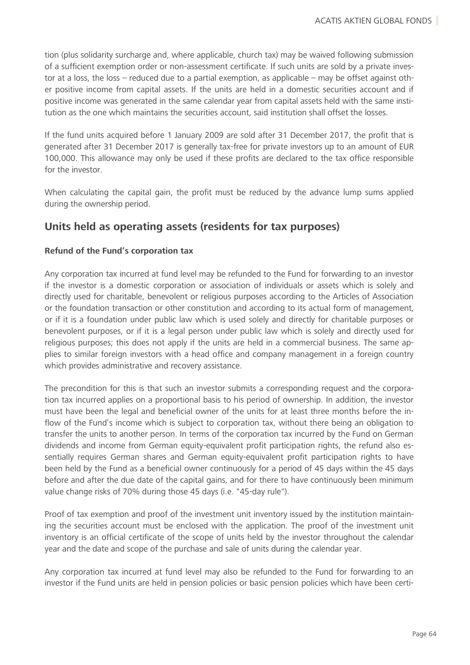tion (plus solidarity surcharge and, where applicable, church tax) may be waived following submission of a sufficient exemption order or non-assessment certificate. If such units are sold by a private investor at a loss, the loss – reduced due to a partial exemption, as applicable – may be offset against other positive income from capital assets. If the units are held in a domestic securities account and if positive income was generated in the same calendar year from capital assets held with the same institution as the one which maintains the securities account, said institution shall offset the losses.

If the fund units acquired before 1 January 2009 are sold after 31 December 2017, the profit that is generated after 31 December 2017 is generally tax-free for private investors up to an amount of EUR 100,000. This allowance may only be used if these profits are declared to the tax office responsible for the investor.

When calculating the capital gain, the profit must be reduced by the advance lump sums applied during the ownership period.

# **Units held as operating assets (residents for tax purposes)**

### **Refund of the Fund's corporation tax**

Any corporation tax incurred at fund level may be refunded to the Fund for forwarding to an investor if the investor is a domestic corporation or association of individuals or assets which is solely and directly used for charitable, benevolent or religious purposes according to the Articles of Association or the foundation transaction or other constitution and according to its actual form of management, or if it is a foundation under public law which is used solely and directly for charitable purposes or benevolent purposes, or if it is a legal person under public law which is solely and directly used for religious purposes; this does not apply if the units are held in a commercial business. The same applies to similar foreign investors with a head office and company management in a foreign country which provides administrative and recovery assistance.

The precondition for this is that such an investor submits a corresponding request and the corporation tax incurred applies on a proportional basis to his period of ownership. In addition, the investor must have been the legal and beneficial owner of the units for at least three months before the inflow of the Fund's income which is subject to corporation tax, without there being an obligation to transfer the units to another person. In terms of the corporation tax incurred by the Fund on German dividends and income from German equity-equivalent profit participation rights, the refund also essentially requires German shares and German equity-equivalent profit participation rights to have been held by the Fund as a beneficial owner continuously for a period of 45 days within the 45 days before and after the due date of the capital gains, and for there to have continuously been minimum value change risks of 70% during those 45 days (i.e. "45-day rule").

Proof of tax exemption and proof of the investment unit inventory issued by the institution maintaining the securities account must be enclosed with the application. The proof of the investment unit inventory is an official certificate of the scope of units held by the investor throughout the calendar year and the date and scope of the purchase and sale of units during the calendar year.

Any corporation tax incurred at fund level may also be refunded to the Fund for forwarding to an investor if the Fund units are held in pension policies or basic pension policies which have been certi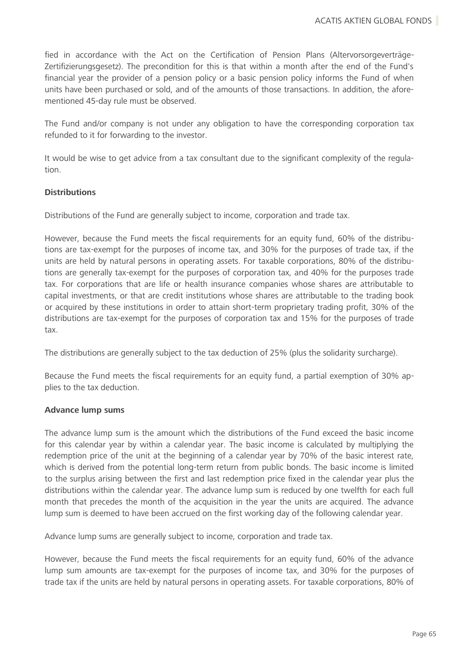fied in accordance with the Act on the Certification of Pension Plans (Altervorsorgeverträge-Zertifizierungsgesetz). The precondition for this is that within a month after the end of the Fund's financial year the provider of a pension policy or a basic pension policy informs the Fund of when units have been purchased or sold, and of the amounts of those transactions. In addition, the aforementioned 45-day rule must be observed.

The Fund and/or company is not under any obligation to have the corresponding corporation tax refunded to it for forwarding to the investor.

It would be wise to get advice from a tax consultant due to the significant complexity of the regulation.

### **Distributions**

Distributions of the Fund are generally subject to income, corporation and trade tax.

However, because the Fund meets the fiscal requirements for an equity fund, 60% of the distributions are tax-exempt for the purposes of income tax, and 30% for the purposes of trade tax, if the units are held by natural persons in operating assets. For taxable corporations, 80% of the distributions are generally tax-exempt for the purposes of corporation tax, and 40% for the purposes trade tax. For corporations that are life or health insurance companies whose shares are attributable to capital investments, or that are credit institutions whose shares are attributable to the trading book or acquired by these institutions in order to attain short-term proprietary trading profit, 30% of the distributions are tax-exempt for the purposes of corporation tax and 15% for the purposes of trade tax.

The distributions are generally subject to the tax deduction of 25% (plus the solidarity surcharge).

Because the Fund meets the fiscal requirements for an equity fund, a partial exemption of 30% applies to the tax deduction.

#### **Advance lump sums**

The advance lump sum is the amount which the distributions of the Fund exceed the basic income for this calendar year by within a calendar year. The basic income is calculated by multiplying the redemption price of the unit at the beginning of a calendar year by 70% of the basic interest rate, which is derived from the potential long-term return from public bonds. The basic income is limited to the surplus arising between the first and last redemption price fixed in the calendar year plus the distributions within the calendar year. The advance lump sum is reduced by one twelfth for each full month that precedes the month of the acquisition in the year the units are acquired. The advance lump sum is deemed to have been accrued on the first working day of the following calendar year.

Advance lump sums are generally subject to income, corporation and trade tax.

However, because the Fund meets the fiscal requirements for an equity fund, 60% of the advance lump sum amounts are tax-exempt for the purposes of income tax, and 30% for the purposes of trade tax if the units are held by natural persons in operating assets. For taxable corporations, 80% of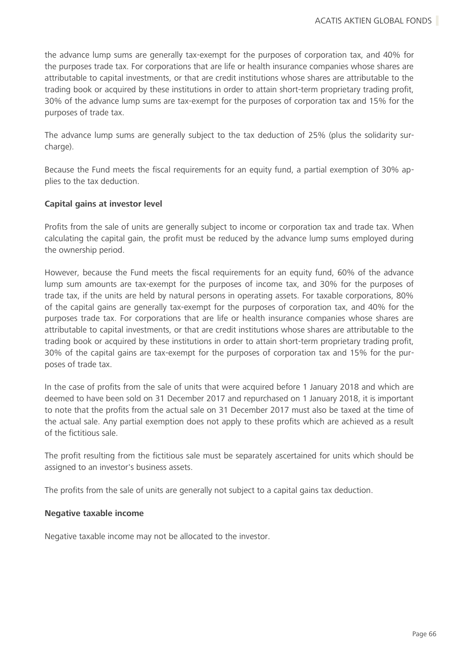the advance lump sums are generally tax-exempt for the purposes of corporation tax, and 40% for the purposes trade tax. For corporations that are life or health insurance companies whose shares are attributable to capital investments, or that are credit institutions whose shares are attributable to the trading book or acquired by these institutions in order to attain short-term proprietary trading profit, 30% of the advance lump sums are tax-exempt for the purposes of corporation tax and 15% for the purposes of trade tax.

The advance lump sums are generally subject to the tax deduction of 25% (plus the solidarity surcharge).

Because the Fund meets the fiscal requirements for an equity fund, a partial exemption of 30% applies to the tax deduction.

### **Capital gains at investor level**

Profits from the sale of units are generally subject to income or corporation tax and trade tax. When calculating the capital gain, the profit must be reduced by the advance lump sums employed during the ownership period.

However, because the Fund meets the fiscal requirements for an equity fund, 60% of the advance lump sum amounts are tax-exempt for the purposes of income tax, and 30% for the purposes of trade tax, if the units are held by natural persons in operating assets. For taxable corporations, 80% of the capital gains are generally tax-exempt for the purposes of corporation tax, and 40% for the purposes trade tax. For corporations that are life or health insurance companies whose shares are attributable to capital investments, or that are credit institutions whose shares are attributable to the trading book or acquired by these institutions in order to attain short-term proprietary trading profit, 30% of the capital gains are tax-exempt for the purposes of corporation tax and 15% for the purposes of trade tax.

In the case of profits from the sale of units that were acquired before 1 January 2018 and which are deemed to have been sold on 31 December 2017 and repurchased on 1 January 2018, it is important to note that the profits from the actual sale on 31 December 2017 must also be taxed at the time of the actual sale. Any partial exemption does not apply to these profits which are achieved as a result of the fictitious sale.

The profit resulting from the fictitious sale must be separately ascertained for units which should be assigned to an investor's business assets.

The profits from the sale of units are generally not subject to a capital gains tax deduction.

### **Negative taxable income**

Negative taxable income may not be allocated to the investor.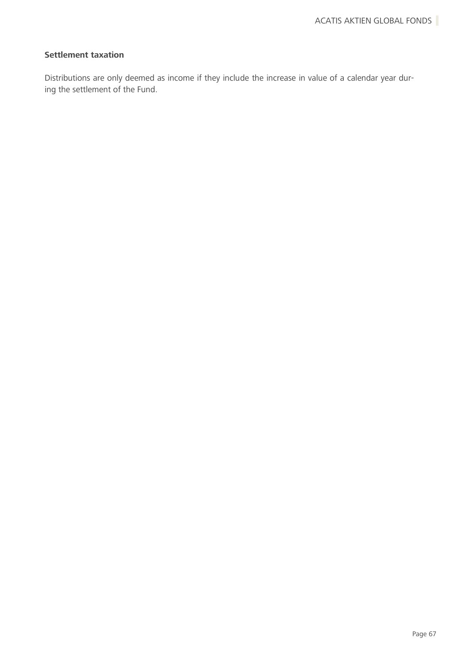### **Settlement taxation**

Distributions are only deemed as income if they include the increase in value of a calendar year during the settlement of the Fund.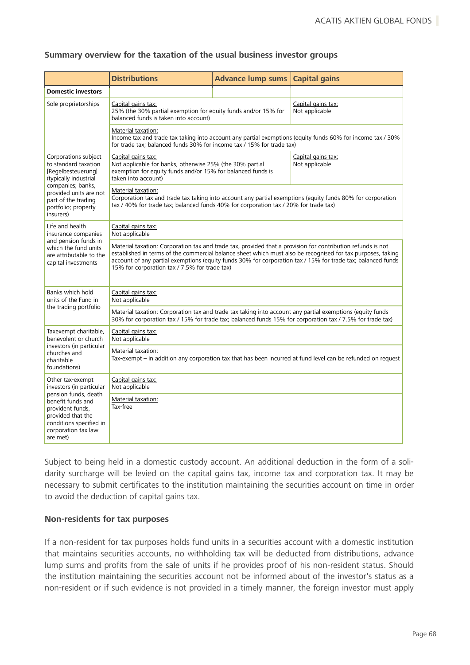#### **Summary overview for the taxation of the usual business investor groups**

|                                                                                                                                                                                                       | <b>Distributions</b>                                                                                                                                                                                                                                                                                                                                                                       | <b>Advance lump sums</b> | <b>Capital gains</b> |
|-------------------------------------------------------------------------------------------------------------------------------------------------------------------------------------------------------|--------------------------------------------------------------------------------------------------------------------------------------------------------------------------------------------------------------------------------------------------------------------------------------------------------------------------------------------------------------------------------------------|--------------------------|----------------------|
| <b>Domestic investors</b>                                                                                                                                                                             |                                                                                                                                                                                                                                                                                                                                                                                            |                          |                      |
| Sole proprietorships                                                                                                                                                                                  | Capital gains tax:<br>Capital gains tax:<br>Not applicable<br>25% (the 30% partial exemption for equity funds and/or 15% for<br>balanced funds is taken into account)                                                                                                                                                                                                                      |                          |                      |
|                                                                                                                                                                                                       | Material taxation:<br>Income tax and trade tax taking into account any partial exemptions (equity funds 60% for income tax / 30%<br>for trade tax; balanced funds 30% for income tax / 15% for trade tax)                                                                                                                                                                                  |                          |                      |
| Corporations subject<br>to standard taxation<br>[Regelbesteuerung]<br>(typically industrial<br>companies; banks,<br>provided units are not<br>part of the trading<br>portfolio; property<br>insurers) | Capital gains tax:<br>Capital gains tax:<br>Not applicable<br>Not applicable for banks, otherwise 25% (the 30% partial<br>exemption for equity funds and/or 15% for balanced funds is<br>taken into account)                                                                                                                                                                               |                          |                      |
|                                                                                                                                                                                                       | Material taxation:<br>Corporation tax and trade tax taking into account any partial exemptions (equity funds 80% for corporation<br>tax / 40% for trade tax; balanced funds 40% for corporation tax / 20% for trade tax)                                                                                                                                                                   |                          |                      |
| Life and health<br>insurance companies<br>and pension funds in<br>which the fund units<br>are attributable to the<br>capital investments                                                              | Capital gains tax:<br>Not applicable                                                                                                                                                                                                                                                                                                                                                       |                          |                      |
|                                                                                                                                                                                                       | Material taxation: Corporation tax and trade tax, provided that a provision for contribution refunds is not<br>established in terms of the commercial balance sheet which must also be recognised for tax purposes, taking<br>account of any partial exemptions (equity funds 30% for corporation tax / 15% for trade tax; balanced funds<br>15% for corporation tax / 7.5% for trade tax) |                          |                      |
| Banks which hold<br>units of the Fund in<br>the trading portfolio                                                                                                                                     | Capital gains tax:<br>Not applicable                                                                                                                                                                                                                                                                                                                                                       |                          |                      |
|                                                                                                                                                                                                       | Material taxation: Corporation tax and trade tax taking into account any partial exemptions (equity funds<br>30% for corporation tax / 15% for trade tax; balanced funds 15% for corporation tax / 7.5% for trade tax)                                                                                                                                                                     |                          |                      |
| Taxexempt charitable,<br>benevolent or church<br>investors (in particular<br>churches and<br>charitable<br>foundations)                                                                               | Capital gains tax:<br>Not applicable                                                                                                                                                                                                                                                                                                                                                       |                          |                      |
|                                                                                                                                                                                                       | Material taxation:<br>Tax-exempt – in addition any corporation tax that has been incurred at fund level can be refunded on request                                                                                                                                                                                                                                                         |                          |                      |
| Other tax-exempt<br>investors (in particular<br>pension funds, death<br>benefit funds and<br>provident funds,<br>provided that the<br>conditions specified in<br>corporation tax law<br>are met)      | Capital gains tax:<br>Not applicable                                                                                                                                                                                                                                                                                                                                                       |                          |                      |
|                                                                                                                                                                                                       | Material taxation:<br>Tax-free                                                                                                                                                                                                                                                                                                                                                             |                          |                      |

Subject to being held in a domestic custody account. An additional deduction in the form of a solidarity surcharge will be levied on the capital gains tax, income tax and corporation tax. It may be necessary to submit certificates to the institution maintaining the securities account on time in order to avoid the deduction of capital gains tax.

#### **Non-residents for tax purposes**

If a non-resident for tax purposes holds fund units in a securities account with a domestic institution that maintains securities accounts, no withholding tax will be deducted from distributions, advance lump sums and profits from the sale of units if he provides proof of his non-resident status. Should the institution maintaining the securities account not be informed about of the investor's status as a non-resident or if such evidence is not provided in a timely manner, the foreign investor must apply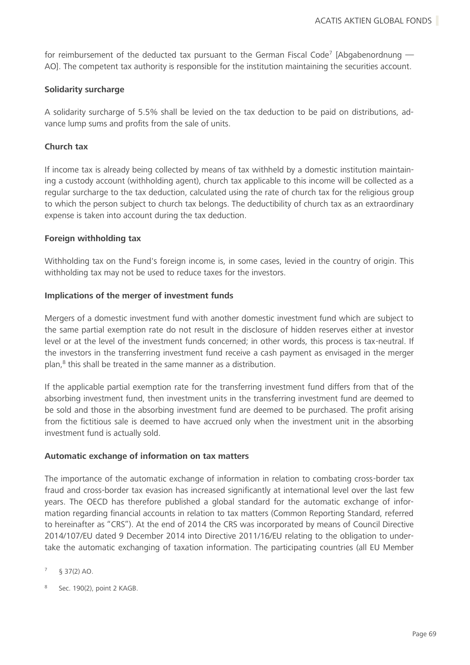for reimbursement of the deducted tax pursuant to the German Fiscal Code<sup>7</sup> [Abgabenordnung  $-$ AO]. The competent tax authority is responsible for the institution maintaining the securities account.

### **Solidarity surcharge**

A solidarity surcharge of 5.5% shall be levied on the tax deduction to be paid on distributions, advance lump sums and profits from the sale of units.

### **Church tax**

If income tax is already being collected by means of tax withheld by a domestic institution maintaining a custody account (withholding agent), church tax applicable to this income will be collected as a regular surcharge to the tax deduction, calculated using the rate of church tax for the religious group to which the person subject to church tax belongs. The deductibility of church tax as an extraordinary expense is taken into account during the tax deduction.

### **Foreign withholding tax**

Withholding tax on the Fund's foreign income is, in some cases, levied in the country of origin. This withholding tax may not be used to reduce taxes for the investors.

### **Implications of the merger of investment funds**

Mergers of a domestic investment fund with another domestic investment fund which are subject to the same partial exemption rate do not result in the disclosure of hidden reserves either at investor level or at the level of the investment funds concerned; in other words, this process is tax-neutral. If the investors in the transferring investment fund receive a cash payment as envisaged in the merger plan,<sup>8</sup> this shall be treated in the same manner as a distribution.

If the applicable partial exemption rate for the transferring investment fund differs from that of the absorbing investment fund, then investment units in the transferring investment fund are deemed to be sold and those in the absorbing investment fund are deemed to be purchased. The profit arising from the fictitious sale is deemed to have accrued only when the investment unit in the absorbing investment fund is actually sold.

#### **Automatic exchange of information on tax matters**

The importance of the automatic exchange of information in relation to combating cross-border tax fraud and cross-border tax evasion has increased significantly at international level over the last few years. The OECD has therefore published a global standard for the automatic exchange of information regarding financial accounts in relation to tax matters (Common Reporting Standard, referred to hereinafter as "CRS"). At the end of 2014 the CRS was incorporated by means of Council Directive 2014/107/EU dated 9 December 2014 into Directive 2011/16/EU relating to the obligation to undertake the automatic exchanging of taxation information. The participating countries (all EU Member

- <sup>7</sup> § 37(2) AO.
- Sec. 190(2), point 2 KAGB.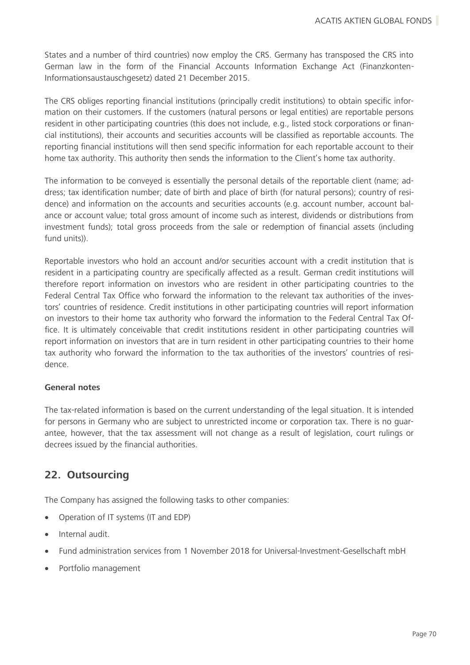States and a number of third countries) now employ the CRS. Germany has transposed the CRS into German law in the form of the Financial Accounts Information Exchange Act (Finanzkonten-Informationsaustauschgesetz) dated 21 December 2015.

The CRS obliges reporting financial institutions (principally credit institutions) to obtain specific information on their customers. If the customers (natural persons or legal entities) are reportable persons resident in other participating countries (this does not include, e.g., listed stock corporations or financial institutions), their accounts and securities accounts will be classified as reportable accounts. The reporting financial institutions will then send specific information for each reportable account to their home tax authority. This authority then sends the information to the Client's home tax authority.

The information to be conveyed is essentially the personal details of the reportable client (name; address; tax identification number; date of birth and place of birth (for natural persons); country of residence) and information on the accounts and securities accounts (e.g. account number, account balance or account value; total gross amount of income such as interest, dividends or distributions from investment funds); total gross proceeds from the sale or redemption of financial assets (including fund units)).

Reportable investors who hold an account and/or securities account with a credit institution that is resident in a participating country are specifically affected as a result. German credit institutions will therefore report information on investors who are resident in other participating countries to the Federal Central Tax Office who forward the information to the relevant tax authorities of the investors' countries of residence. Credit institutions in other participating countries will report information on investors to their home tax authority who forward the information to the Federal Central Tax Office. It is ultimately conceivable that credit institutions resident in other participating countries will report information on investors that are in turn resident in other participating countries to their home tax authority who forward the information to the tax authorities of the investors' countries of residence.

### **General notes**

The tax-related information is based on the current understanding of the legal situation. It is intended for persons in Germany who are subject to unrestricted income or corporation tax. There is no guarantee, however, that the tax assessment will not change as a result of legislation, court rulings or decrees issued by the financial authorities.

### **22. Outsourcing**

The Company has assigned the following tasks to other companies:

- Operation of IT systems (IT and EDP)
- Internal audit.
- Fund administration services from 1 November 2018 for Universal-Investment-Gesellschaft mbH
- Portfolio management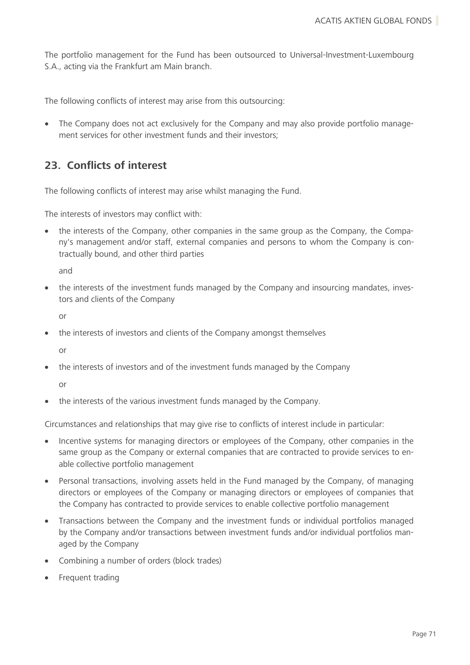The portfolio management for the Fund has been outsourced to Universal-Investment-Luxembourg S.A., acting via the Frankfurt am Main branch.

The following conflicts of interest may arise from this outsourcing:

• The Company does not act exclusively for the Company and may also provide portfolio management services for other investment funds and their investors;

# **23. Conflicts of interest**

The following conflicts of interest may arise whilst managing the Fund.

The interests of investors may conflict with:

• the interests of the Company, other companies in the same group as the Company, the Company's management and/or staff, external companies and persons to whom the Company is contractually bound, and other third parties

and

• the interests of the investment funds managed by the Company and insourcing mandates, investors and clients of the Company

or

• the interests of investors and clients of the Company amongst themselves

or

• the interests of investors and of the investment funds managed by the Company

or

• the interests of the various investment funds managed by the Company.

Circumstances and relationships that may give rise to conflicts of interest include in particular:

- Incentive systems for managing directors or employees of the Company, other companies in the same group as the Company or external companies that are contracted to provide services to enable collective portfolio management
- Personal transactions, involving assets held in the Fund managed by the Company, of managing directors or employees of the Company or managing directors or employees of companies that the Company has contracted to provide services to enable collective portfolio management
- Transactions between the Company and the investment funds or individual portfolios managed by the Company and/or transactions between investment funds and/or individual portfolios managed by the Company
- Combining a number of orders (block trades)
- Frequent trading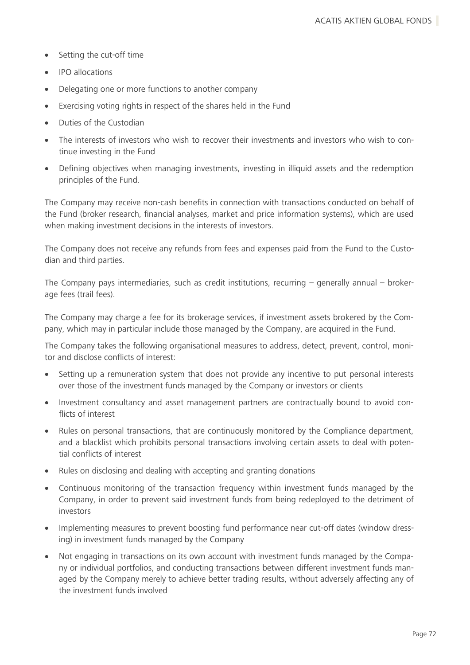- Setting the cut-off time
- IPO allocations
- Delegating one or more functions to another company
- Exercising voting rights in respect of the shares held in the Fund
- Duties of the Custodian
- The interests of investors who wish to recover their investments and investors who wish to continue investing in the Fund
- Defining objectives when managing investments, investing in illiquid assets and the redemption principles of the Fund.

The Company may receive non-cash benefits in connection with transactions conducted on behalf of the Fund (broker research, financial analyses, market and price information systems), which are used when making investment decisions in the interests of investors.

The Company does not receive any refunds from fees and expenses paid from the Fund to the Custodian and third parties.

The Company pays intermediaries, such as credit institutions, recurring – generally annual – brokerage fees (trail fees).

The Company may charge a fee for its brokerage services, if investment assets brokered by the Company, which may in particular include those managed by the Company, are acquired in the Fund.

The Company takes the following organisational measures to address, detect, prevent, control, monitor and disclose conflicts of interest:

- Setting up a remuneration system that does not provide any incentive to put personal interests over those of the investment funds managed by the Company or investors or clients
- Investment consultancy and asset management partners are contractually bound to avoid conflicts of interest
- Rules on personal transactions, that are continuously monitored by the Compliance department, and a blacklist which prohibits personal transactions involving certain assets to deal with potential conflicts of interest
- Rules on disclosing and dealing with accepting and granting donations
- Continuous monitoring of the transaction frequency within investment funds managed by the Company, in order to prevent said investment funds from being redeployed to the detriment of investors
- Implementing measures to prevent boosting fund performance near cut-off dates (window dressing) in investment funds managed by the Company
- Not engaging in transactions on its own account with investment funds managed by the Company or individual portfolios, and conducting transactions between different investment funds managed by the Company merely to achieve better trading results, without adversely affecting any of the investment funds involved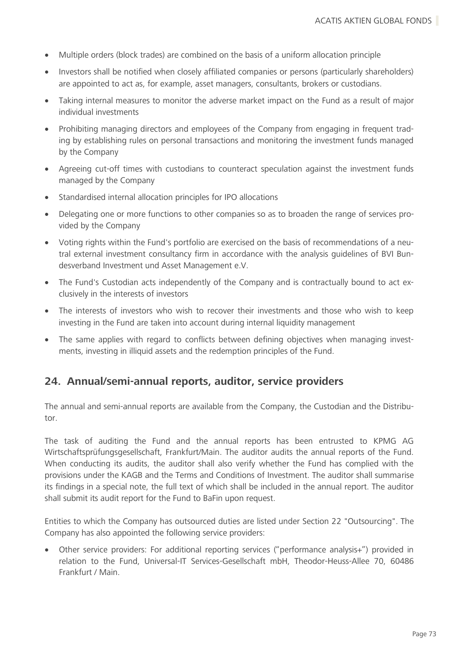- Multiple orders (block trades) are combined on the basis of a uniform allocation principle
- Investors shall be notified when closely affiliated companies or persons (particularly shareholders) are appointed to act as, for example, asset managers, consultants, brokers or custodians.
- Taking internal measures to monitor the adverse market impact on the Fund as a result of major individual investments
- Prohibiting managing directors and employees of the Company from engaging in frequent trading by establishing rules on personal transactions and monitoring the investment funds managed by the Company
- Agreeing cut-off times with custodians to counteract speculation against the investment funds managed by the Company
- Standardised internal allocation principles for IPO allocations
- Delegating one or more functions to other companies so as to broaden the range of services provided by the Company
- Voting rights within the Fund's portfolio are exercised on the basis of recommendations of a neutral external investment consultancy firm in accordance with the analysis guidelines of BVI Bundesverband Investment und Asset Management e.V.
- The Fund's Custodian acts independently of the Company and is contractually bound to act exclusively in the interests of investors
- The interests of investors who wish to recover their investments and those who wish to keep investing in the Fund are taken into account during internal liquidity management
- The same applies with regard to conflicts between defining objectives when managing investments, investing in illiquid assets and the redemption principles of the Fund.

# **24. Annual/semi-annual reports, auditor, service providers**

The annual and semi-annual reports are available from the Company, the Custodian and the Distributor.

The task of auditing the Fund and the annual reports has been entrusted to KPMG AG Wirtschaftsprüfungsgesellschaft, Frankfurt/Main. The auditor audits the annual reports of the Fund. When conducting its audits, the auditor shall also verify whether the Fund has complied with the provisions under the KAGB and the Terms and Conditions of Investment. The auditor shall summarise its findings in a special note, the full text of which shall be included in the annual report. The auditor shall submit its audit report for the Fund to BaFin upon request.

Entities to which the Company has outsourced duties are listed under Section 22 "Outsourcing". The Company has also appointed the following service providers:

• Other service providers: For additional reporting services ("performance analysis+") provided in relation to the Fund, Universal-IT Services-Gesellschaft mbH, Theodor-Heuss-Allee 70, 60486 Frankfurt / Main.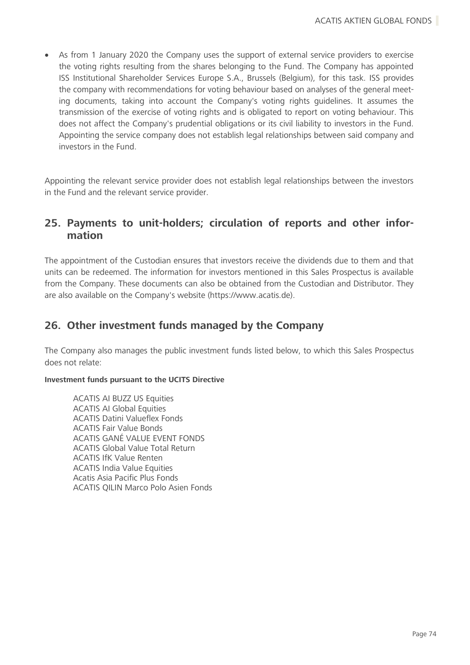• As from 1 January 2020 the Company uses the support of external service providers to exercise the voting rights resulting from the shares belonging to the Fund. The Company has appointed ISS Institutional Shareholder Services Europe S.A., Brussels (Belgium), for this task. ISS provides the company with recommendations for voting behaviour based on analyses of the general meeting documents, taking into account the Company's voting rights guidelines. It assumes the transmission of the exercise of voting rights and is obligated to report on voting behaviour. This does not affect the Company's prudential obligations or its civil liability to investors in the Fund. Appointing the service company does not establish legal relationships between said company and investors in the Fund.

Appointing the relevant service provider does not establish legal relationships between the investors in the Fund and the relevant service provider.

# **25. Payments to unit-holders; circulation of reports and other information**

The appointment of the Custodian ensures that investors receive the dividends due to them and that units can be redeemed. The information for investors mentioned in this Sales Prospectus is available from the Company. These documents can also be obtained from the Custodian and Distributor. They are also available on the Company's website (https://www.acatis.de).

# **26. Other investment funds managed by the Company**

The Company also manages the public investment funds listed below, to which this Sales Prospectus does not relate:

# **Investment funds pursuant to the UCITS Directive**

ACATIS AI BUZZ US Equities ACATIS AI Global Equities ACATIS Datini Valueflex Fonds ACATIS Fair Value Bonds ACATIS GANÉ VALUE EVENT FONDS ACATIS Global Value Total Return ACATIS IfK Value Renten ACATIS India Value Equities Acatis Asia Pacific Plus Fonds ACATIS QILIN Marco Polo Asien Fonds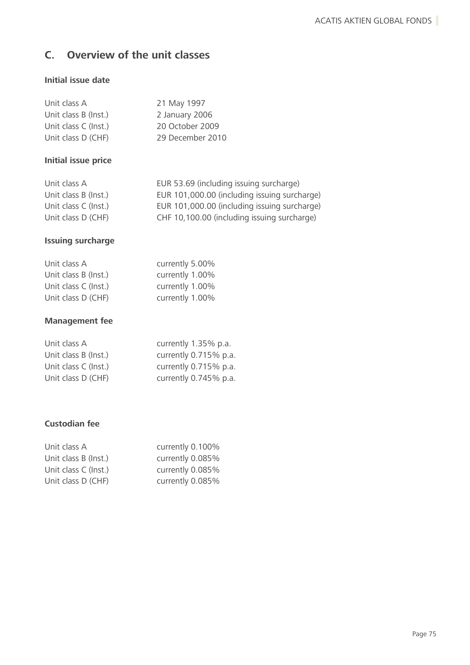# **C. Overview of the unit classes**

# **Initial issue date**

| Unit class A         | 21 May 1997      |
|----------------------|------------------|
| Unit class B (Inst.) | 2 January 2006   |
| Unit class C (Inst.) | 20 October 2009  |
| Unit class D (CHF)   | 29 December 2010 |

# **Initial issue price**

| Unit class A         | EUR 53.69 (including issuing surcharge)      |
|----------------------|----------------------------------------------|
| Unit class B (Inst.) | EUR 101,000.00 (including issuing surcharge) |
| Unit class C (Inst.) | EUR 101,000.00 (including issuing surcharge) |
| Unit class D (CHF)   | CHF 10,100.00 (including issuing surcharge)  |

# **Issuing surcharge**

| Unit class A         | currently 5.00% |
|----------------------|-----------------|
| Unit class B (Inst.) | currently 1.00% |
| Unit class C (Inst.) | currently 1.00% |
| Unit class D (CHF)   | currently 1.00% |

# **Management fee**

| Unit class A         | currently 1.35% p.a.  |
|----------------------|-----------------------|
| Unit class B (Inst.) | currently 0.715% p.a. |
| Unit class C (Inst.) | currently 0.715% p.a. |
| Unit class D (CHF)   | currently 0.745% p.a. |

# **Custodian fee**

| Unit class A         | currently 0.100% |
|----------------------|------------------|
| Unit class B (Inst.) | currently 0.085% |
| Unit class C (Inst.) | currently 0.085% |
| Unit class D (CHF)   | currently 0.085% |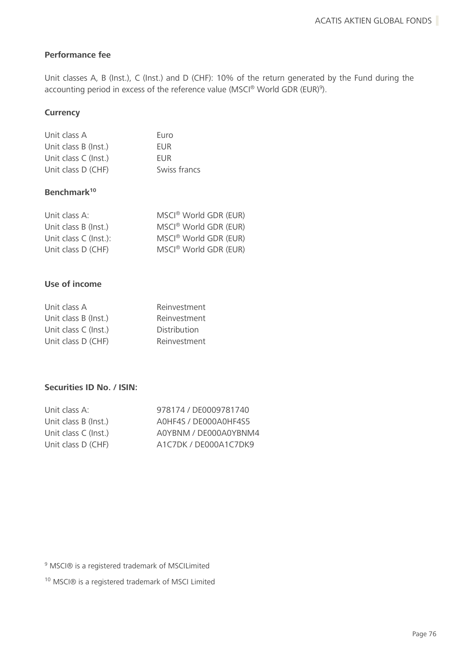# **Performance fee**

Unit classes A, B (Inst.), C (Inst.) and D (CHF): 10% of the return generated by the Fund during the accounting period in excess of the reference value (MSCI® World GDR (EUR)<sup>9</sup>).

# **Currency**

| Unit class A         | Euro         |
|----------------------|--------------|
| Unit class B (Inst.) | <b>FUR</b>   |
| Unit class C (Inst.) | <b>FUR</b>   |
| Unit class D (CHF)   | Swiss francs |

# **Benchmark<sup>10</sup>**

| Unit class A:         | MSCI <sup>®</sup> World GDR (EUR) |
|-----------------------|-----------------------------------|
| Unit class B (Inst.)  | MSCI <sup>®</sup> World GDR (EUR) |
| Unit class C (Inst.): | MSCI <sup>®</sup> World GDR (EUR) |
| Unit class D (CHF)    | MSCI <sup>®</sup> World GDR (EUR) |

# **Use of income**

| Unit class A         | Reinvestment        |
|----------------------|---------------------|
| Unit class B (Inst.) | Reinvestment        |
| Unit class C (Inst.) | <b>Distribution</b> |
| Unit class D (CHF)   | Reinvestment        |

# **Securities ID No. / ISIN:**

| 978174 / DE0009781740 |
|-----------------------|
| AOHF4S / DE000AOHF4S5 |
| A0YBNM / DE000A0YBNM4 |
| A1C7DK / DE000A1C7DK9 |
|                       |

<sup>9</sup> MSCI® is a registered trademark of MSCILimited

<sup>10</sup> MSCI® is a registered trademark of MSCI Limited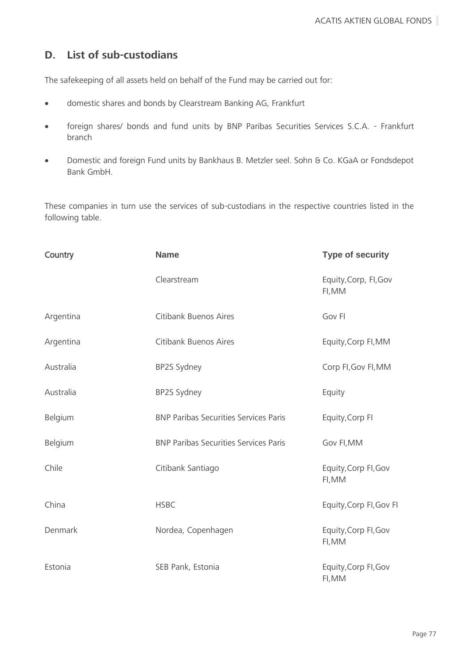# **D. List of sub-custodians**

The safekeeping of all assets held on behalf of the Fund may be carried out for:

- domestic shares and bonds by Clearstream Banking AG, Frankfurt
- foreign shares/ bonds and fund units by BNP Paribas Securities Services S.C.A. Frankfurt branch
- Domestic and foreign Fund units by Bankhaus B. Metzler seel. Sohn & Co. KGaA or Fondsdepot Bank GmbH.

These companies in turn use the services of sub-custodians in the respective countries listed in the following table.

| Country   | <b>Name</b>                                  | <b>Type of security</b>         |
|-----------|----------------------------------------------|---------------------------------|
|           | Clearstream                                  | Equity, Corp, Fl, Gov<br>FI, MM |
| Argentina | Citibank Buenos Aires                        | Gov FI                          |
| Argentina | <b>Citibank Buenos Aires</b>                 | Equity, Corp FI, MM             |
| Australia | BP2S Sydney                                  | Corp FI, Gov FI, MM             |
| Australia | BP2S Sydney                                  | Equity                          |
| Belgium   | <b>BNP Paribas Securities Services Paris</b> | Equity, Corp Fl                 |
| Belgium   | <b>BNP Paribas Securities Services Paris</b> | Gov FI, MM                      |
| Chile     | Citibank Santiago                            | Equity, Corp FI, Gov<br>FI, MM  |
| China     | <b>HSBC</b>                                  | Equity, Corp FI, Gov FI         |
| Denmark   | Nordea, Copenhagen                           | Equity, Corp FI, Gov<br>FI, MM  |
| Estonia   | SEB Pank, Estonia                            | Equity, Corp FI, Gov<br>FI, MM  |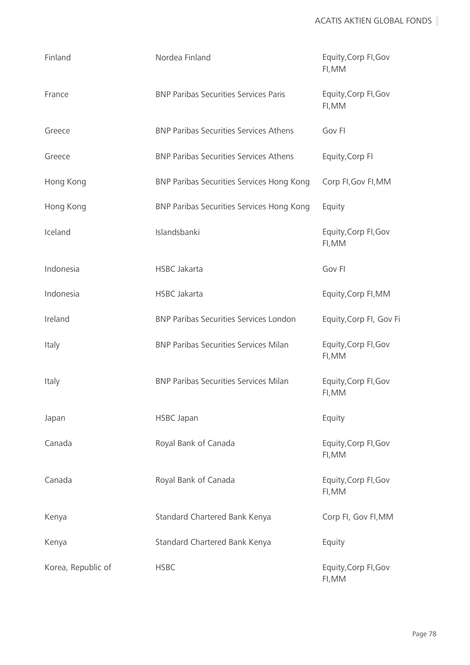| Finland            | Nordea Finland                                | Equity, Corp FI, Gov<br>FI, MM |
|--------------------|-----------------------------------------------|--------------------------------|
| France             | <b>BNP Paribas Securities Services Paris</b>  | Equity, Corp FI, Gov<br>FI, MM |
| Greece             | <b>BNP Paribas Securities Services Athens</b> | Gov FI                         |
| Greece             | <b>BNP Paribas Securities Services Athens</b> | Equity, Corp FI                |
| Hong Kong          | BNP Paribas Securities Services Hong Kong     | Corp FI, Gov FI, MM            |
| Hong Kong          | BNP Paribas Securities Services Hong Kong     | Equity                         |
| Iceland            | Islandsbanki                                  | Equity, Corp FI, Gov<br>FI, MM |
| Indonesia          | <b>HSBC Jakarta</b>                           | Gov FI                         |
| Indonesia          | <b>HSBC Jakarta</b>                           | Equity, Corp FI, MM            |
| Ireland            | <b>BNP Paribas Securities Services London</b> | Equity, Corp Fl, Gov Fi        |
| Italy              | <b>BNP Paribas Securities Services Milan</b>  | Equity, Corp FI, Gov<br>FI, MM |
| Italy              | <b>BNP Paribas Securities Services Milan</b>  | Equity, Corp FI, Gov<br>FI, MM |
| Japan              | <b>HSBC Japan</b>                             | Equity                         |
| Canada             | Royal Bank of Canada                          | Equity, Corp FI, Gov<br>FI, MM |
| Canada             | Royal Bank of Canada                          | Equity, Corp FI, Gov<br>FI, MM |
| Kenya              | Standard Chartered Bank Kenya                 | Corp FI, Gov FI, MM            |
| Kenya              | Standard Chartered Bank Kenya                 | Equity                         |
| Korea, Republic of | <b>HSBC</b>                                   | Equity, Corp FI, Gov<br>FI, MM |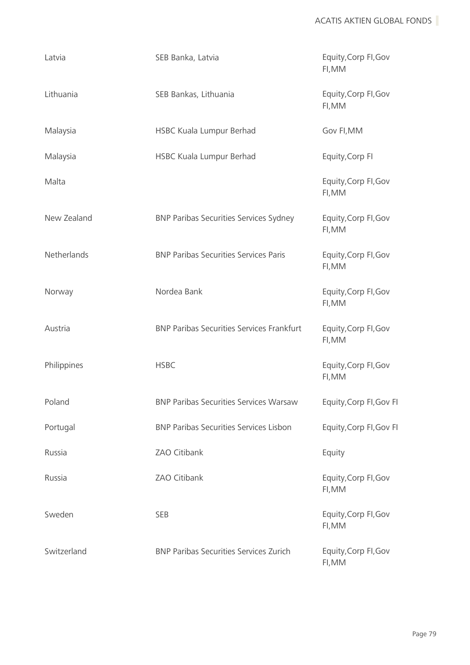| Latvia      | SEB Banka, Latvia                                | Equity, Corp FI, Gov<br>FI, MM |
|-------------|--------------------------------------------------|--------------------------------|
| Lithuania   | SEB Bankas, Lithuania                            | Equity, Corp FI, Gov<br>FI, MM |
| Malaysia    | HSBC Kuala Lumpur Berhad                         | Gov FI, MM                     |
| Malaysia    | HSBC Kuala Lumpur Berhad                         | Equity, Corp FI                |
| Malta       |                                                  | Equity, Corp FI, Gov<br>FI, MM |
| New Zealand | <b>BNP Paribas Securities Services Sydney</b>    | Equity, Corp FI, Gov<br>FI, MM |
| Netherlands | <b>BNP Paribas Securities Services Paris</b>     | Equity, Corp FI, Gov<br>FI, MM |
| Norway      | Nordea Bank                                      | Equity, Corp FI, Gov<br>FI, MM |
| Austria     | <b>BNP Paribas Securities Services Frankfurt</b> | Equity, Corp FI, Gov<br>FI, MM |
| Philippines | <b>HSBC</b>                                      | Equity, Corp FI, Gov<br>FI, MM |
| Poland      | <b>BNP Paribas Securities Services Warsaw</b>    | Equity, Corp FI, Gov FI        |
| Portugal    | <b>BNP Paribas Securities Services Lisbon</b>    | Equity, Corp FI, Gov FI        |
| Russia      | ZAO Citibank                                     | Equity                         |
| Russia      | ZAO Citibank                                     | Equity, Corp FI, Gov<br>FI, MM |
| Sweden      | <b>SEB</b>                                       | Equity, Corp FI, Gov<br>FI, MM |
| Switzerland | <b>BNP Paribas Securities Services Zurich</b>    | Equity, Corp FI, Gov<br>FI, MM |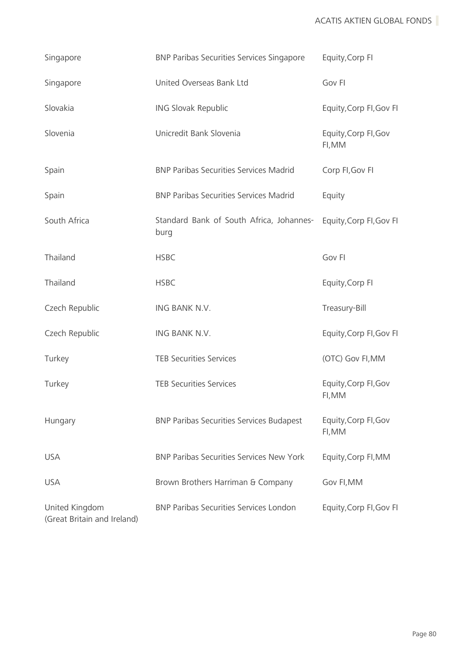| Singapore                                     | <b>BNP Paribas Securities Services Singapore</b> | Equity, Corp FI                |
|-----------------------------------------------|--------------------------------------------------|--------------------------------|
| Singapore                                     | United Overseas Bank Ltd                         | Gov FI                         |
| Slovakia                                      | ING Slovak Republic                              | Equity, Corp FI, Gov FI        |
| Slovenia                                      | Unicredit Bank Slovenia                          | Equity, Corp FI, Gov<br>FI, MM |
| Spain                                         | <b>BNP Paribas Securities Services Madrid</b>    | Corp FI, Gov FI                |
| Spain                                         | <b>BNP Paribas Securities Services Madrid</b>    | Equity                         |
| South Africa                                  | Standard Bank of South Africa, Johannes-<br>burg | Equity, Corp FI, Gov FI        |
| Thailand                                      | <b>HSBC</b>                                      | Gov FI                         |
| Thailand                                      | <b>HSBC</b>                                      | Equity, Corp FI                |
| Czech Republic                                | ING BANK N.V.                                    | Treasury-Bill                  |
| Czech Republic                                | ING BANK N.V.                                    | Equity, Corp FI, Gov FI        |
| Turkey                                        | <b>TEB Securities Services</b>                   | (OTC) Gov FI, MM               |
| Turkey                                        | <b>TEB Securities Services</b>                   | Equity, Corp FI, Gov<br>FI, MM |
| Hungary                                       | <b>BNP Paribas Securities Services Budapest</b>  | Equity, Corp FI, Gov<br>FI, MM |
| <b>USA</b>                                    | <b>BNP Paribas Securities Services New York</b>  | Equity, Corp FI, MM            |
| <b>USA</b>                                    | Brown Brothers Harriman & Company                | Gov FI, MM                     |
| United Kingdom<br>(Great Britain and Ireland) | <b>BNP Paribas Securities Services London</b>    | Equity, Corp FI, Gov FI        |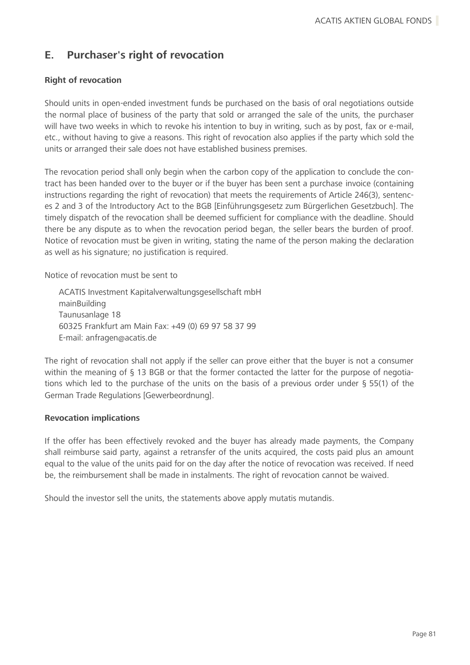# **E. Purchaser's right of revocation**

# **Right of revocation**

Should units in open-ended investment funds be purchased on the basis of oral negotiations outside the normal place of business of the party that sold or arranged the sale of the units, the purchaser will have two weeks in which to revoke his intention to buy in writing, such as by post, fax or e-mail, etc., without having to give a reasons. This right of revocation also applies if the party which sold the units or arranged their sale does not have established business premises.

The revocation period shall only begin when the carbon copy of the application to conclude the contract has been handed over to the buyer or if the buyer has been sent a purchase invoice (containing instructions regarding the right of revocation) that meets the requirements of Article 246(3), sentences 2 and 3 of the Introductory Act to the BGB [Einführungsgesetz zum Bürgerlichen Gesetzbuch]. The timely dispatch of the revocation shall be deemed sufficient for compliance with the deadline. Should there be any dispute as to when the revocation period began, the seller bears the burden of proof. Notice of revocation must be given in writing, stating the name of the person making the declaration as well as his signature; no justification is required.

Notice of revocation must be sent to

ACATIS Investment Kapitalverwaltungsgesellschaft mbH mainBuilding Taunusanlage 18 60325 Frankfurt am Main Fax: +49 (0) 69 97 58 37 99 E-mail: anfragen@acatis.de

The right of revocation shall not apply if the seller can prove either that the buyer is not a consumer within the meaning of § 13 BGB or that the former contacted the latter for the purpose of negotiations which led to the purchase of the units on the basis of a previous order under § 55(1) of the German Trade Regulations [Gewerbeordnung].

#### **Revocation implications**

If the offer has been effectively revoked and the buyer has already made payments, the Company shall reimburse said party, against a retransfer of the units acquired, the costs paid plus an amount equal to the value of the units paid for on the day after the notice of revocation was received. If need be, the reimbursement shall be made in instalments. The right of revocation cannot be waived.

Should the investor sell the units, the statements above apply mutatis mutandis.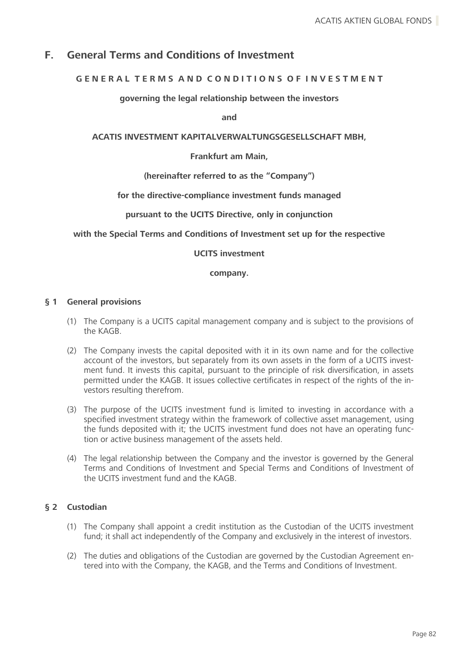# **F. General Terms and Conditions of Investment**

# **G E N E R A L T E R M S A N D C O N D I T I O N S O F I N V E S T M E N T**

### **governing the legal relationship between the investors**

**and**

## **ACATIS INVESTMENT KAPITALVERWALTUNGSGESELLSCHAFT MBH,**

#### **Frankfurt am Main,**

### **(hereinafter referred to as the "Company")**

#### **for the directive-compliance investment funds managed**

### **pursuant to the UCITS Directive, only in conjunction**

### **with the Special Terms and Conditions of Investment set up for the respective**

#### **UCITS investment**

#### **company.**

### **§ 1 General provisions**

- (1) The Company is a UCITS capital management company and is subject to the provisions of the KAGB.
- (2) The Company invests the capital deposited with it in its own name and for the collective account of the investors, but separately from its own assets in the form of a UCITS investment fund. It invests this capital, pursuant to the principle of risk diversification, in assets permitted under the KAGB. It issues collective certificates in respect of the rights of the investors resulting therefrom.
- (3) The purpose of the UCITS investment fund is limited to investing in accordance with a specified investment strategy within the framework of collective asset management, using the funds deposited with it; the UCITS investment fund does not have an operating function or active business management of the assets held.
- (4) The legal relationship between the Company and the investor is governed by the General Terms and Conditions of Investment and Special Terms and Conditions of Investment of the UCITS investment fund and the KAGB.

# **§ 2 Custodian**

- (1) The Company shall appoint a credit institution as the Custodian of the UCITS investment fund; it shall act independently of the Company and exclusively in the interest of investors.
- (2) The duties and obligations of the Custodian are governed by the Custodian Agreement entered into with the Company, the KAGB, and the Terms and Conditions of Investment.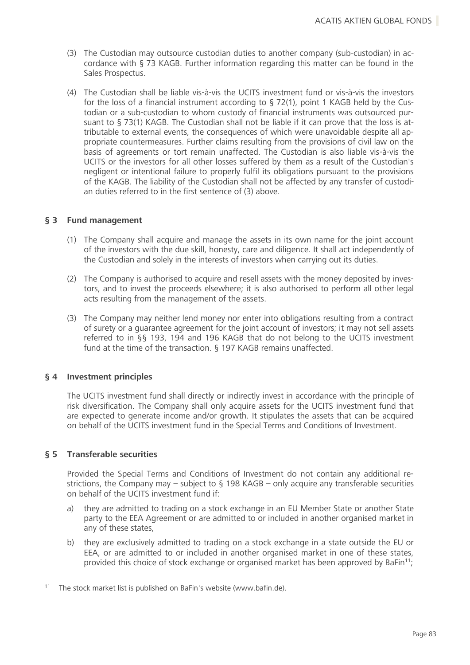- (3) The Custodian may outsource custodian duties to another company (sub-custodian) in accordance with § 73 KAGB. Further information regarding this matter can be found in the Sales Prospectus.
- (4) The Custodian shall be liable vis-à-vis the UCITS investment fund or vis-à-vis the investors for the loss of a financial instrument according to § 72(1), point 1 KAGB held by the Custodian or a sub-custodian to whom custody of financial instruments was outsourced pursuant to § 73(1) KAGB. The Custodian shall not be liable if it can prove that the loss is attributable to external events, the consequences of which were unavoidable despite all appropriate countermeasures. Further claims resulting from the provisions of civil law on the basis of agreements or tort remain unaffected. The Custodian is also liable vis-à-vis the UCITS or the investors for all other losses suffered by them as a result of the Custodian's negligent or intentional failure to properly fulfil its obligations pursuant to the provisions of the KAGB. The liability of the Custodian shall not be affected by any transfer of custodian duties referred to in the first sentence of (3) above.

### **§ 3 Fund management**

- (1) The Company shall acquire and manage the assets in its own name for the joint account of the investors with the due skill, honesty, care and diligence. It shall act independently of the Custodian and solely in the interests of investors when carrying out its duties.
- (2) The Company is authorised to acquire and resell assets with the money deposited by investors, and to invest the proceeds elsewhere; it is also authorised to perform all other legal acts resulting from the management of the assets.
- (3) The Company may neither lend money nor enter into obligations resulting from a contract of surety or a guarantee agreement for the joint account of investors; it may not sell assets referred to in §§ 193, 194 and 196 KAGB that do not belong to the UCITS investment fund at the time of the transaction. § 197 KAGB remains unaffected.

#### **§ 4 Investment principles**

The UCITS investment fund shall directly or indirectly invest in accordance with the principle of risk diversification. The Company shall only acquire assets for the UCITS investment fund that are expected to generate income and/or growth. It stipulates the assets that can be acquired on behalf of the UCITS investment fund in the Special Terms and Conditions of Investment.

# **§ 5 Transferable securities**

Provided the Special Terms and Conditions of Investment do not contain any additional restrictions, the Company may – subject to  $\S$  198 KAGB – only acquire any transferable securities on behalf of the UCITS investment fund if:

- a) they are admitted to trading on a stock exchange in an EU Member State or another State party to the EEA Agreement or are admitted to or included in another organised market in any of these states,
- b) they are exclusively admitted to trading on a stock exchange in a state outside the EU or EEA, or are admitted to or included in another organised market in one of these states, provided this choice of stock exchange or organised market has been approved by BaFin<sup>11</sup>;
- <sup>11</sup> The stock market list is published on BaFin's website (www.bafin.de).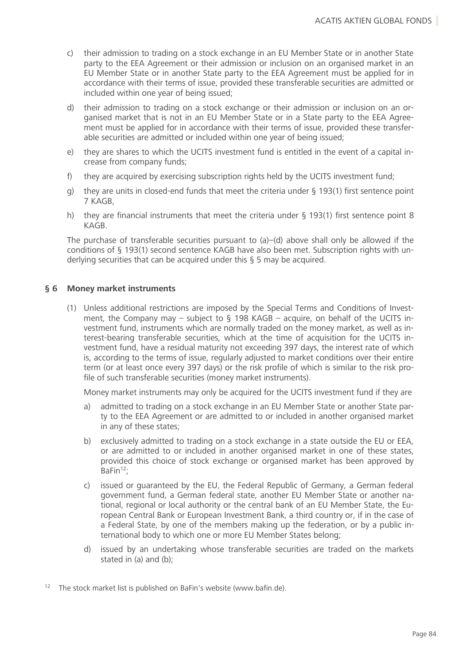- c) their admission to trading on a stock exchange in an EU Member State or in another State party to the EEA Agreement or their admission or inclusion on an organised market in an EU Member State or in another State party to the EEA Agreement must be applied for in accordance with their terms of issue, provided these transferable securities are admitted or included within one year of being issued;
- d) their admission to trading on a stock exchange or their admission or inclusion on an organised market that is not in an EU Member State or in a State party to the EEA Agreement must be applied for in accordance with their terms of issue, provided these transferable securities are admitted or included within one year of being issued;
- e) they are shares to which the UCITS investment fund is entitled in the event of a capital increase from company funds;
- f) they are acquired by exercising subscription rights held by the UCITS investment fund;
- g) they are units in closed-end funds that meet the criteria under § 193(1) first sentence point 7 KAGB,
- h) they are financial instruments that meet the criteria under § 193(1) first sentence point 8 KAGB.

The purchase of transferable securities pursuant to (a)–(d) above shall only be allowed if the conditions of § 193(1) second sentence KAGB have also been met. Subscription rights with underlying securities that can be acquired under this § 5 may be acquired.

### **§ 6 Money market instruments**

(1) Unless additional restrictions are imposed by the Special Terms and Conditions of Investment, the Company may – subject to  $\S$  198 KAGB – acquire, on behalf of the UCITS investment fund, instruments which are normally traded on the money market, as well as interest-bearing transferable securities, which at the time of acquisition for the UCITS investment fund, have a residual maturity not exceeding 397 days, the interest rate of which is, according to the terms of issue, regularly adjusted to market conditions over their entire term (or at least once every 397 days) or the risk profile of which is similar to the risk profile of such transferable securities (money market instruments).

Money market instruments may only be acquired for the UCITS investment fund if they are

- a) admitted to trading on a stock exchange in an EU Member State or another State party to the EEA Agreement or are admitted to or included in another organised market in any of these states;
- b) exclusively admitted to trading on a stock exchange in a state outside the EU or EEA, or are admitted to or included in another organised market in one of these states, provided this choice of stock exchange or organised market has been approved by BaFin<sup>12</sup>:
- c) issued or guaranteed by the EU, the Federal Republic of Germany, a German federal government fund, a German federal state, another EU Member State or another national, regional or local authority or the central bank of an EU Member State, the European Central Bank or European Investment Bank, a third country or, if in the case of a Federal State, by one of the members making up the federation, or by a public international body to which one or more EU Member States belong;
- d) issued by an undertaking whose transferable securities are traded on the markets stated in (a) and (b);
- <sup>12</sup> The stock market list is published on BaFin's website (www.bafin.de).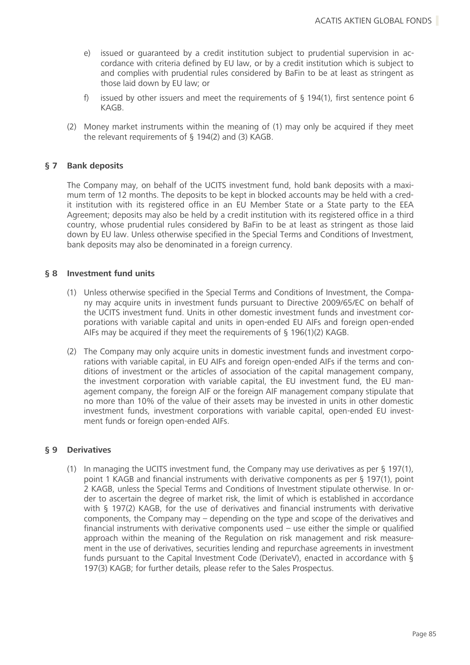- e) issued or guaranteed by a credit institution subject to prudential supervision in accordance with criteria defined by EU law, or by a credit institution which is subject to and complies with prudential rules considered by BaFin to be at least as stringent as those laid down by EU law; or
- f) issued by other issuers and meet the requirements of  $\S$  194(1), first sentence point 6 KAGB.
- (2) Money market instruments within the meaning of (1) may only be acquired if they meet the relevant requirements of § 194(2) and (3) KAGB.

# **§ 7 Bank deposits**

The Company may, on behalf of the UCITS investment fund, hold bank deposits with a maximum term of 12 months. The deposits to be kept in blocked accounts may be held with a credit institution with its registered office in an EU Member State or a State party to the EEA Agreement; deposits may also be held by a credit institution with its registered office in a third country, whose prudential rules considered by BaFin to be at least as stringent as those laid down by EU law. Unless otherwise specified in the Special Terms and Conditions of Investment, bank deposits may also be denominated in a foreign currency.

### **§ 8 Investment fund units**

- (1) Unless otherwise specified in the Special Terms and Conditions of Investment, the Company may acquire units in investment funds pursuant to Directive 2009/65/EC on behalf of the UCITS investment fund. Units in other domestic investment funds and investment corporations with variable capital and units in open-ended EU AIFs and foreign open-ended AIFs may be acquired if they meet the requirements of § 196(1)(2) KAGB.
- (2) The Company may only acquire units in domestic investment funds and investment corporations with variable capital, in EU AIFs and foreign open-ended AIFs if the terms and conditions of investment or the articles of association of the capital management company, the investment corporation with variable capital, the EU investment fund, the EU management company, the foreign AIF or the foreign AIF management company stipulate that no more than 10% of the value of their assets may be invested in units in other domestic investment funds, investment corporations with variable capital, open-ended EU investment funds or foreign open-ended AIFs.

#### **§ 9 Derivatives**

(1) In managing the UCITS investment fund, the Company may use derivatives as per § 197(1), point 1 KAGB and financial instruments with derivative components as per § 197(1), point 2 KAGB, unless the Special Terms and Conditions of Investment stipulate otherwise. In order to ascertain the degree of market risk, the limit of which is established in accordance with § 197(2) KAGB, for the use of derivatives and financial instruments with derivative components, the Company may – depending on the type and scope of the derivatives and financial instruments with derivative components used – use either the simple or qualified approach within the meaning of the Regulation on risk management and risk measurement in the use of derivatives, securities lending and repurchase agreements in investment funds pursuant to the Capital Investment Code (DerivateV), enacted in accordance with § 197(3) KAGB; for further details, please refer to the Sales Prospectus.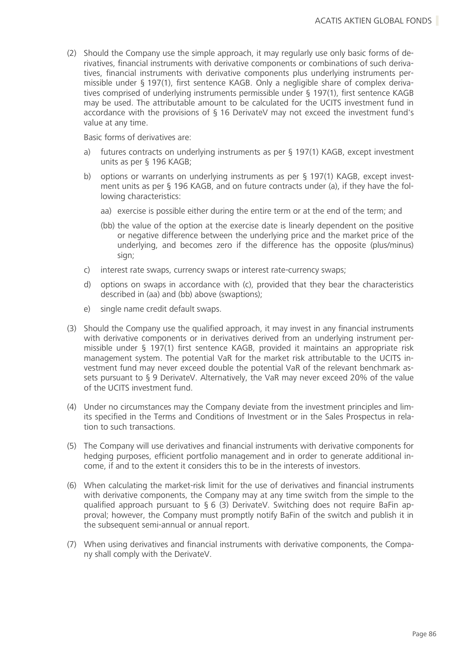(2) Should the Company use the simple approach, it may regularly use only basic forms of derivatives, financial instruments with derivative components or combinations of such derivatives, financial instruments with derivative components plus underlying instruments permissible under § 197(1), first sentence KAGB. Only a negligible share of complex derivatives comprised of underlying instruments permissible under § 197(1), first sentence KAGB may be used. The attributable amount to be calculated for the UCITS investment fund in accordance with the provisions of § 16 DerivateV may not exceed the investment fund's value at any time.

Basic forms of derivatives are:

- a) futures contracts on underlying instruments as per § 197(1) KAGB, except investment units as per § 196 KAGB;
- b) options or warrants on underlying instruments as per § 197(1) KAGB, except investment units as per § 196 KAGB, and on future contracts under (a), if they have the following characteristics:
	- aa) exercise is possible either during the entire term or at the end of the term; and
	- (bb) the value of the option at the exercise date is linearly dependent on the positive or negative difference between the underlying price and the market price of the underlying, and becomes zero if the difference has the opposite (plus/minus) sign;
- c) interest rate swaps, currency swaps or interest rate-currency swaps;
- d) options on swaps in accordance with (c), provided that they bear the characteristics described in (aa) and (bb) above (swaptions);
- e) single name credit default swaps.
- (3) Should the Company use the qualified approach, it may invest in any financial instruments with derivative components or in derivatives derived from an underlying instrument permissible under § 197(1) first sentence KAGB, provided it maintains an appropriate risk management system. The potential VaR for the market risk attributable to the UCITS investment fund may never exceed double the potential VaR of the relevant benchmark assets pursuant to § 9 DerivateV. Alternatively, the VaR may never exceed 20% of the value of the UCITS investment fund.
- (4) Under no circumstances may the Company deviate from the investment principles and limits specified in the Terms and Conditions of Investment or in the Sales Prospectus in relation to such transactions.
- (5) The Company will use derivatives and financial instruments with derivative components for hedging purposes, efficient portfolio management and in order to generate additional income, if and to the extent it considers this to be in the interests of investors.
- (6) When calculating the market-risk limit for the use of derivatives and financial instruments with derivative components, the Company may at any time switch from the simple to the qualified approach pursuant to § 6 (3) DerivateV. Switching does not require BaFin approval; however, the Company must promptly notify BaFin of the switch and publish it in the subsequent semi-annual or annual report.
- (7) When using derivatives and financial instruments with derivative components, the Company shall comply with the DerivateV.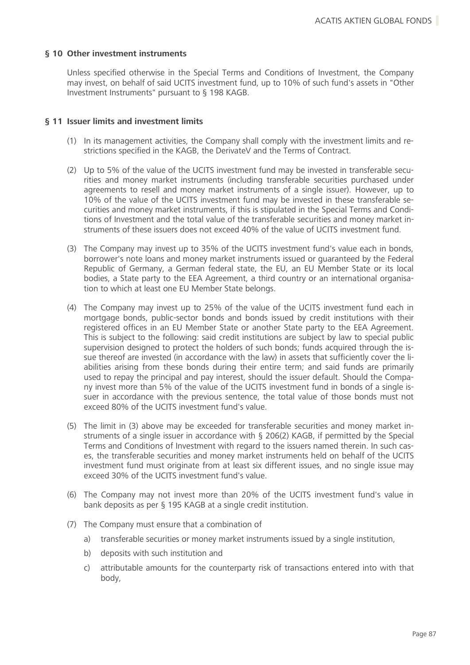## **§ 10 Other investment instruments**

Unless specified otherwise in the Special Terms and Conditions of Investment, the Company may invest, on behalf of said UCITS investment fund, up to 10% of such fund's assets in "Other Investment Instruments" pursuant to § 198 KAGB.

### **§ 11 Issuer limits and investment limits**

- (1) In its management activities, the Company shall comply with the investment limits and restrictions specified in the KAGB, the DerivateV and the Terms of Contract.
- (2) Up to 5% of the value of the UCITS investment fund may be invested in transferable securities and money market instruments (including transferable securities purchased under agreements to resell and money market instruments of a single issuer). However, up to 10% of the value of the UCITS investment fund may be invested in these transferable securities and money market instruments, if this is stipulated in the Special Terms and Conditions of Investment and the total value of the transferable securities and money market instruments of these issuers does not exceed 40% of the value of UCITS investment fund.
- (3) The Company may invest up to 35% of the UCITS investment fund's value each in bonds, borrower's note loans and money market instruments issued or guaranteed by the Federal Republic of Germany, a German federal state, the EU, an EU Member State or its local bodies, a State party to the EEA Agreement, a third country or an international organisation to which at least one EU Member State belongs.
- (4) The Company may invest up to 25% of the value of the UCITS investment fund each in mortgage bonds, public-sector bonds and bonds issued by credit institutions with their registered offices in an EU Member State or another State party to the EEA Agreement. This is subject to the following: said credit institutions are subject by law to special public supervision designed to protect the holders of such bonds; funds acquired through the issue thereof are invested (in accordance with the law) in assets that sufficiently cover the liabilities arising from these bonds during their entire term; and said funds are primarily used to repay the principal and pay interest, should the issuer default. Should the Company invest more than 5% of the value of the UCITS investment fund in bonds of a single issuer in accordance with the previous sentence, the total value of those bonds must not exceed 80% of the UCITS investment fund's value.
- (5) The limit in (3) above may be exceeded for transferable securities and money market instruments of a single issuer in accordance with § 206(2) KAGB, if permitted by the Special Terms and Conditions of Investment with regard to the issuers named therein. In such cases, the transferable securities and money market instruments held on behalf of the UCITS investment fund must originate from at least six different issues, and no single issue may exceed 30% of the UCITS investment fund's value.
- (6) The Company may not invest more than 20% of the UCITS investment fund's value in bank deposits as per § 195 KAGB at a single credit institution.
- (7) The Company must ensure that a combination of
	- a) transferable securities or money market instruments issued by a single institution,
	- b) deposits with such institution and
	- c) attributable amounts for the counterparty risk of transactions entered into with that body,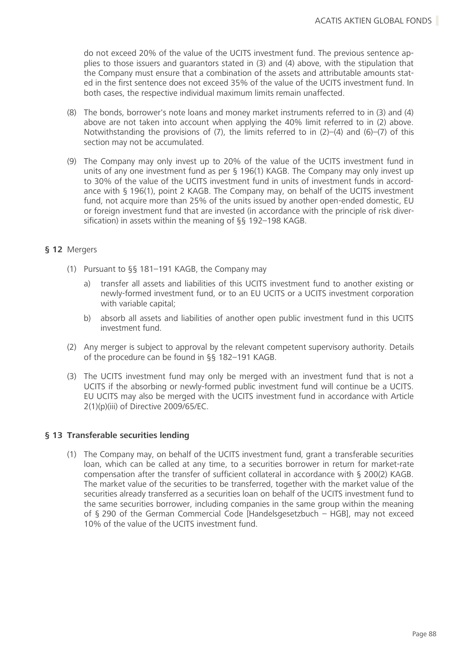do not exceed 20% of the value of the UCITS investment fund. The previous sentence applies to those issuers and guarantors stated in (3) and (4) above, with the stipulation that the Company must ensure that a combination of the assets and attributable amounts stated in the first sentence does not exceed 35% of the value of the UCITS investment fund. In both cases, the respective individual maximum limits remain unaffected.

- (8) The bonds, borrower's note loans and money market instruments referred to in (3) and (4) above are not taken into account when applying the 40% limit referred to in (2) above. Notwithstanding the provisions of  $(7)$ , the limits referred to in  $(2)-(4)$  and  $(6)-(7)$  of this section may not be accumulated.
- (9) The Company may only invest up to 20% of the value of the UCITS investment fund in units of any one investment fund as per § 196(1) KAGB. The Company may only invest up to 30% of the value of the UCITS investment fund in units of investment funds in accordance with § 196(1), point 2 KAGB. The Company may, on behalf of the UCITS investment fund, not acquire more than 25% of the units issued by another open-ended domestic, EU or foreign investment fund that are invested (in accordance with the principle of risk diversification) in assets within the meaning of §§ 192–198 KAGB.

# **§ 12** Mergers

- (1) Pursuant to §§ 181–191 KAGB, the Company may
	- a) transfer all assets and liabilities of this UCITS investment fund to another existing or newly-formed investment fund, or to an EU UCITS or a UCITS investment corporation with variable capital;
	- b) absorb all assets and liabilities of another open public investment fund in this UCITS investment fund.
- (2) Any merger is subject to approval by the relevant competent supervisory authority. Details of the procedure can be found in §§ 182–191 KAGB.
- (3) The UCITS investment fund may only be merged with an investment fund that is not a UCITS if the absorbing or newly-formed public investment fund will continue be a UCITS. EU UCITS may also be merged with the UCITS investment fund in accordance with Article 2(1)(p)(iii) of Directive 2009/65/EC.

# **§ 13 Transferable securities lending**

(1) The Company may, on behalf of the UCITS investment fund, grant a transferable securities loan, which can be called at any time, to a securities borrower in return for market-rate compensation after the transfer of sufficient collateral in accordance with § 200(2) KAGB. The market value of the securities to be transferred, together with the market value of the securities already transferred as a securities loan on behalf of the UCITS investment fund to the same securities borrower, including companies in the same group within the meaning of § 290 of the German Commercial Code [Handelsgesetzbuch – HGB], may not exceed 10% of the value of the UCITS investment fund.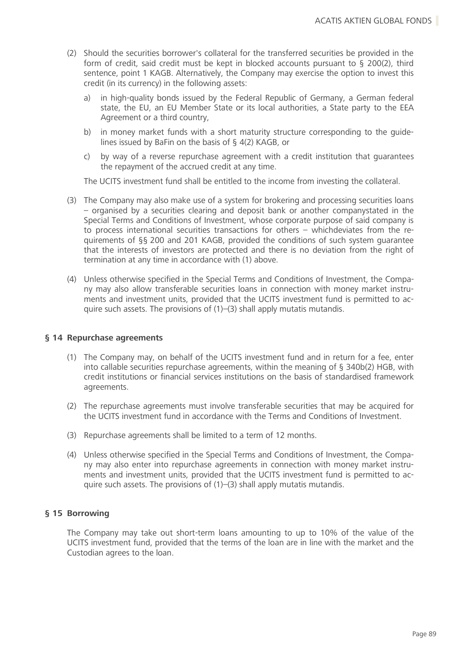- (2) Should the securities borrower's collateral for the transferred securities be provided in the form of credit, said credit must be kept in blocked accounts pursuant to § 200(2), third sentence, point 1 KAGB. Alternatively, the Company may exercise the option to invest this credit (in its currency) in the following assets:
	- a) in high-quality bonds issued by the Federal Republic of Germany, a German federal state, the EU, an EU Member State or its local authorities, a State party to the EEA Agreement or a third country,
	- b) in money market funds with a short maturity structure corresponding to the guidelines issued by BaFin on the basis of § 4(2) KAGB, or
	- c) by way of a reverse repurchase agreement with a credit institution that guarantees the repayment of the accrued credit at any time.

The UCITS investment fund shall be entitled to the income from investing the collateral.

- (3) The Company may also make use of a system for brokering and processing securities loans – organised by a securities clearing and deposit bank or another companystated in the Special Terms and Conditions of Investment, whose corporate purpose of said company is to process international securities transactions for others – whichdeviates from the requirements of §§ 200 and 201 KAGB, provided the conditions of such system guarantee that the interests of investors are protected and there is no deviation from the right of termination at any time in accordance with (1) above.
- (4) Unless otherwise specified in the Special Terms and Conditions of Investment, the Company may also allow transferable securities loans in connection with money market instruments and investment units, provided that the UCITS investment fund is permitted to acquire such assets. The provisions of (1)–(3) shall apply mutatis mutandis.

#### **§ 14 Repurchase agreements**

- (1) The Company may, on behalf of the UCITS investment fund and in return for a fee, enter into callable securities repurchase agreements, within the meaning of § 340b(2) HGB, with credit institutions or financial services institutions on the basis of standardised framework agreements.
- (2) The repurchase agreements must involve transferable securities that may be acquired for the UCITS investment fund in accordance with the Terms and Conditions of Investment.
- (3) Repurchase agreements shall be limited to a term of 12 months.
- (4) Unless otherwise specified in the Special Terms and Conditions of Investment, the Company may also enter into repurchase agreements in connection with money market instruments and investment units, provided that the UCITS investment fund is permitted to acquire such assets. The provisions of (1)–(3) shall apply mutatis mutandis.

# **§ 15 Borrowing**

The Company may take out short-term loans amounting to up to 10% of the value of the UCITS investment fund, provided that the terms of the loan are in line with the market and the Custodian agrees to the loan.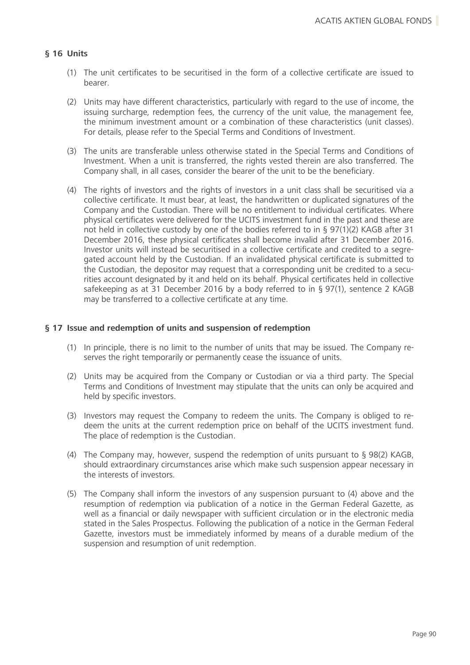## **§ 16 Units**

- (1) The unit certificates to be securitised in the form of a collective certificate are issued to bearer.
- (2) Units may have different characteristics, particularly with regard to the use of income, the issuing surcharge, redemption fees, the currency of the unit value, the management fee, the minimum investment amount or a combination of these characteristics (unit classes). For details, please refer to the Special Terms and Conditions of Investment.
- (3) The units are transferable unless otherwise stated in the Special Terms and Conditions of Investment. When a unit is transferred, the rights vested therein are also transferred. The Company shall, in all cases, consider the bearer of the unit to be the beneficiary.
- (4) The rights of investors and the rights of investors in a unit class shall be securitised via a collective certificate. It must bear, at least, the handwritten or duplicated signatures of the Company and the Custodian. There will be no entitlement to individual certificates. Where physical certificates were delivered for the UCITS investment fund in the past and these are not held in collective custody by one of the bodies referred to in § 97(1)(2) KAGB after 31 December 2016, these physical certificates shall become invalid after 31 December 2016. Investor units will instead be securitised in a collective certificate and credited to a segregated account held by the Custodian. If an invalidated physical certificate is submitted to the Custodian, the depositor may request that a corresponding unit be credited to a securities account designated by it and held on its behalf. Physical certificates held in collective safekeeping as at 31 December 2016 by a body referred to in § 97(1), sentence 2 KAGB may be transferred to a collective certificate at any time.

#### **§ 17 Issue and redemption of units and suspension of redemption**

- (1) In principle, there is no limit to the number of units that may be issued. The Company reserves the right temporarily or permanently cease the issuance of units.
- (2) Units may be acquired from the Company or Custodian or via a third party. The Special Terms and Conditions of Investment may stipulate that the units can only be acquired and held by specific investors.
- (3) Investors may request the Company to redeem the units. The Company is obliged to redeem the units at the current redemption price on behalf of the UCITS investment fund. The place of redemption is the Custodian.
- (4) The Company may, however, suspend the redemption of units pursuant to § 98(2) KAGB, should extraordinary circumstances arise which make such suspension appear necessary in the interests of investors.
- (5) The Company shall inform the investors of any suspension pursuant to (4) above and the resumption of redemption via publication of a notice in the German Federal Gazette, as well as a financial or daily newspaper with sufficient circulation or in the electronic media stated in the Sales Prospectus. Following the publication of a notice in the German Federal Gazette, investors must be immediately informed by means of a durable medium of the suspension and resumption of unit redemption.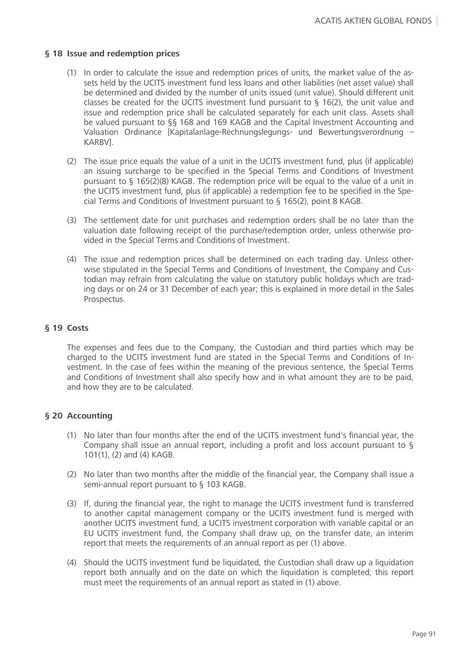#### **§ 18 Issue and redemption prices**

- (1) In order to calculate the issue and redemption prices of units, the market value of the assets held by the UCITS investment fund less loans and other liabilities (net asset value) shall be determined and divided by the number of units issued (unit value). Should different unit classes be created for the UCITS investment fund pursuant to  $\S$  16(2), the unit value and issue and redemption price shall be calculated separately for each unit class. Assets shall be valued pursuant to §§ 168 and 169 KAGB and the Capital Investment Accounting and Valuation Ordinance [Kapitalanlage-Rechnungslegungs- und Bewertungsverordnung – KARBV].
- (2) The issue price equals the value of a unit in the UCITS investment fund, plus (if applicable) an issuing surcharge to be specified in the Special Terms and Conditions of Investment pursuant to § 165(2)(8) KAGB. The redemption price will be equal to the value of a unit in the UCITS investment fund, plus (if applicable) a redemption fee to be specified in the Special Terms and Conditions of Investment pursuant to § 165(2), point 8 KAGB.
- (3) The settlement date for unit purchases and redemption orders shall be no later than the valuation date following receipt of the purchase/redemption order, unless otherwise provided in the Special Terms and Conditions of Investment.
- (4) The issue and redemption prices shall be determined on each trading day. Unless otherwise stipulated in the Special Terms and Conditions of Investment, the Company and Custodian may refrain from calculating the value on statutory public holidays which are trading days or on 24 or 31 December of each year; this is explained in more detail in the Sales Prospectus.

### **§ 19 Costs**

The expenses and fees due to the Company, the Custodian and third parties which may be charged to the UCITS investment fund are stated in the Special Terms and Conditions of Investment. In the case of fees within the meaning of the previous sentence, the Special Terms and Conditions of Investment shall also specify how and in what amount they are to be paid, and how they are to be calculated.

# **§ 20 Accounting**

- (1) No later than four months after the end of the UCITS investment fund's financial year, the Company shall issue an annual report, including a profit and loss account pursuant to § 101(1), (2) and (4) KAGB.
- (2) No later than two months after the middle of the financial year, the Company shall issue a semi-annual report pursuant to § 103 KAGB.
- (3) If, during the financial year, the right to manage the UCITS investment fund is transferred to another capital management company or the UCITS investment fund is merged with another UCITS investment fund, a UCITS investment corporation with variable capital or an EU UCITS investment fund, the Company shall draw up, on the transfer date, an interim report that meets the requirements of an annual report as per (1) above.
- (4) Should the UCITS investment fund be liquidated, the Custodian shall draw up a liquidation report both annually and on the date on which the liquidation is completed; this report must meet the requirements of an annual report as stated in (1) above.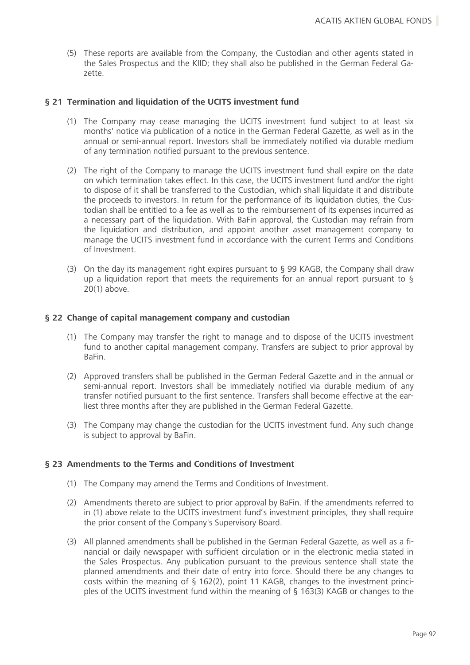(5) These reports are available from the Company, the Custodian and other agents stated in the Sales Prospectus and the KIID; they shall also be published in the German Federal Gazette.

### **§ 21 Termination and liquidation of the UCITS investment fund**

- (1) The Company may cease managing the UCITS investment fund subject to at least six months' notice via publication of a notice in the German Federal Gazette, as well as in the annual or semi-annual report. Investors shall be immediately notified via durable medium of any termination notified pursuant to the previous sentence.
- (2) The right of the Company to manage the UCITS investment fund shall expire on the date on which termination takes effect. In this case, the UCITS investment fund and/or the right to dispose of it shall be transferred to the Custodian, which shall liquidate it and distribute the proceeds to investors. In return for the performance of its liquidation duties, the Custodian shall be entitled to a fee as well as to the reimbursement of its expenses incurred as a necessary part of the liquidation. With BaFin approval, the Custodian may refrain from the liquidation and distribution, and appoint another asset management company to manage the UCITS investment fund in accordance with the current Terms and Conditions of Investment.
- (3) On the day its management right expires pursuant to § 99 KAGB, the Company shall draw up a liquidation report that meets the requirements for an annual report pursuant to  $\S$ 20(1) above.

### **§ 22 Change of capital management company and custodian**

- (1) The Company may transfer the right to manage and to dispose of the UCITS investment fund to another capital management company. Transfers are subject to prior approval by BaFin.
- (2) Approved transfers shall be published in the German Federal Gazette and in the annual or semi-annual report. Investors shall be immediately notified via durable medium of any transfer notified pursuant to the first sentence. Transfers shall become effective at the earliest three months after they are published in the German Federal Gazette.
- (3) The Company may change the custodian for the UCITS investment fund. Any such change is subject to approval by BaFin.

# **§ 23 Amendments to the Terms and Conditions of Investment**

- (1) The Company may amend the Terms and Conditions of Investment.
- (2) Amendments thereto are subject to prior approval by BaFin. If the amendments referred to in (1) above relate to the UCITS investment fund's investment principles, they shall require the prior consent of the Company's Supervisory Board.
- (3) All planned amendments shall be published in the German Federal Gazette, as well as a financial or daily newspaper with sufficient circulation or in the electronic media stated in the Sales Prospectus. Any publication pursuant to the previous sentence shall state the planned amendments and their date of entry into force. Should there be any changes to costs within the meaning of § 162(2), point 11 KAGB, changes to the investment principles of the UCITS investment fund within the meaning of § 163(3) KAGB or changes to the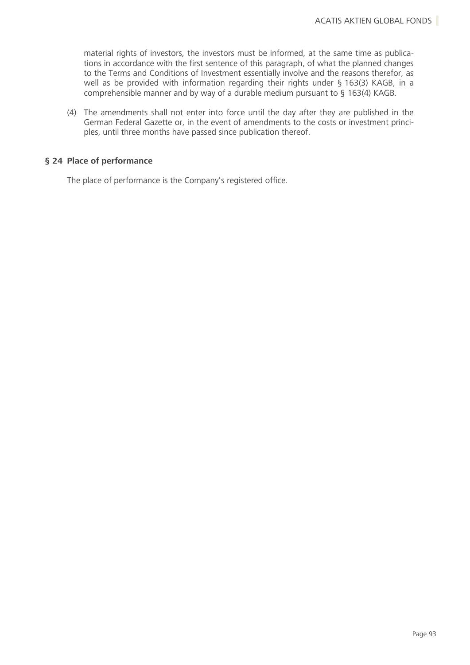material rights of investors, the investors must be informed, at the same time as publications in accordance with the first sentence of this paragraph, of what the planned changes to the Terms and Conditions of Investment essentially involve and the reasons therefor, as well as be provided with information regarding their rights under § 163(3) KAGB, in a comprehensible manner and by way of a durable medium pursuant to § 163(4) KAGB.

(4) The amendments shall not enter into force until the day after they are published in the German Federal Gazette or, in the event of amendments to the costs or investment principles, until three months have passed since publication thereof.

## **§ 24 Place of performance**

The place of performance is the Company's registered office.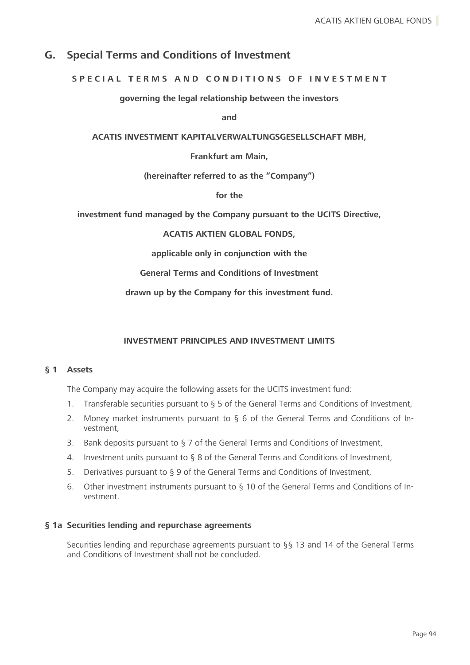# **G. Special Terms and Conditions of Investment**

## **S P E C I A L T E R M S A N D C O N D I T I O N S O F I N V E S T M E N T**

**governing the legal relationship between the investors**

**and**

**ACATIS INVESTMENT KAPITALVERWALTUNGSGESELLSCHAFT MBH,**

**Frankfurt am Main,**

**(hereinafter referred to as the "Company")**

**for the**

**investment fund managed by the Company pursuant to the UCITS Directive,**

**ACATIS AKTIEN GLOBAL FONDS,**

**applicable only in conjunction with the**

**General Terms and Conditions of Investment**

**drawn up by the Company for this investment fund.**

#### **INVESTMENT PRINCIPLES AND INVESTMENT LIMITS**

#### **§ 1 Assets**

The Company may acquire the following assets for the UCITS investment fund:

- 1. Transferable securities pursuant to § 5 of the General Terms and Conditions of Investment,
- 2. Money market instruments pursuant to § 6 of the General Terms and Conditions of Investment,
- 3. Bank deposits pursuant to § 7 of the General Terms and Conditions of Investment,
- 4. Investment units pursuant to § 8 of the General Terms and Conditions of Investment,
- 5. Derivatives pursuant to § 9 of the General Terms and Conditions of Investment,
- 6. Other investment instruments pursuant to § 10 of the General Terms and Conditions of Investment.

#### **§ 1a Securities lending and repurchase agreements**

Securities lending and repurchase agreements pursuant to §§ 13 and 14 of the General Terms and Conditions of Investment shall not be concluded.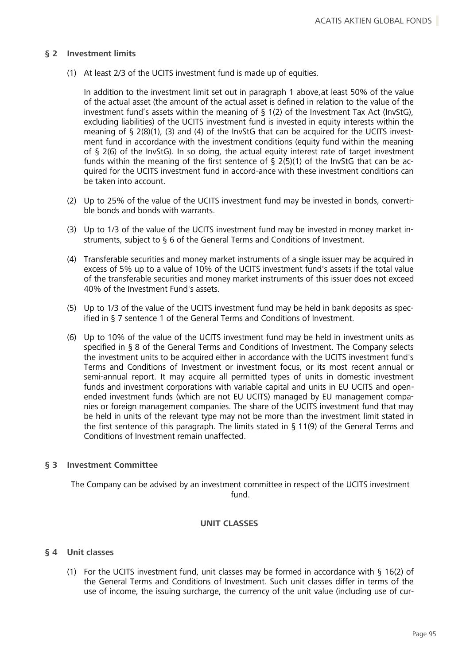#### **§ 2 Investment limits**

(1) At least 2/3 of the UCITS investment fund is made up of equities.

In addition to the investment limit set out in paragraph 1 above,at least 50% of the value of the actual asset (the amount of the actual asset is defined in relation to the value of the investment fund's assets within the meaning of § 1(2) of the Investment Tax Act (InvStG), excluding liabilities) of the UCITS investment fund is invested in equity interests within the meaning of  $\S$  2(8)(1), (3) and (4) of the InvStG that can be acquired for the UCITS investment fund in accordance with the investment conditions (equity fund within the meaning of § 2(6) of the InvStG). In so doing, the actual equity interest rate of target investment funds within the meaning of the first sentence of  $\frac{1}{2}$  (5)(1) of the InvStG that can be acquired for the UCITS investment fund in accord-ance with these investment conditions can be taken into account.

- (2) Up to 25% of the value of the UCITS investment fund may be invested in bonds, convertible bonds and bonds with warrants.
- (3) Up to 1/3 of the value of the UCITS investment fund may be invested in money market instruments, subject to § 6 of the General Terms and Conditions of Investment.
- (4) Transferable securities and money market instruments of a single issuer may be acquired in excess of 5% up to a value of 10% of the UCITS investment fund's assets if the total value of the transferable securities and money market instruments of this issuer does not exceed 40% of the Investment Fund's assets.
- (5) Up to 1/3 of the value of the UCITS investment fund may be held in bank deposits as specified in § 7 sentence 1 of the General Terms and Conditions of Investment.
- (6) Up to 10% of the value of the UCITS investment fund may be held in investment units as specified in § 8 of the General Terms and Conditions of Investment. The Company selects the investment units to be acquired either in accordance with the UCITS investment fund's Terms and Conditions of Investment or investment focus, or its most recent annual or semi-annual report. It may acquire all permitted types of units in domestic investment funds and investment corporations with variable capital and units in EU UCITS and openended investment funds (which are not EU UCITS) managed by EU management companies or foreign management companies. The share of the UCITS investment fund that may be held in units of the relevant type may not be more than the investment limit stated in the first sentence of this paragraph. The limits stated in § 11(9) of the General Terms and Conditions of Investment remain unaffected.

#### **§ 3 Investment Committee**

The Company can be advised by an investment committee in respect of the UCITS investment fund.

#### **UNIT CLASSES**

#### **§ 4 Unit classes**

(1) For the UCITS investment fund, unit classes may be formed in accordance with § 16(2) of the General Terms and Conditions of Investment. Such unit classes differ in terms of the use of income, the issuing surcharge, the currency of the unit value (including use of cur-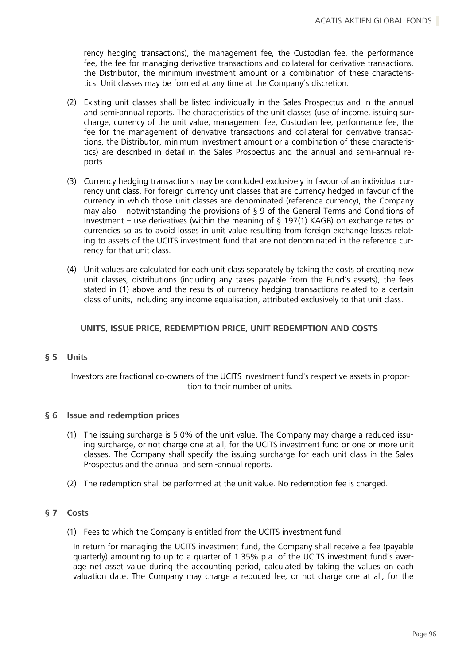rency hedging transactions), the management fee, the Custodian fee, the performance fee, the fee for managing derivative transactions and collateral for derivative transactions, the Distributor, the minimum investment amount or a combination of these characteristics. Unit classes may be formed at any time at the Company's discretion.

- (2) Existing unit classes shall be listed individually in the Sales Prospectus and in the annual and semi-annual reports. The characteristics of the unit classes (use of income, issuing surcharge, currency of the unit value, management fee, Custodian fee, performance fee, the fee for the management of derivative transactions and collateral for derivative transactions, the Distributor, minimum investment amount or a combination of these characteristics) are described in detail in the Sales Prospectus and the annual and semi-annual reports.
- (3) Currency hedging transactions may be concluded exclusively in favour of an individual currency unit class. For foreign currency unit classes that are currency hedged in favour of the currency in which those unit classes are denominated (reference currency), the Company may also – notwithstanding the provisions of § 9 of the General Terms and Conditions of Investment – use derivatives (within the meaning of § 197(1) KAGB) on exchange rates or currencies so as to avoid losses in unit value resulting from foreign exchange losses relating to assets of the UCITS investment fund that are not denominated in the reference currency for that unit class.
- (4) Unit values are calculated for each unit class separately by taking the costs of creating new unit classes, distributions (including any taxes payable from the Fund's assets), the fees stated in (1) above and the results of currency hedging transactions related to a certain class of units, including any income equalisation, attributed exclusively to that unit class.

### **UNITS, ISSUE PRICE, REDEMPTION PRICE, UNIT REDEMPTION AND COSTS**

#### **§ 5 Units**

Investors are fractional co-owners of the UCITS investment fund's respective assets in proportion to their number of units.

#### **§ 6 Issue and redemption prices**

- (1) The issuing surcharge is 5.0% of the unit value. The Company may charge a reduced issuing surcharge, or not charge one at all, for the UCITS investment fund or one or more unit classes. The Company shall specify the issuing surcharge for each unit class in the Sales Prospectus and the annual and semi-annual reports.
- (2) The redemption shall be performed at the unit value. No redemption fee is charged.

#### **§ 7 Costs**

(1) Fees to which the Company is entitled from the UCITS investment fund:

In return for managing the UCITS investment fund, the Company shall receive a fee (payable quarterly) amounting to up to a quarter of 1.35% p.a. of the UCITS investment fund's average net asset value during the accounting period, calculated by taking the values on each valuation date. The Company may charge a reduced fee, or not charge one at all, for the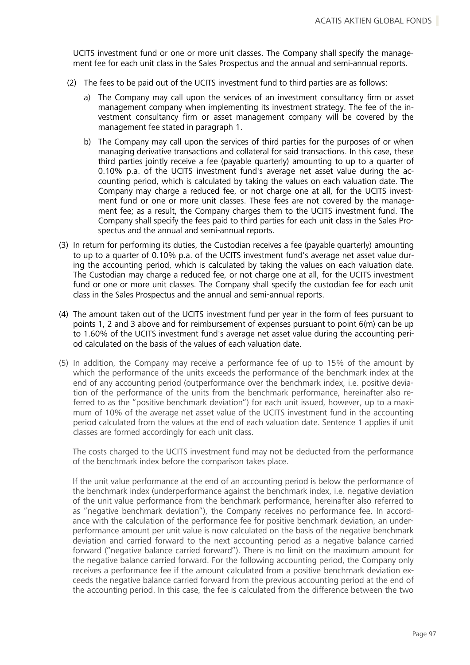UCITS investment fund or one or more unit classes. The Company shall specify the management fee for each unit class in the Sales Prospectus and the annual and semi-annual reports.

- (2) The fees to be paid out of the UCITS investment fund to third parties are as follows:
	- a) The Company may call upon the services of an investment consultancy firm or asset management company when implementing its investment strategy. The fee of the investment consultancy firm or asset management company will be covered by the management fee stated in paragraph 1.
	- b) The Company may call upon the services of third parties for the purposes of or when managing derivative transactions and collateral for said transactions. In this case, these third parties jointly receive a fee (payable quarterly) amounting to up to a quarter of 0.10% p.a. of the UCITS investment fund's average net asset value during the accounting period, which is calculated by taking the values on each valuation date. The Company may charge a reduced fee, or not charge one at all, for the UCITS investment fund or one or more unit classes. These fees are not covered by the management fee; as a result, the Company charges them to the UCITS investment fund. The Company shall specify the fees paid to third parties for each unit class in the Sales Prospectus and the annual and semi-annual reports.
- (3) In return for performing its duties, the Custodian receives a fee (payable quarterly) amounting to up to a quarter of 0.10% p.a. of the UCITS investment fund's average net asset value during the accounting period, which is calculated by taking the values on each valuation date. The Custodian may charge a reduced fee, or not charge one at all, for the UCITS investment fund or one or more unit classes. The Company shall specify the custodian fee for each unit class in the Sales Prospectus and the annual and semi-annual reports.
- (4) The amount taken out of the UCITS investment fund per year in the form of fees pursuant to points 1, 2 and 3 above and for reimbursement of expenses pursuant to point 6(m) can be up to 1.60% of the UCITS investment fund's average net asset value during the accounting period calculated on the basis of the values of each valuation date.
- (5) In addition, the Company may receive a performance fee of up to 15% of the amount by which the performance of the units exceeds the performance of the benchmark index at the end of any accounting period (outperformance over the benchmark index, i.e. positive deviation of the performance of the units from the benchmark performance, hereinafter also referred to as the "positive benchmark deviation") for each unit issued, however, up to a maximum of 10% of the average net asset value of the UCITS investment fund in the accounting period calculated from the values at the end of each valuation date. Sentence 1 applies if unit classes are formed accordingly for each unit class.

The costs charged to the UCITS investment fund may not be deducted from the performance of the benchmark index before the comparison takes place.

If the unit value performance at the end of an accounting period is below the performance of the benchmark index (underperformance against the benchmark index, i.e. negative deviation of the unit value performance from the benchmark performance, hereinafter also referred to as "negative benchmark deviation"), the Company receives no performance fee. In accordance with the calculation of the performance fee for positive benchmark deviation, an underperformance amount per unit value is now calculated on the basis of the negative benchmark deviation and carried forward to the next accounting period as a negative balance carried forward ("negative balance carried forward"). There is no limit on the maximum amount for the negative balance carried forward. For the following accounting period, the Company only receives a performance fee if the amount calculated from a positive benchmark deviation exceeds the negative balance carried forward from the previous accounting period at the end of the accounting period. In this case, the fee is calculated from the difference between the two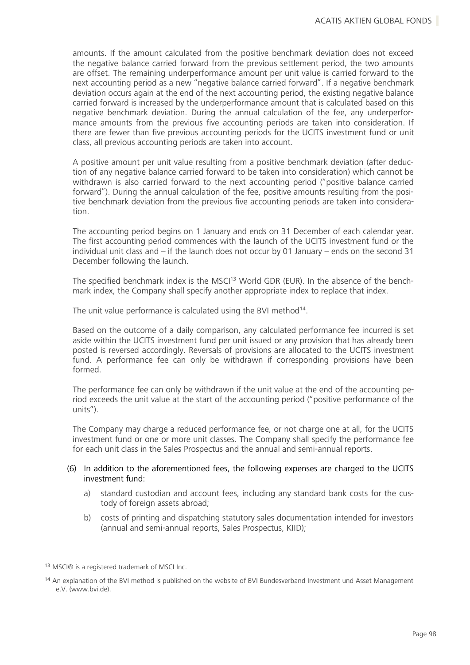amounts. If the amount calculated from the positive benchmark deviation does not exceed the negative balance carried forward from the previous settlement period, the two amounts are offset. The remaining underperformance amount per unit value is carried forward to the next accounting period as a new "negative balance carried forward". If a negative benchmark deviation occurs again at the end of the next accounting period, the existing negative balance carried forward is increased by the underperformance amount that is calculated based on this negative benchmark deviation. During the annual calculation of the fee, any underperformance amounts from the previous five accounting periods are taken into consideration. If there are fewer than five previous accounting periods for the UCITS investment fund or unit class, all previous accounting periods are taken into account.

A positive amount per unit value resulting from a positive benchmark deviation (after deduction of any negative balance carried forward to be taken into consideration) which cannot be withdrawn is also carried forward to the next accounting period ("positive balance carried forward"). During the annual calculation of the fee, positive amounts resulting from the positive benchmark deviation from the previous five accounting periods are taken into consideration.

The accounting period begins on 1 January and ends on 31 December of each calendar year. The first accounting period commences with the launch of the UCITS investment fund or the individual unit class and – if the launch does not occur by 01 January – ends on the second 31 December following the launch.

The specified benchmark index is the MSCI<sup>13</sup> World GDR (EUR). In the absence of the benchmark index, the Company shall specify another appropriate index to replace that index.

The unit value performance is calculated using the BVI method<sup>14</sup>.

Based on the outcome of a daily comparison, any calculated performance fee incurred is set aside within the UCITS investment fund per unit issued or any provision that has already been posted is reversed accordingly. Reversals of provisions are allocated to the UCITS investment fund. A performance fee can only be withdrawn if corresponding provisions have been formed.

The performance fee can only be withdrawn if the unit value at the end of the accounting period exceeds the unit value at the start of the accounting period ("positive performance of the units").

The Company may charge a reduced performance fee, or not charge one at all, for the UCITS investment fund or one or more unit classes. The Company shall specify the performance fee for each unit class in the Sales Prospectus and the annual and semi-annual reports.

#### (6) In addition to the aforementioned fees, the following expenses are charged to the UCITS investment fund:

- a) standard custodian and account fees, including any standard bank costs for the custody of foreign assets abroad;
- b) costs of printing and dispatching statutory sales documentation intended for investors (annual and semi-annual reports, Sales Prospectus, KIID);

<sup>13</sup> MSCI® is a registered trademark of MSCI Inc.

<sup>&</sup>lt;sup>14</sup> An explanation of the BVI method is published on the website of BVI Bundesverband Investment und Asset Management e.V. (www.bvi.de).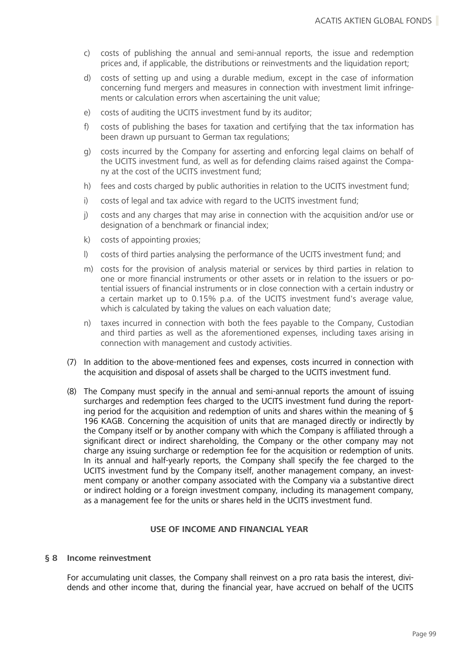- c) costs of publishing the annual and semi-annual reports, the issue and redemption prices and, if applicable, the distributions or reinvestments and the liquidation report;
- d) costs of setting up and using a durable medium, except in the case of information concerning fund mergers and measures in connection with investment limit infringements or calculation errors when ascertaining the unit value;
- e) costs of auditing the UCITS investment fund by its auditor;
- f) costs of publishing the bases for taxation and certifying that the tax information has been drawn up pursuant to German tax regulations;
- g) costs incurred by the Company for asserting and enforcing legal claims on behalf of the UCITS investment fund, as well as for defending claims raised against the Company at the cost of the UCITS investment fund;
- h) fees and costs charged by public authorities in relation to the UCITS investment fund;
- i) costs of legal and tax advice with regard to the UCITS investment fund;
- j) costs and any charges that may arise in connection with the acquisition and/or use or designation of a benchmark or financial index;
- k) costs of appointing proxies;
- l) costs of third parties analysing the performance of the UCITS investment fund; and
- m) costs for the provision of analysis material or services by third parties in relation to one or more financial instruments or other assets or in relation to the issuers or potential issuers of financial instruments or in close connection with a certain industry or a certain market up to 0.15% p.a. of the UCITS investment fund's average value, which is calculated by taking the values on each valuation date;
- n) taxes incurred in connection with both the fees payable to the Company, Custodian and third parties as well as the aforementioned expenses, including taxes arising in connection with management and custody activities.
- (7) In addition to the above-mentioned fees and expenses, costs incurred in connection with the acquisition and disposal of assets shall be charged to the UCITS investment fund.
- (8) The Company must specify in the annual and semi-annual reports the amount of issuing surcharges and redemption fees charged to the UCITS investment fund during the reporting period for the acquisition and redemption of units and shares within the meaning of § 196 KAGB. Concerning the acquisition of units that are managed directly or indirectly by the Company itself or by another company with which the Company is affiliated through a significant direct or indirect shareholding, the Company or the other company may not charge any issuing surcharge or redemption fee for the acquisition or redemption of units. In its annual and half-yearly reports, the Company shall specify the fee charged to the UCITS investment fund by the Company itself, another management company, an investment company or another company associated with the Company via a substantive direct or indirect holding or a foreign investment company, including its management company, as a management fee for the units or shares held in the UCITS investment fund.

#### **USE OF INCOME AND FINANCIAL YEAR**

#### **§ 8 Income reinvestment**

For accumulating unit classes, the Company shall reinvest on a pro rata basis the interest, dividends and other income that, during the financial year, have accrued on behalf of the UCITS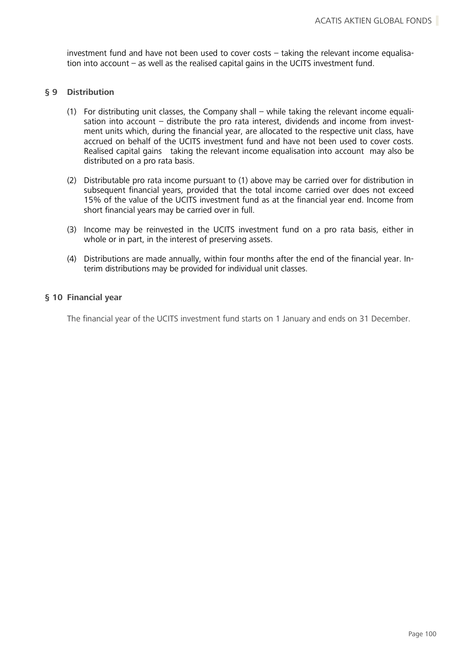investment fund and have not been used to cover costs – taking the relevant income equalisation into account – as well as the realised capital gains in the UCITS investment fund.

#### **§ 9 Distribution**

- (1) For distributing unit classes, the Company shall while taking the relevant income equalisation into account – distribute the pro rata interest, dividends and income from investment units which, during the financial year, are allocated to the respective unit class, have accrued on behalf of the UCITS investment fund and have not been used to cover costs. Realised capital gains taking the relevant income equalisation into account may also be distributed on a pro rata basis.
- (2) Distributable pro rata income pursuant to (1) above may be carried over for distribution in subsequent financial years, provided that the total income carried over does not exceed 15% of the value of the UCITS investment fund as at the financial year end. Income from short financial years may be carried over in full.
- (3) Income may be reinvested in the UCITS investment fund on a pro rata basis, either in whole or in part, in the interest of preserving assets.
- (4) Distributions are made annually, within four months after the end of the financial year. Interim distributions may be provided for individual unit classes.

### **§ 10 Financial year**

The financial year of the UCITS investment fund starts on 1 January and ends on 31 December.